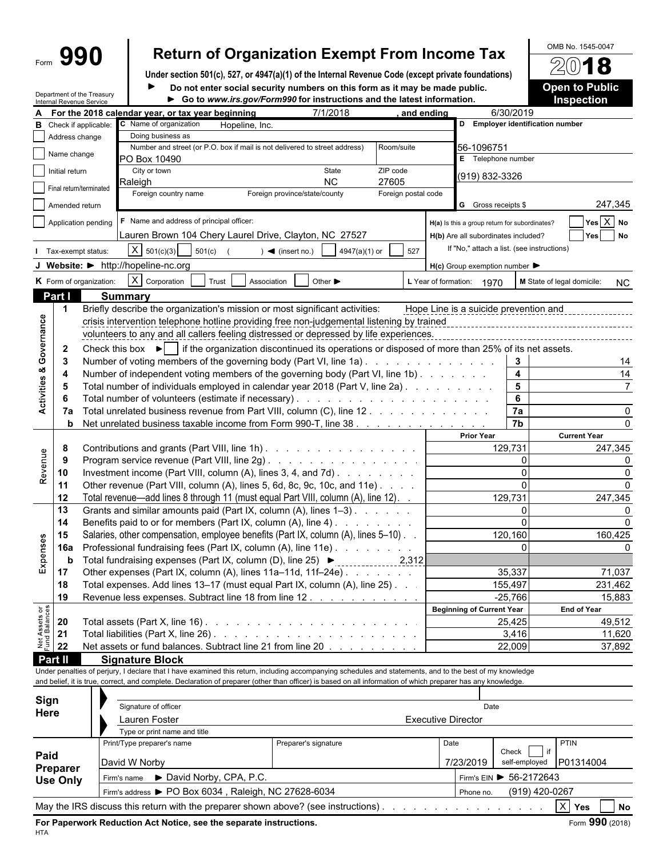# Form **990 Return of Organization Exempt From Income Tax**  $\frac{\text{OMB No. 1545-0047}}{\text{OMB No. 1545-0047}}$

**Under section 501(c), 527, or 4947(a)(1) of the Internal Revenue Code (except private foundations) Do not enter social security numbers on this form as it may be made public. Open to Public**

|                                        | Internal Revenue Service | Department of the Treasury                                                                                     | Go to www.irs.gov/Form990 for instructions and the latest information.                                                                                       | <b>UTION OUTER SUBJECT OF STRAIGHTER IN THE SUBJECT OF STRAIGHTER</b> |                     |                                                     |                         | <b>Inspection</b>                |              |  |
|----------------------------------------|--------------------------|----------------------------------------------------------------------------------------------------------------|--------------------------------------------------------------------------------------------------------------------------------------------------------------|-----------------------------------------------------------------------|---------------------|-----------------------------------------------------|-------------------------|----------------------------------|--------------|--|
|                                        |                          |                                                                                                                | A For the 2018 calendar year, or tax year beginning                                                                                                          | 7/1/2018                                                              |                     | and ending                                          | 6/30/2019               |                                  |              |  |
| В                                      |                          | Check if applicable:                                                                                           | C Name of organization<br>Hopeline, Inc.                                                                                                                     |                                                                       |                     |                                                     |                         | D Employer identification number |              |  |
|                                        | Address change           |                                                                                                                | Doing business as                                                                                                                                            |                                                                       |                     |                                                     |                         |                                  |              |  |
|                                        | Name change              |                                                                                                                | Number and street (or P.O. box if mail is not delivered to street address)                                                                                   |                                                                       | Room/suite          | 56-1096751                                          |                         |                                  |              |  |
|                                        |                          |                                                                                                                | PO Box 10490                                                                                                                                                 |                                                                       |                     | E Telephone number                                  |                         |                                  |              |  |
|                                        | Initial return           |                                                                                                                | City or town                                                                                                                                                 | State                                                                 | ZIP code            | (919) 832-3326                                      |                         |                                  |              |  |
|                                        |                          | Final return/terminated                                                                                        | Raleigh                                                                                                                                                      | <b>NC</b>                                                             | 27605               |                                                     |                         |                                  |              |  |
|                                        |                          |                                                                                                                | Foreign country name                                                                                                                                         | Foreign province/state/county                                         | Foreign postal code |                                                     |                         |                                  |              |  |
|                                        | Amended return           |                                                                                                                |                                                                                                                                                              |                                                                       |                     | G Gross receipts \$                                 |                         | 247,345                          |              |  |
|                                        |                          | Application pending                                                                                            | F Name and address of principal officer:                                                                                                                     |                                                                       |                     | H(a) Is this a group return for subordinates?       |                         | $Yes \ X No$                     |              |  |
|                                        |                          |                                                                                                                | Lauren Brown 104 Chery Laurel Drive, Clayton, NC 27527                                                                                                       |                                                                       |                     | H(b) Are all subordinates included?                 |                         | Yes No                           |              |  |
|                                        |                          | Tax-exempt status:                                                                                             | $X \mid 501(c)(3)$<br>501(c)                                                                                                                                 | 4947(a)(1) or<br>$\blacktriangleleft$ (insert no.)                    | 527                 | If "No," attach a list. (see instructions)          |                         |                                  |              |  |
|                                        |                          |                                                                                                                |                                                                                                                                                              |                                                                       |                     |                                                     |                         |                                  |              |  |
|                                        |                          |                                                                                                                | J Website: > http://hopeline-nc.org                                                                                                                          |                                                                       |                     | $H(c)$ Group exemption number $\blacktriangleright$ |                         |                                  |              |  |
|                                        |                          | K Form of organization:                                                                                        | $X$ Corporation<br>Trust<br>Association                                                                                                                      | Other $\blacktriangleright$                                           |                     | L Year of formation: 1970                           |                         | M State of legal domicile:       | <b>NC</b>    |  |
|                                        | Part I                   |                                                                                                                | <b>Summary</b>                                                                                                                                               |                                                                       |                     |                                                     |                         |                                  |              |  |
|                                        |                          |                                                                                                                | Briefly describe the organization's mission or most significant activities:                                                                                  |                                                                       |                     | Hope Line is a suicide prevention and               |                         |                                  |              |  |
|                                        |                          |                                                                                                                | crisis intervention telephone hotline providing free non-judgemental listening by trained                                                                    |                                                                       |                     |                                                     |                         |                                  |              |  |
|                                        |                          |                                                                                                                | volunteers to any and all callers feeling distressed or depressed by life experiences.                                                                       |                                                                       |                     |                                                     |                         |                                  |              |  |
| Governance                             | $\mathbf{2}$             |                                                                                                                | Check this box $\blacktriangleright$   if the organization discontinued its operations or disposed of more than 25% of its net assets.                       |                                                                       |                     |                                                     |                         |                                  |              |  |
|                                        | 3                        |                                                                                                                | Number of voting members of the governing body (Part VI, line 1a)                                                                                            |                                                                       |                     |                                                     | $\mathbf{3}$            |                                  |              |  |
| οð                                     |                          |                                                                                                                | Number of independent voting members of the governing body (Part VI, line 1b).                                                                               |                                                                       |                     |                                                     | $\overline{\mathbf{4}}$ |                                  | 14<br>14     |  |
|                                        |                          |                                                                                                                |                                                                                                                                                              |                                                                       |                     |                                                     |                         |                                  |              |  |
|                                        |                          |                                                                                                                | Total number of individuals employed in calendar year 2018 (Part V, line 2a).                                                                                |                                                                       |                     |                                                     | 5                       |                                  |              |  |
| Activities                             |                          |                                                                                                                |                                                                                                                                                              |                                                                       |                     |                                                     | 6                       |                                  |              |  |
|                                        | 7a                       |                                                                                                                | Total unrelated business revenue from Part VIII, column (C), line 12                                                                                         |                                                                       |                     |                                                     | 7a                      |                                  | <sup>0</sup> |  |
|                                        | b                        |                                                                                                                | Net unrelated business taxable income from Form 990-T, line 38                                                                                               |                                                                       |                     |                                                     | 7b                      |                                  |              |  |
|                                        |                          |                                                                                                                |                                                                                                                                                              |                                                                       |                     | <b>Prior Year</b>                                   |                         | <b>Current Year</b>              |              |  |
|                                        | 8                        |                                                                                                                | Contributions and grants (Part VIII, line 1h)                                                                                                                |                                                                       |                     |                                                     | 129,731                 | 247,345                          |              |  |
|                                        | 9                        | Program service revenue (Part VIII, line 2g)<br>Investment income (Part VIII, column (A), lines 3, 4, and 7d). |                                                                                                                                                              |                                                                       |                     |                                                     |                         |                                  |              |  |
| Revenue                                | 10                       |                                                                                                                |                                                                                                                                                              |                                                                       |                     |                                                     | $\Omega$                |                                  |              |  |
|                                        | 11                       |                                                                                                                | Other revenue (Part VIII, column (A), lines 5, 6d, 8c, 9c, 10c, and 11e)                                                                                     |                                                                       |                     |                                                     | $\Omega$                |                                  |              |  |
|                                        | 12                       |                                                                                                                | Total revenue—add lines 8 through 11 (must equal Part VIII, column (A), line 12). .                                                                          |                                                                       |                     |                                                     | 129,731                 | 247,345                          |              |  |
|                                        | 13                       |                                                                                                                | Grants and similar amounts paid (Part IX, column (A), lines 1-3)                                                                                             |                                                                       |                     |                                                     | $\Omega$                |                                  |              |  |
|                                        | 14                       |                                                                                                                | Benefits paid to or for members (Part IX, column (A), line 4)                                                                                                |                                                                       |                     |                                                     | $\Omega$                | 160,425                          |              |  |
|                                        | 15                       |                                                                                                                | Salaries, other compensation, employee benefits (Part IX, column (A), lines 5-10).                                                                           |                                                                       |                     |                                                     | 120,160                 |                                  |              |  |
|                                        | 16a                      |                                                                                                                | Professional fundraising fees (Part IX, column (A), line 11e)                                                                                                |                                                                       |                     |                                                     |                         |                                  |              |  |
| Expenses                               | b                        |                                                                                                                |                                                                                                                                                              |                                                                       |                     |                                                     |                         |                                  |              |  |
|                                        | 17                       |                                                                                                                | Other expenses (Part IX, column (A), lines $11a-11d$ , $11f-24e$ )                                                                                           |                                                                       |                     |                                                     | 35.337                  | 71,037                           |              |  |
|                                        | 18                       |                                                                                                                | Total expenses. Add lines 13-17 (must equal Part IX, column (A), line 25). .                                                                                 |                                                                       |                     |                                                     | 155,497                 | 231,462                          |              |  |
|                                        | 19                       |                                                                                                                | Revenue less expenses. Subtract line 18 from line 12.                                                                                                        |                                                                       |                     |                                                     | $-25,766$               | 15,883                           |              |  |
|                                        |                          |                                                                                                                |                                                                                                                                                              |                                                                       |                     | <b>Beginning of Current Year</b>                    |                         | <b>End of Year</b>               |              |  |
| <b>Net Assets or<br/>Fund Balances</b> | 20                       |                                                                                                                |                                                                                                                                                              |                                                                       |                     |                                                     | 25,425                  | 49,512                           |              |  |
|                                        | 21                       |                                                                                                                |                                                                                                                                                              |                                                                       |                     |                                                     | 3,416                   | 11,620                           |              |  |
|                                        | 22                       |                                                                                                                | Net assets or fund balances. Subtract line 21 from line 20                                                                                                   |                                                                       |                     |                                                     | 22,009                  | 37,892                           |              |  |
|                                        | Part II                  |                                                                                                                | <b>Signature Block</b>                                                                                                                                       |                                                                       |                     |                                                     |                         |                                  |              |  |
|                                        |                          |                                                                                                                | Under penalties of perjury, I declare that I have examined this return, including accompanying schedules and statements, and to the best of my knowledge     |                                                                       |                     |                                                     |                         |                                  |              |  |
|                                        |                          |                                                                                                                | and belief, it is true, correct, and complete. Declaration of preparer (other than officer) is based on all information of which preparer has any knowledge. |                                                                       |                     |                                                     |                         |                                  |              |  |
|                                        |                          |                                                                                                                |                                                                                                                                                              |                                                                       |                     |                                                     |                         |                                  |              |  |
| Sign                                   |                          |                                                                                                                | Signature of officer                                                                                                                                         |                                                                       |                     | Date                                                |                         |                                  |              |  |
| Here                                   |                          |                                                                                                                | Lauren Foster                                                                                                                                                |                                                                       |                     | <b>Executive Director</b>                           |                         |                                  |              |  |
|                                        |                          |                                                                                                                | Type or print name and title                                                                                                                                 |                                                                       |                     |                                                     |                         |                                  |              |  |
|                                        |                          |                                                                                                                | Print/Type preparer's name                                                                                                                                   | Preparer's signature                                                  |                     | Date                                                |                         | PTIN                             |              |  |
| Paid                                   |                          |                                                                                                                |                                                                                                                                                              |                                                                       |                     |                                                     | Check                   |                                  |              |  |
|                                        |                          |                                                                                                                | David W Norby                                                                                                                                                |                                                                       |                     | 7/23/2019                                           | self-employed           | P01314004                        |              |  |
|                                        | Preparer                 |                                                                                                                |                                                                                                                                                              |                                                                       |                     |                                                     |                         |                                  |              |  |

Firm's name ▶ David Norby, CPA, P.C. Firm's EIN ▶ 56-2172643 Firm's address ▶ PO Box 6034, Raleigh, NC 27628-6034 Phone no. (919) 420-0267

**Use Only**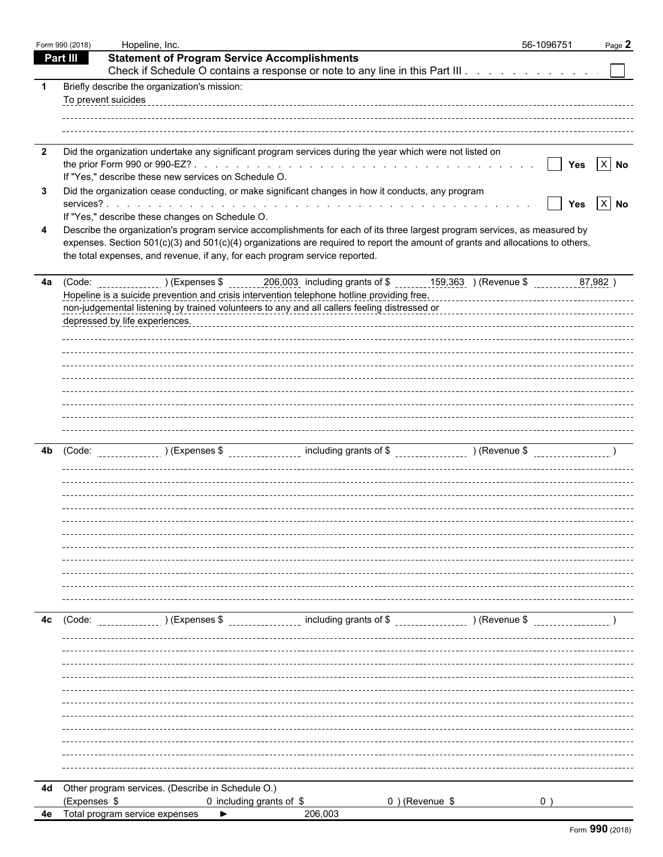|                         | Form 990 (2018) | Hopeline, Inc.                                                                                                                                                                                                                                                                                                                                                                           | 56-1096751      | Page 2     |
|-------------------------|-----------------|------------------------------------------------------------------------------------------------------------------------------------------------------------------------------------------------------------------------------------------------------------------------------------------------------------------------------------------------------------------------------------------|-----------------|------------|
|                         | <b>Part III</b> | <b>Statement of Program Service Accomplishments</b>                                                                                                                                                                                                                                                                                                                                      |                 |            |
|                         |                 | Check if Schedule O contains a response or note to any line in this Part III                                                                                                                                                                                                                                                                                                             |                 |            |
| -1                      |                 | Briefly describe the organization's mission:                                                                                                                                                                                                                                                                                                                                             |                 |            |
|                         |                 | To prevent suicides                                                                                                                                                                                                                                                                                                                                                                      |                 |            |
|                         |                 |                                                                                                                                                                                                                                                                                                                                                                                          |                 |            |
|                         |                 |                                                                                                                                                                                                                                                                                                                                                                                          |                 |            |
| $\overline{\mathbf{2}}$ |                 | Did the organization undertake any significant program services during the year which were not listed on                                                                                                                                                                                                                                                                                 |                 |            |
|                         |                 |                                                                                                                                                                                                                                                                                                                                                                                          | $\vert \ \vert$ | Yes $X$ No |
|                         |                 | If "Yes," describe these new services on Schedule O.                                                                                                                                                                                                                                                                                                                                     |                 |            |
| 3                       |                 | Did the organization cease conducting, or make significant changes in how it conducts, any program                                                                                                                                                                                                                                                                                       | $\mathbf{I}$    | Yes $X$ No |
|                         |                 | If "Yes," describe these changes on Schedule O.                                                                                                                                                                                                                                                                                                                                          |                 |            |
| 4                       |                 | Describe the organization's program service accomplishments for each of its three largest program services, as measured by                                                                                                                                                                                                                                                               |                 |            |
|                         |                 | expenses. Section 501(c)(3) and 501(c)(4) organizations are required to report the amount of grants and allocations to others,                                                                                                                                                                                                                                                           |                 |            |
|                         |                 | the total expenses, and revenue, if any, for each program service reported.                                                                                                                                                                                                                                                                                                              |                 |            |
|                         |                 |                                                                                                                                                                                                                                                                                                                                                                                          |                 |            |
|                         |                 | 4a (Code: _________________) (Expenses \$ ________206,003 including grants of \$ _______159,363 ) (Revenue \$                                                                                                                                                                                                                                                                            |                 | 87,982)    |
|                         |                 | Hopeline is a suicide prevention and crisis intervention telephone hotline providing free,<br>Hopeline is a suicide prevention and crisis intervention telephone hotline providing free,<br>non-judgemental listening by trained volunteers to any and all callers feeling distressed or<br>non-judgemental listening by trained volunteers to any and all callers feeling distressed or |                 |            |
|                         |                 | depressed by life experiences.                                                                                                                                                                                                                                                                                                                                                           |                 |            |
|                         |                 |                                                                                                                                                                                                                                                                                                                                                                                          |                 |            |
|                         |                 |                                                                                                                                                                                                                                                                                                                                                                                          |                 |            |
|                         |                 |                                                                                                                                                                                                                                                                                                                                                                                          |                 |            |
|                         |                 |                                                                                                                                                                                                                                                                                                                                                                                          |                 |            |
|                         |                 |                                                                                                                                                                                                                                                                                                                                                                                          |                 |            |
|                         |                 |                                                                                                                                                                                                                                                                                                                                                                                          |                 |            |
|                         |                 |                                                                                                                                                                                                                                                                                                                                                                                          |                 |            |
|                         |                 |                                                                                                                                                                                                                                                                                                                                                                                          |                 |            |
| 4b                      | (Code:          |                                                                                                                                                                                                                                                                                                                                                                                          |                 |            |
|                         |                 |                                                                                                                                                                                                                                                                                                                                                                                          |                 |            |
|                         |                 |                                                                                                                                                                                                                                                                                                                                                                                          |                 |            |
|                         |                 |                                                                                                                                                                                                                                                                                                                                                                                          |                 |            |
|                         |                 |                                                                                                                                                                                                                                                                                                                                                                                          |                 |            |
|                         |                 |                                                                                                                                                                                                                                                                                                                                                                                          |                 |            |
|                         |                 |                                                                                                                                                                                                                                                                                                                                                                                          |                 |            |
|                         |                 |                                                                                                                                                                                                                                                                                                                                                                                          |                 |            |
|                         |                 |                                                                                                                                                                                                                                                                                                                                                                                          |                 |            |
|                         |                 |                                                                                                                                                                                                                                                                                                                                                                                          |                 |            |
|                         |                 |                                                                                                                                                                                                                                                                                                                                                                                          |                 |            |
| 4c                      | (Code:          | ________________ including grants of \$ __________________ ) (Revenue \$<br>) (Expenses \$                                                                                                                                                                                                                                                                                               |                 |            |
|                         |                 |                                                                                                                                                                                                                                                                                                                                                                                          |                 |            |
|                         |                 |                                                                                                                                                                                                                                                                                                                                                                                          |                 |            |
|                         |                 |                                                                                                                                                                                                                                                                                                                                                                                          |                 |            |
|                         |                 |                                                                                                                                                                                                                                                                                                                                                                                          |                 |            |
|                         |                 |                                                                                                                                                                                                                                                                                                                                                                                          |                 |            |
|                         |                 |                                                                                                                                                                                                                                                                                                                                                                                          |                 |            |
|                         |                 |                                                                                                                                                                                                                                                                                                                                                                                          |                 |            |
|                         |                 |                                                                                                                                                                                                                                                                                                                                                                                          |                 |            |
|                         |                 |                                                                                                                                                                                                                                                                                                                                                                                          |                 |            |
|                         |                 |                                                                                                                                                                                                                                                                                                                                                                                          |                 |            |
|                         |                 |                                                                                                                                                                                                                                                                                                                                                                                          |                 |            |
|                         |                 | 4d Other program services. (Describe in Schedule O.)                                                                                                                                                                                                                                                                                                                                     |                 |            |
|                         | (Expenses \$    | 0) (Revenue \$<br>0 including grants of \$                                                                                                                                                                                                                                                                                                                                               |                 |            |
| 4e                      |                 | Total program service expenses<br>206,003                                                                                                                                                                                                                                                                                                                                                |                 |            |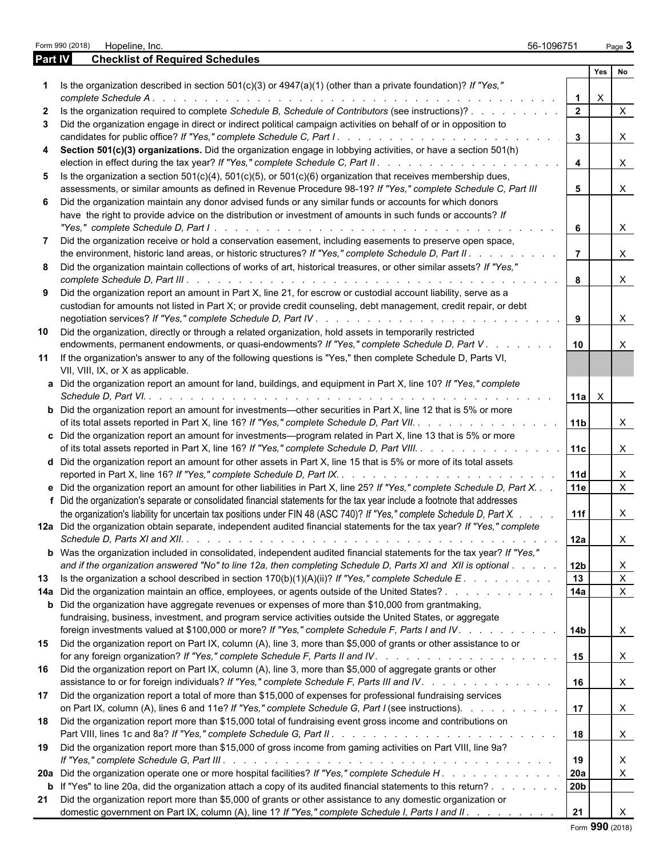|                   | Form 990 (2018) | Hopeline, Inc.                                                                                                                                                                                                                                                                                                                                                                                                                                                                                                                                                                                                                                                                                                               | 56-1096751                     |                | Page 3 |              |
|-------------------|-----------------|------------------------------------------------------------------------------------------------------------------------------------------------------------------------------------------------------------------------------------------------------------------------------------------------------------------------------------------------------------------------------------------------------------------------------------------------------------------------------------------------------------------------------------------------------------------------------------------------------------------------------------------------------------------------------------------------------------------------------|--------------------------------|----------------|--------|--------------|
| <b>Part IV</b>    |                 | <b>Checklist of Required Schedules</b>                                                                                                                                                                                                                                                                                                                                                                                                                                                                                                                                                                                                                                                                                       |                                |                |        |              |
|                   |                 |                                                                                                                                                                                                                                                                                                                                                                                                                                                                                                                                                                                                                                                                                                                              |                                | Yes            |        | <b>No</b>    |
|                   |                 | Is the organization described in section $501(c)(3)$ or $4947(a)(1)$ (other than a private foundation)? If "Yes,"                                                                                                                                                                                                                                                                                                                                                                                                                                                                                                                                                                                                            |                                |                |        |              |
|                   |                 | complete Schedule A.<br>and the contract of the contract of the contract of the contract of the contract of the contract of the contract of the contract of the contract of the contract of the contract of the contract of the contract of the contra                                                                                                                                                                                                                                                                                                                                                                                                                                                                       | $\mathbf{1}$<br>$\overline{2}$ | X              |        |              |
| $\mathbf{2}$<br>3 |                 | Is the organization required to complete Schedule B, Schedule of Contributors (see instructions)?<br>Did the organization engage in direct or indirect political campaign activities on behalf of or in opposition to                                                                                                                                                                                                                                                                                                                                                                                                                                                                                                        |                                |                |        | $\times$     |
| 4                 |                 | Section 501(c)(3) organizations. Did the organization engage in lobbying activities, or have a section 501(h)                                                                                                                                                                                                                                                                                                                                                                                                                                                                                                                                                                                                                | $\mathbf{3}$                   |                |        | $\times$     |
|                   |                 |                                                                                                                                                                                                                                                                                                                                                                                                                                                                                                                                                                                                                                                                                                                              | 4                              |                |        | X            |
| 5.                |                 | Is the organization a section $501(c)(4)$ , $501(c)(5)$ , or $501(c)(6)$ organization that receives membership dues,<br>assessments, or similar amounts as defined in Revenue Procedure 98-19? If "Yes," complete Schedule C, Part III                                                                                                                                                                                                                                                                                                                                                                                                                                                                                       | 5                              |                |        | X            |
|                   |                 | 6 Did the organization maintain any donor advised funds or any similar funds or accounts for which donors<br>have the right to provide advice on the distribution or investment of amounts in such funds or accounts? If<br>"Yes," complete Schedule D, Part I.<br>$\mathcal{L}^{\mathcal{A}}(\mathcal{A}^{\mathcal{A}}(\mathcal{A}^{\mathcal{A}}(\mathcal{A}^{\mathcal{A}}(\mathcal{A}^{\mathcal{A}}(\mathcal{A}^{\mathcal{A}}(\mathcal{A}^{\mathcal{A}}(\mathcal{A}^{\mathcal{A}}(\mathcal{A}^{\mathcal{A}}(\mathcal{A}^{\mathcal{A}}(\mathcal{A}^{\mathcal{A}}(\mathcal{A}^{\mathcal{A}}(\mathcal{A}^{\mathcal{A}}(\mathcal{A}^{\mathcal{A}}(\mathcal{A}^{\mathcal{A}}(\mathcal{A}^{\mathcal{A}}(\mathcal{A}^{\mathcal{A$ | 6                              |                |        | $\mathsf{X}$ |
|                   |                 | Did the organization receive or hold a conservation easement, including easements to preserve open space,                                                                                                                                                                                                                                                                                                                                                                                                                                                                                                                                                                                                                    | $\overline{7}$                 |                |        | $\times$     |
|                   |                 | the environment, historic land areas, or historic structures? If "Yes," complete Schedule D, Part II.<br>8 Did the organization maintain collections of works of art, historical treasures, or other similar assets? If "Yes,"                                                                                                                                                                                                                                                                                                                                                                                                                                                                                               |                                |                |        |              |
|                   |                 | 9 Did the organization report an amount in Part X, line 21, for escrow or custodial account liability, serve as a                                                                                                                                                                                                                                                                                                                                                                                                                                                                                                                                                                                                            | 8                              |                |        | X            |
|                   |                 | custodian for amounts not listed in Part X; or provide credit counseling, debt management, credit repair, or debt                                                                                                                                                                                                                                                                                                                                                                                                                                                                                                                                                                                                            | 9                              |                |        | X            |
| 10                |                 | Did the organization, directly or through a related organization, hold assets in temporarily restricted                                                                                                                                                                                                                                                                                                                                                                                                                                                                                                                                                                                                                      |                                |                |        |              |
|                   |                 | endowments, permanent endowments, or quasi-endowments? If "Yes," complete Schedule D, Part V.                                                                                                                                                                                                                                                                                                                                                                                                                                                                                                                                                                                                                                | 10                             |                |        | $\times$     |
| 11                |                 | If the organization's answer to any of the following questions is "Yes," then complete Schedule D, Parts VI,<br>VII, VIII, IX, or X as applicable.                                                                                                                                                                                                                                                                                                                                                                                                                                                                                                                                                                           |                                |                |        |              |
|                   |                 | a Did the organization report an amount for land, buildings, and equipment in Part X, line 10? If "Yes," complete                                                                                                                                                                                                                                                                                                                                                                                                                                                                                                                                                                                                            |                                | $11a$ $\times$ |        |              |
|                   |                 | <b>b</b> Did the organization report an amount for investments—other securities in Part X, line 12 that is 5% or more<br>of its total assets reported in Part X, line 16? If "Yes," complete Schedule D, Part VII.                                                                                                                                                                                                                                                                                                                                                                                                                                                                                                           | 11 <sub>b</sub>                |                |        | X            |
|                   |                 | c Did the organization report an amount for investments—program related in Part X, line 13 that is 5% or more<br>of its total assets reported in Part X, line 16? If "Yes," complete Schedule D, Part VIII.                                                                                                                                                                                                                                                                                                                                                                                                                                                                                                                  | 11c                            |                |        | $\times$     |
|                   |                 | d Did the organization report an amount for other assets in Part X, line 15 that is 5% or more of its total assets                                                                                                                                                                                                                                                                                                                                                                                                                                                                                                                                                                                                           | 11d                            |                |        | X            |
|                   |                 | e Did the organization report an amount for other liabilities in Part X, line 25? If "Yes," complete Schedule D, Part X. .<br>f Did the organization's separate or consolidated financial statements for the tax year include a footnote that addresses                                                                                                                                                                                                                                                                                                                                                                                                                                                                      | 11e                            |                |        | $\mathsf{X}$ |
|                   |                 | the organization's liability for uncertain tax positions under FIN 48 (ASC 740)? If "Yes," complete Schedule D, Part X.                                                                                                                                                                                                                                                                                                                                                                                                                                                                                                                                                                                                      | 11f                            |                |        | X            |
|                   |                 | 12a Did the organization obtain separate, independent audited financial statements for the tax year? If "Yes," complete                                                                                                                                                                                                                                                                                                                                                                                                                                                                                                                                                                                                      | 12a                            |                |        | X            |
|                   |                 | b Was the organization included in consolidated, independent audited financial statements for the tax year? If "Yes,"                                                                                                                                                                                                                                                                                                                                                                                                                                                                                                                                                                                                        |                                |                |        |              |
|                   |                 | and if the organization answered "No" to line 12a, then completing Schedule D, Parts XI and XII is optional                                                                                                                                                                                                                                                                                                                                                                                                                                                                                                                                                                                                                  | 12 <sub>b</sub>                |                |        | X            |
| 13                |                 | Is the organization a school described in section $170(b)(1)(A)(ii)$ ? If "Yes," complete Schedule E.                                                                                                                                                                                                                                                                                                                                                                                                                                                                                                                                                                                                                        | 13                             |                |        | X            |
|                   |                 | 14a Did the organization maintain an office, employees, or agents outside of the United States?<br><b>b</b> Did the organization have aggregate revenues or expenses of more than \$10,000 from grantmaking,                                                                                                                                                                                                                                                                                                                                                                                                                                                                                                                 | 14a                            |                |        | $\times$     |
|                   |                 | fundraising, business, investment, and program service activities outside the United States, or aggregate<br>foreign investments valued at \$100,000 or more? If "Yes," complete Schedule F, Parts I and IV.                                                                                                                                                                                                                                                                                                                                                                                                                                                                                                                 | 14b                            |                |        | X            |
|                   |                 | 15 Did the organization report on Part IX, column (A), line 3, more than \$5,000 of grants or other assistance to or                                                                                                                                                                                                                                                                                                                                                                                                                                                                                                                                                                                                         | 15                             |                |        |              |
|                   |                 | 16 Did the organization report on Part IX, column (A), line 3, more than \$5,000 of aggregate grants or other                                                                                                                                                                                                                                                                                                                                                                                                                                                                                                                                                                                                                |                                |                |        | X            |
| 17                |                 | assistance to or for foreign individuals? If "Yes," complete Schedule F, Parts III and IV.<br>Did the organization report a total of more than \$15,000 of expenses for professional fundraising services                                                                                                                                                                                                                                                                                                                                                                                                                                                                                                                    | 16                             |                |        | X            |
| 18                |                 | on Part IX, column (A), lines 6 and 11e? If "Yes," complete Schedule G, Part I (see instructions).<br>Did the organization report more than \$15,000 total of fundraising event gross income and contributions on                                                                                                                                                                                                                                                                                                                                                                                                                                                                                                            | 17                             |                |        | X            |
| 19                |                 | Did the organization report more than \$15,000 of gross income from gaming activities on Part VIII, line 9a?                                                                                                                                                                                                                                                                                                                                                                                                                                                                                                                                                                                                                 | 18                             |                |        | $\mathsf{X}$ |
|                   |                 |                                                                                                                                                                                                                                                                                                                                                                                                                                                                                                                                                                                                                                                                                                                              | 19                             |                |        | X            |
|                   |                 | 20a Did the organization operate one or more hospital facilities? If "Yes," complete Schedule H.                                                                                                                                                                                                                                                                                                                                                                                                                                                                                                                                                                                                                             | 20a                            |                |        | X            |
|                   |                 | <b>b</b> If "Yes" to line 20a, did the organization attach a copy of its audited financial statements to this return?                                                                                                                                                                                                                                                                                                                                                                                                                                                                                                                                                                                                        | 20b                            |                |        |              |
| 21                |                 | Did the organization report more than \$5,000 of grants or other assistance to any domestic organization or                                                                                                                                                                                                                                                                                                                                                                                                                                                                                                                                                                                                                  |                                |                |        |              |
|                   |                 | domestic government on Part IX, column (A), line 1? If "Yes," complete Schedule I, Parts I and II.                                                                                                                                                                                                                                                                                                                                                                                                                                                                                                                                                                                                                           | 21                             |                |        | $\times$     |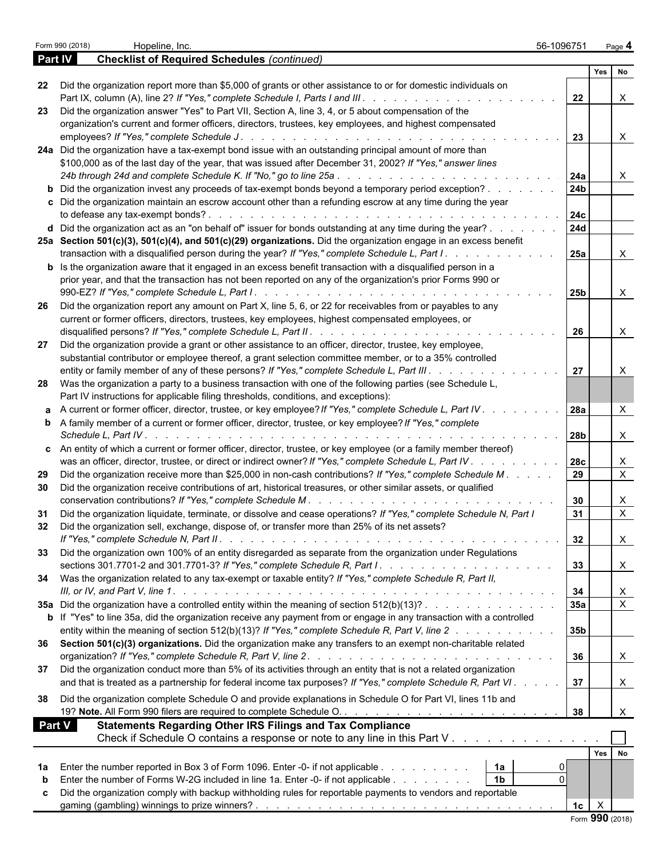|                | Form 990 (2018) | Hopeline, Inc.                                                                                                                                                                                        | 56-1096751      |             | Page 4                    |
|----------------|-----------------|-------------------------------------------------------------------------------------------------------------------------------------------------------------------------------------------------------|-----------------|-------------|---------------------------|
| <b>Part IV</b> |                 | <b>Checklist of Required Schedules (continued)</b>                                                                                                                                                    |                 |             |                           |
|                |                 |                                                                                                                                                                                                       |                 | Yes         | l No                      |
|                |                 | 22 Did the organization report more than \$5,000 of grants or other assistance to or for domestic individuals on                                                                                      |                 |             |                           |
|                |                 |                                                                                                                                                                                                       | 22              |             | $\boldsymbol{\mathsf{X}}$ |
|                |                 | 23 Did the organization answer "Yes" to Part VII, Section A, line 3, 4, or 5 about compensation of the                                                                                                |                 |             |                           |
|                |                 | organization's current and former officers, directors, trustees, key employees, and highest compensated                                                                                               |                 |             |                           |
|                |                 | employees? If "Yes," complete Schedule J.<br>de la caractería de la caractería de la caractería                                                                                                       | 23              |             | $\mathsf{X}$              |
|                |                 | 24a Did the organization have a tax-exempt bond issue with an outstanding principal amount of more than                                                                                               |                 |             |                           |
|                |                 | \$100,000 as of the last day of the year, that was issued after December 31, 2002? If "Yes," answer lines                                                                                             |                 |             |                           |
|                |                 | 24b through 24d and complete Schedule K. If "No," go to line 25a<br>and the contract of the contract of the contract of                                                                               | 24a             |             | $\boldsymbol{\mathsf{X}}$ |
|                |                 | <b>b</b> Did the organization invest any proceeds of tax-exempt bonds beyond a temporary period exception?                                                                                            | 24 <b>b</b>     |             |                           |
|                |                 | c Did the organization maintain an escrow account other than a refunding escrow at any time during the year                                                                                           |                 |             |                           |
|                |                 | to defease any tax-exempt bonds?<br>the contract of the contract of the contract of the contract of the contract of the contract of the contract of                                                   | 24c             |             |                           |
|                |                 | <b>d</b> Did the organization act as an "on behalf of" issuer for bonds outstanding at any time during the year? $\ldots$                                                                             | <b>24d</b>      |             |                           |
|                |                 |                                                                                                                                                                                                       |                 |             |                           |
|                |                 | 25a Section 501(c)(3), 501(c)(4), and 501(c)(29) organizations. Did the organization engage in an excess benefit                                                                                      |                 |             |                           |
|                |                 | transaction with a disqualified person during the year? If "Yes," complete Schedule L, Part I.<br>and the company of the company of                                                                   | 25a             |             | $\boldsymbol{\mathsf{X}}$ |
|                |                 | <b>b</b> Is the organization aware that it engaged in an excess benefit transaction with a disqualified person in a                                                                                   |                 |             |                           |
|                |                 | prior year, and that the transaction has not been reported on any of the organization's prior Forms 990 or                                                                                            |                 |             |                           |
|                |                 |                                                                                                                                                                                                       | 25 <sub>b</sub> |             | $\boldsymbol{\mathsf{X}}$ |
| 26             |                 | Did the organization report any amount on Part X, line 5, 6, or 22 for receivables from or payables to any                                                                                            |                 |             |                           |
|                |                 | current or former officers, directors, trustees, key employees, highest compensated employees, or                                                                                                     |                 |             |                           |
|                |                 |                                                                                                                                                                                                       | 26              |             | $\boldsymbol{\mathsf{X}}$ |
| 27             |                 | Did the organization provide a grant or other assistance to an officer, director, trustee, key employee,                                                                                              |                 |             |                           |
|                |                 | substantial contributor or employee thereof, a grant selection committee member, or to a 35% controlled                                                                                               |                 |             |                           |
|                |                 | entity or family member of any of these persons? If "Yes," complete Schedule L, Part III.                                                                                                             | 27              |             | $\boldsymbol{\mathsf{X}}$ |
|                |                 | 28 Was the organization a party to a business transaction with one of the following parties (see Schedule L,                                                                                          |                 |             |                           |
|                |                 | Part IV instructions for applicable filing thresholds, conditions, and exceptions):                                                                                                                   |                 |             |                           |
|                |                 | a A current or former officer, director, trustee, or key employee? If "Yes," complete Schedule L, Part IV.                                                                                            | 28a             |             | $\times$                  |
|                |                 | <b>b</b> A family member of a current or former officer, director, trustee, or key employee? If "Yes," complete                                                                                       |                 |             |                           |
|                |                 |                                                                                                                                                                                                       | <b>28b</b>      |             |                           |
|                |                 |                                                                                                                                                                                                       |                 |             | $\mathsf{X}$              |
|                |                 | c An entity of which a current or former officer, director, trustee, or key employee (or a family member thereof)                                                                                     |                 |             |                           |
|                |                 | was an officer, director, trustee, or direct or indirect owner? If "Yes," complete Schedule L, Part IV.<br>and a straight and a straight and                                                          | <b>28c</b>      |             | $\mathsf{X}$              |
| 29             |                 | Did the organization receive more than \$25,000 in non-cash contributions? If "Yes," complete Schedule M.                                                                                             | 29              |             | $\mathsf{X}$              |
| 30             |                 | Did the organization receive contributions of art, historical treasures, or other similar assets, or qualified                                                                                        |                 |             |                           |
|                |                 | conservation contributions? If "Yes," complete Schedule M.                                                                                                                                            | 30              |             | $\mathsf{X}$              |
|                |                 | 31 Did the organization liquidate, terminate, or dissolve and cease operations? If "Yes," complete Schedule N, Part I                                                                                 | 31              |             | $\mathsf{X}$              |
|                |                 | Did the organization sell, exchange, dispose of, or transfer more than 25% of its net assets?                                                                                                         |                 |             |                           |
|                |                 |                                                                                                                                                                                                       | 32              |             | $\mathsf{X}$              |
|                |                 | 33 Did the organization own 100% of an entity disregarded as separate from the organization under Regulations                                                                                         |                 |             |                           |
|                |                 |                                                                                                                                                                                                       | 33              |             | $\boldsymbol{\mathsf{X}}$ |
|                |                 |                                                                                                                                                                                                       |                 |             |                           |
|                |                 | 34 Was the organization related to any tax-exempt or taxable entity? If "Yes," complete Schedule R, Part II,                                                                                          |                 |             |                           |
|                |                 |                                                                                                                                                                                                       | 34              |             | $\boldsymbol{\mathsf{X}}$ |
|                |                 | 35a Did the organization have a controlled entity within the meaning of section $512(b)(13)?$                                                                                                         | 35a             |             | $\overline{X}$            |
|                |                 | b If "Yes" to line 35a, did the organization receive any payment from or engage in any transaction with a controlled                                                                                  |                 |             |                           |
|                |                 | entity within the meaning of section 512(b)(13)? If "Yes," complete Schedule R, Part V, line 2                                                                                                        | 35 <sub>b</sub> |             |                           |
|                |                 | 36 Section 501(c)(3) organizations. Did the organization make any transfers to an exempt non-charitable related                                                                                       |                 |             |                           |
|                |                 |                                                                                                                                                                                                       | 36              |             | $\mathsf{X}$              |
| 37             |                 | Did the organization conduct more than 5% of its activities through an entity that is not a related organization                                                                                      |                 |             |                           |
|                |                 | and that is treated as a partnership for federal income tax purposes? If "Yes," complete Schedule R, Part VI.                                                                                         | 37              |             | $\mathsf{X}$              |
|                |                 | 38 Did the organization complete Schedule O and provide explanations in Schedule O for Part VI, lines 11b and                                                                                         |                 |             |                           |
|                |                 |                                                                                                                                                                                                       | 38              |             | $\times$                  |
| <b>Part V</b>  |                 | <b>Statements Regarding Other IRS Filings and Tax Compliance</b>                                                                                                                                      |                 |             |                           |
|                |                 |                                                                                                                                                                                                       |                 |             |                           |
|                |                 | Check if Schedule O contains a response or note to any line in this Part V                                                                                                                            |                 |             |                           |
|                |                 |                                                                                                                                                                                                       |                 |             | Yes No                    |
| 1a             |                 | Enter the number reported in Box 3 of Form 1096. Enter -0- if not applicable<br>1a<br>the contract of the contract of the contract of the contract of the contract of the contract of the contract of |                 |             |                           |
| b              |                 | 1 <sub>b</sub><br>Enter the number of Forms W-2G included in line 1a. Enter -0- if not applicable                                                                                                     |                 |             |                           |
| c              |                 | Did the organization comply with backup withholding rules for reportable payments to vendors and reportable                                                                                           |                 |             |                           |
|                |                 |                                                                                                                                                                                                       |                 | $1c \mid X$ |                           |
|                |                 |                                                                                                                                                                                                       |                 |             | Form 990 (2018)           |
|                |                 |                                                                                                                                                                                                       |                 |             |                           |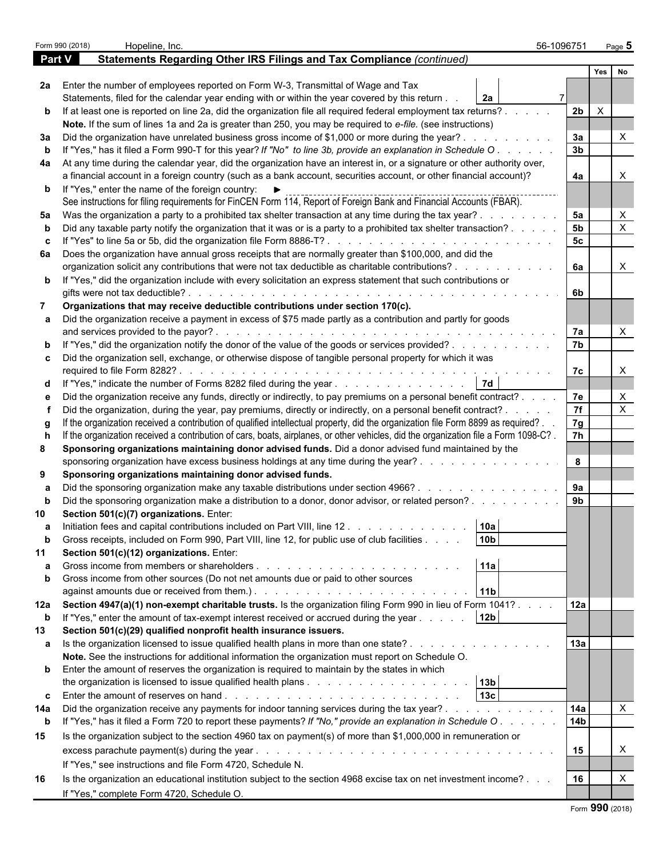|               | Form 990 (2018) | Hopeline, Inc.                                                                                                                                                                                                              | 56-1096751           |              | Page $5$                  |  |  |
|---------------|-----------------|-----------------------------------------------------------------------------------------------------------------------------------------------------------------------------------------------------------------------------|----------------------|--------------|---------------------------|--|--|
| <b>Part V</b> |                 | Statements Regarding Other IRS Filings and Tax Compliance (continued)                                                                                                                                                       |                      |              |                           |  |  |
|               |                 |                                                                                                                                                                                                                             |                      | Yes          | No                        |  |  |
|               |                 | 2a Enter the number of employees reported on Form W-3, Transmittal of Wage and Tax                                                                                                                                          |                      |              |                           |  |  |
|               |                 | Statements, filed for the calendar year ending with or within the year covered by this return.<br>2а                                                                                                                        |                      |              |                           |  |  |
|               |                 | b If at least one is reported on line 2a, did the organization file all required federal employment tax returns?.                                                                                                           | 2 <sub>b</sub>       | $\mathsf{X}$ |                           |  |  |
|               |                 | Note. If the sum of lines 1a and 2a is greater than 250, you may be required to e-file. (see instructions)                                                                                                                  |                      |              |                           |  |  |
| За            |                 | Did the organization have unrelated business gross income of \$1,000 or more during the year?.                                                                                                                              | 3a                   |              | Χ                         |  |  |
|               |                 | If "Yes," has it filed a Form 990-T for this year? If "No" to line 3b, provide an explanation in Schedule O.                                                                                                                | 3 <sub>b</sub>       |              |                           |  |  |
|               |                 | 4a At any time during the calendar year, did the organization have an interest in, or a signature or other authority over,                                                                                                  |                      |              |                           |  |  |
|               |                 | a financial account in a foreign country (such as a bank account, securities account, or other financial account)?                                                                                                          | 4a                   |              |                           |  |  |
|               |                 | <b>b</b> If "Yes," enter the name of the foreign country: $\blacktriangleright$                                                                                                                                             |                      |              |                           |  |  |
|               |                 | See instructions for filing requirements for FinCEN Form 114, Report of Foreign Bank and Financial Accounts (FBAR).                                                                                                         |                      |              | X                         |  |  |
| 5а            |                 | Was the organization a party to a prohibited tax shelter transaction at any time during the tax year?.<br>Did any taxable party notify the organization that it was or is a party to a prohibited tax shelter transaction?. | 5a<br>5 <sub>b</sub> |              | X                         |  |  |
|               |                 | If "Yes" to line 5a or 5b, did the organization file Form 8886-T?                                                                                                                                                           | 5 <sub>c</sub>       |              |                           |  |  |
|               |                 | 6a Does the organization have annual gross receipts that are normally greater than \$100,000, and did the                                                                                                                   |                      |              |                           |  |  |
|               |                 | organization solicit any contributions that were not tax deductible as charitable contributions?.                                                                                                                           | 6a                   |              | $\mathsf{X}$              |  |  |
|               |                 | <b>b</b> If "Yes," did the organization include with every solicitation an express statement that such contributions or                                                                                                     |                      |              |                           |  |  |
|               |                 | gifts were not tax deductible?                                                                                                                                                                                              | 6b                   |              |                           |  |  |
|               |                 | Organizations that may receive deductible contributions under section 170(c).                                                                                                                                               |                      |              |                           |  |  |
|               |                 | Did the organization receive a payment in excess of \$75 made partly as a contribution and partly for goods                                                                                                                 |                      |              |                           |  |  |
|               |                 | and services provided to the payor?.                                                                                                                                                                                        | 7a                   |              | $\boldsymbol{\mathsf{X}}$ |  |  |
|               |                 | If "Yes," did the organization notify the donor of the value of the goods or services provided?                                                                                                                             | 7b                   |              |                           |  |  |
|               |                 | c Did the organization sell, exchange, or otherwise dispose of tangible personal property for which it was                                                                                                                  |                      |              |                           |  |  |
|               |                 |                                                                                                                                                                                                                             | 7c                   |              | $\times$                  |  |  |
|               |                 | 7d<br>d If "Yes," indicate the number of Forms 8282 filed during the year                                                                                                                                                   |                      |              |                           |  |  |
|               |                 | Did the organization receive any funds, directly or indirectly, to pay premiums on a personal benefit contract?.                                                                                                            | 7e                   |              | X                         |  |  |
|               |                 | Did the organization, during the year, pay premiums, directly or indirectly, on a personal benefit contract? .                                                                                                              | $\overline{7f}$      |              | X                         |  |  |
|               |                 | If the organization received a contribution of qualified intellectual property, did the organization file Form 8899 as required?.                                                                                           | 7g                   |              |                           |  |  |
|               |                 | If the organization received a contribution of cars, boats, airplanes, or other vehicles, did the organization file a Form 1098-C?.                                                                                         | 7h                   |              |                           |  |  |
| 8             |                 | Sponsoring organizations maintaining donor advised funds. Did a donor advised fund maintained by the                                                                                                                        |                      |              |                           |  |  |
|               |                 | sponsoring organization have excess business holdings at any time during the year?                                                                                                                                          | 8                    |              |                           |  |  |
| 9             |                 | Sponsoring organizations maintaining donor advised funds.                                                                                                                                                                   |                      |              |                           |  |  |
|               |                 | Did the sponsoring organization make any taxable distributions under section 4966?.<br>$\mathbf{r}$ , $\mathbf{r}$ , $\mathbf{r}$ , $\mathbf{r}$ , $\mathbf{r}$ , $\mathbf{r}$ , $\mathbf{r}$                               | 9a<br>9 <sub>b</sub> |              |                           |  |  |
|               |                 | Did the sponsoring organization make a distribution to a donor, donor advisor, or related person?<br>Section 501(c)(7) organizations. Enter:                                                                                |                      |              |                           |  |  |
|               |                 | 10a<br>Initiation fees and capital contributions included on Part VIII, line 12.                                                                                                                                            |                      |              |                           |  |  |
| b             |                 | 10 <sub>b</sub><br>Gross receipts, included on Form 990, Part VIII, line 12, for public use of club facilities                                                                                                              |                      |              |                           |  |  |
| 11            |                 | Section 501(c)(12) organizations. Enter:                                                                                                                                                                                    |                      |              |                           |  |  |
|               |                 | 11a<br>Gross income from members or shareholders<br>and the contract of the contract of the contract of                                                                                                                     |                      |              |                           |  |  |
|               |                 | Gross income from other sources (Do not net amounts due or paid to other sources                                                                                                                                            |                      |              |                           |  |  |
|               |                 | 11 <sub>b</sub>                                                                                                                                                                                                             |                      |              |                           |  |  |
|               |                 | 12a Section 4947(a)(1) non-exempt charitable trusts. Is the organization filing Form 990 in lieu of Form 1041?.                                                                                                             | 12a                  |              |                           |  |  |
| $\mathbf b$   |                 | 12 <sub>b</sub><br>If "Yes," enter the amount of tax-exempt interest received or accrued during the year                                                                                                                    |                      |              |                           |  |  |
| 13            |                 | Section 501(c)(29) qualified nonprofit health insurance issuers.                                                                                                                                                            |                      |              |                           |  |  |
|               |                 | <b>a</b> Is the organization licensed to issue qualified health plans in more than one state?                                                                                                                               | 13a                  |              |                           |  |  |
|               |                 | Note. See the instructions for additional information the organization must report on Schedule O.                                                                                                                           |                      |              |                           |  |  |
|               |                 | <b>b</b> Enter the amount of reserves the organization is required to maintain by the states in which                                                                                                                       |                      |              |                           |  |  |
|               |                 |                                                                                                                                                                                                                             |                      |              |                           |  |  |
|               |                 | 13 <sub>c</sub>                                                                                                                                                                                                             |                      |              |                           |  |  |
| 14a           |                 | Did the organization receive any payments for indoor tanning services during the tax year?.<br>the contract of the contract of the                                                                                          | 14a                  |              | $\mathsf{X}$              |  |  |
| $\mathbf b$   |                 | If "Yes," has it filed a Form 720 to report these payments? If "No," provide an explanation in Schedule O.                                                                                                                  | 14 <sub>b</sub>      |              |                           |  |  |
| 15            |                 | Is the organization subject to the section 4960 tax on payment(s) of more than \$1,000,000 in remuneration or                                                                                                               |                      |              |                           |  |  |
|               |                 |                                                                                                                                                                                                                             | 15                   |              | X                         |  |  |
|               |                 | If "Yes," see instructions and file Form 4720, Schedule N.                                                                                                                                                                  |                      |              |                           |  |  |
| 16            |                 | Is the organization an educational institution subject to the section 4968 excise tax on net investment income?                                                                                                             | 16                   |              |                           |  |  |
|               |                 | If "Yes," complete Form 4720, Schedule O.                                                                                                                                                                                   |                      |              |                           |  |  |
|               |                 |                                                                                                                                                                                                                             |                      |              |                           |  |  |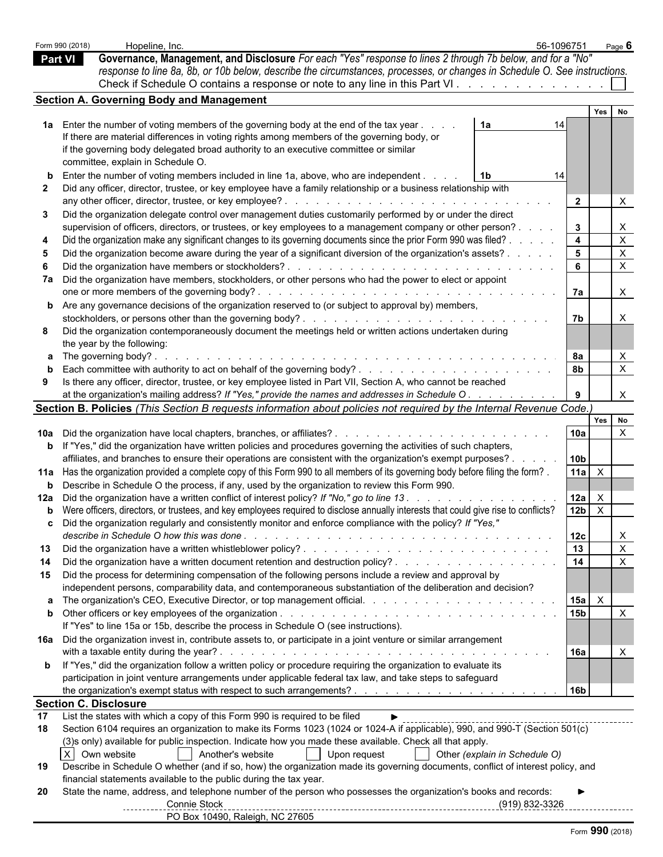| Form 990 (2018) | Hopeline, Inc.                                                                                                                                                                                                                     |                               | 56-1096751                     | Page $6$                                  |
|-----------------|------------------------------------------------------------------------------------------------------------------------------------------------------------------------------------------------------------------------------------|-------------------------------|--------------------------------|-------------------------------------------|
| <b>Part VI</b>  | Governance, Management, and Disclosure For each "Yes" response to lines 2 through 7b below, and for a "No"                                                                                                                         |                               |                                |                                           |
|                 | response to line 8a, 8b, or 10b below, describe the circumstances, processes, or changes in Schedule O. See instructions.                                                                                                          |                               |                                |                                           |
|                 | Check if Schedule O contains a response or note to any line in this Part VI.                                                                                                                                                       |                               |                                |                                           |
|                 | <b>Section A. Governing Body and Management</b>                                                                                                                                                                                    |                               |                                |                                           |
|                 |                                                                                                                                                                                                                                    |                               |                                | Yes No                                    |
|                 | 1a Enter the number of voting members of the governing body at the end of the tax year                                                                                                                                             | 1a                            | 14                             |                                           |
|                 | If there are material differences in voting rights among members of the governing body, or<br>if the governing body delegated broad authority to an executive committee or similar                                                 |                               |                                |                                           |
|                 | committee, explain in Schedule O.                                                                                                                                                                                                  |                               |                                |                                           |
|                 | Enter the number of voting members included in line 1a, above, who are independent.                                                                                                                                                | 1 <sup>b</sup>                | 14                             |                                           |
|                 | Did any officer, director, trustee, or key employee have a family relationship or a business relationship with                                                                                                                     |                               |                                |                                           |
|                 | any other officer, director, trustee, or key employee?.<br>de la caractería de la caractería de la caractería de                                                                                                                   |                               | $\overline{2}$                 | $\times$                                  |
| 3               | Did the organization delegate control over management duties customarily performed by or under the direct                                                                                                                          |                               |                                |                                           |
|                 | supervision of officers, directors, or trustees, or key employees to a management company or other person?.<br>Did the organization make any significant changes to its governing documents since the prior Form 990 was filed?    |                               | $\mathbf{3}$<br>$\overline{4}$ | $\mathsf{X}$<br>$\boldsymbol{\mathsf{X}}$ |
|                 | Did the organization become aware during the year of a significant diversion of the organization's assets?.                                                                                                                        |                               | 5 <sub>5</sub>                 | $\boldsymbol{\mathsf{X}}$                 |
|                 | Did the organization have members or stockholders?.<br>and a construction of a construction of the construction                                                                                                                    |                               | 6                              | $\mathsf{X}$                              |
|                 | 7a Did the organization have members, stockholders, or other persons who had the power to elect or appoint                                                                                                                         |                               |                                |                                           |
|                 | one or more members of the governing body?.                                                                                                                                                                                        |                               | 7a                             | $\boldsymbol{\mathsf{X}}$                 |
|                 | <b>b</b> Are any governance decisions of the organization reserved to (or subject to approval by) members,                                                                                                                         |                               |                                |                                           |
|                 |                                                                                                                                                                                                                                    |                               | 7b                             | $\boldsymbol{\mathsf{X}}$                 |
|                 | Did the organization contemporaneously document the meetings held or written actions undertaken during                                                                                                                             |                               |                                |                                           |
|                 | the year by the following:                                                                                                                                                                                                         |                               |                                |                                           |
|                 | <b>a</b> The governing body?                                                                                                                                                                                                       |                               | 8а<br>8b                       | $\times$<br>$\boldsymbol{\mathsf{X}}$     |
| 9               | Is there any officer, director, trustee, or key employee listed in Part VII, Section A, who cannot be reached                                                                                                                      |                               |                                |                                           |
|                 | at the organization's mailing address? If "Yes," provide the names and addresses in Schedule O.                                                                                                                                    |                               | 9                              | $\times$                                  |
|                 | Section B. Policies (This Section B requests information about policies not required by the Internal Revenue Code.)                                                                                                                |                               |                                |                                           |
|                 |                                                                                                                                                                                                                                    |                               | Yes                            | No                                        |
|                 | 10a Did the organization have local chapters, branches, or affiliates?.                                                                                                                                                            | .                             | 10a                            | $\mathsf{X}$                              |
|                 | <b>b</b> If "Yes," did the organization have written policies and procedures governing the activities of such chapters,                                                                                                            |                               |                                |                                           |
|                 | affiliates, and branches to ensure their operations are consistent with the organization's exempt purposes?                                                                                                                        |                               | 10 <sub>b</sub>                |                                           |
|                 | 11a Has the organization provided a complete copy of this Form 990 to all members of its governing body before filing the form?                                                                                                    |                               | 11a $\overline{X}$             |                                           |
|                 | <b>b</b> Describe in Schedule O the process, if any, used by the organization to review this Form 990.<br>12a Did the organization have a written conflict of interest policy? If "No," go to line 13.                             |                               | X                              |                                           |
|                 | b Were officers, directors, or trustees, and key employees required to disclose annually interests that could give rise to conflicts?                                                                                              |                               | 12a<br>$12b$ $\times$          |                                           |
|                 | c Did the organization regularly and consistently monitor and enforce compliance with the policy? If "Yes,"                                                                                                                        |                               |                                |                                           |
|                 |                                                                                                                                                                                                                                    |                               | 12c                            | $\mathsf{X}$                              |
| 13              |                                                                                                                                                                                                                                    |                               | 13                             | $\boldsymbol{\mathsf{X}}$                 |
| 14              |                                                                                                                                                                                                                                    |                               | 14                             | $\boldsymbol{\mathsf{X}}$                 |
| 15              | Did the process for determining compensation of the following persons include a review and approval by                                                                                                                             |                               |                                |                                           |
|                 | independent persons, comparability data, and contemporaneous substantiation of the deliberation and decision?                                                                                                                      |                               |                                |                                           |
|                 |                                                                                                                                                                                                                                    |                               | $15a \quad X$                  |                                           |
|                 | If "Yes" to line 15a or 15b, describe the process in Schedule O (see instructions).                                                                                                                                                |                               | 15 <sub>b</sub>                | $\mathsf{X}$                              |
|                 | 16a Did the organization invest in, contribute assets to, or participate in a joint venture or similar arrangement                                                                                                                 |                               |                                |                                           |
|                 |                                                                                                                                                                                                                                    |                               | 16a                            | $\times$                                  |
|                 | <b>b</b> If "Yes," did the organization follow a written policy or procedure requiring the organization to evaluate its                                                                                                            |                               |                                |                                           |
|                 | participation in joint venture arrangements under applicable federal tax law, and take steps to safeguard                                                                                                                          |                               |                                |                                           |
|                 |                                                                                                                                                                                                                                    |                               | <b>16b</b>                     |                                           |
|                 | <b>Section C. Disclosure</b>                                                                                                                                                                                                       |                               |                                |                                           |
| 17<br>18        | List the states with which a copy of this Form 990 is required to be filed<br>$\blacktriangleright$<br>Section 6104 requires an organization to make its Forms 1023 (1024 or 1024-A if applicable), 990, and 990-T (Section 501(c) |                               |                                |                                           |
|                 | (3) sonly) available for public inspection. Indicate how you made these available. Check all that apply.                                                                                                                           |                               |                                |                                           |
|                 | X Own website<br>Another's website<br>Upon request                                                                                                                                                                                 | Other (explain in Schedule O) |                                |                                           |
| 19              | Describe in Schedule O whether (and if so, how) the organization made its governing documents, conflict of interest policy, and                                                                                                    |                               |                                |                                           |
|                 | financial statements available to the public during the tax year.                                                                                                                                                                  |                               |                                |                                           |
| 20              | State the name, address, and telephone number of the person who possesses the organization's books and records:                                                                                                                    |                               |                                |                                           |
|                 | Connie Stock                                                                                                                                                                                                                       | $(919) 832 - 3326$            |                                |                                           |
|                 | PO Box 10490, Raleigh, NC 27605                                                                                                                                                                                                    |                               |                                |                                           |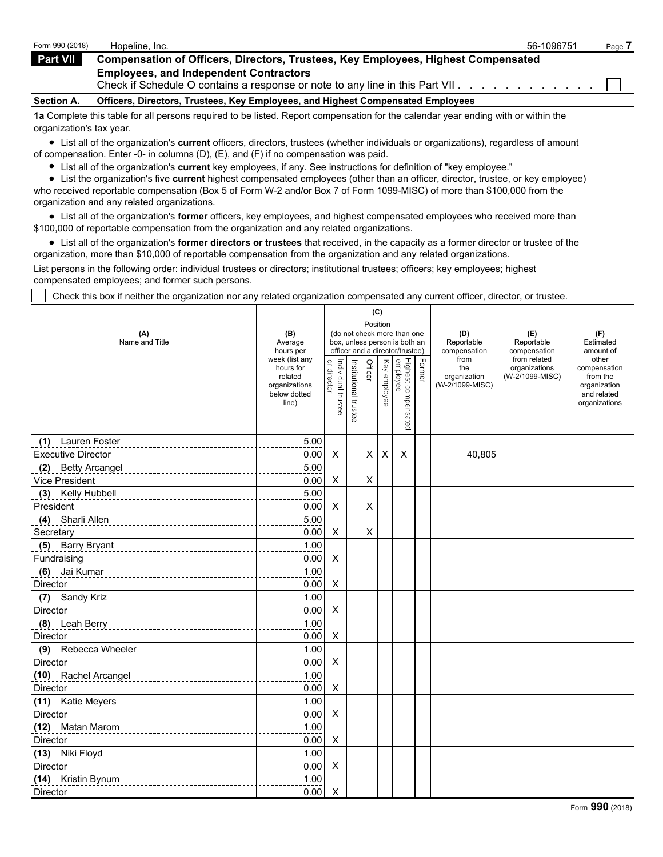| Form 990 (2018)       | Hopeline, Inc.                                                                                                                 | 56-1096751 | Page. |
|-----------------------|--------------------------------------------------------------------------------------------------------------------------------|------------|-------|
| Part VII <sup>1</sup> | <b>Compensation of Officers, Directors, Trustees, Key Employees, Highest Compensated</b>                                       |            |       |
|                       | <b>Employees, and Independent Contractors</b><br>Check if Schedule O contains a response or note to any line in this Part VII. |            |       |
| <b>Section A.</b>     | Officers, Directors, Trustees, Key Employees, and Highest Compensated Employees                                                |            |       |
|                       |                                                                                                                                |            |       |

**1a** Complete this table for all persons required to be listed. Report compensation for the calendar year ending with or within the organization's tax year.

List all of the organization's **current** officers, directors, trustees (whether individuals or organizations), regardless of amount of compensation. Enter -0- in columns (D), (E), and (F) if no compensation was paid.

List all of the organization's **current** key employees, if any. See instructions for definition of "key employee."

List the organization's five **current** highest compensated employees (other than an officer, director, trustee, or key employee) who received reportable compensation (Box 5 of Form W-2 and/or Box 7 of Form 1099-MISC) of more than \$100,000 from the organization and any related organizations.

List all of the organization's **former** officers, key employees, and highest compensated employees who received more than \$100,000 of reportable compensation from the organization and any related organizations.

List all of the organization's **former directors or trustees** that received, in the capacity as a former director or trustee of the organization, more than \$10,000 of reportable compensation from the organization and any related organizations.

List persons in the following order: individual trustees or directors; institutional trustees; officers; key employees; highest compensated employees; and former such persons.

Check this box if neither the organization nor any related organization compensated any current officer, director, or trustee.

|                           |                                                                                  |                                   |                       | (C)            |              |                                                              |        |                                                |                                                  |                                                                                   |
|---------------------------|----------------------------------------------------------------------------------|-----------------------------------|-----------------------|----------------|--------------|--------------------------------------------------------------|--------|------------------------------------------------|--------------------------------------------------|-----------------------------------------------------------------------------------|
| (A)<br>Name and Title     | (B)<br>Average                                                                   |                                   |                       | Position       |              | (do not check more than one<br>box, unless person is both an |        | (D)<br>Reportable                              | (E)<br>Reportable                                | (F)<br>Estimated                                                                  |
|                           | hours per                                                                        |                                   |                       |                |              | officer and a director/trustee)                              |        | compensation                                   | compensation                                     | amount of                                                                         |
|                           | week (list any<br>hours for<br>related<br>organizations<br>below dotted<br>line) | Individual trustee<br>or director | Institutional trustee | Officer        | Key employee | Highest compensated<br>employee                              | Former | from<br>the<br>organization<br>(W-2/1099-MISC) | from related<br>organizations<br>(W-2/1099-MISC) | other<br>compensation<br>from the<br>organization<br>and related<br>organizations |
| (1) Lauren Foster         | 5.00                                                                             |                                   |                       |                |              |                                                              |        |                                                |                                                  |                                                                                   |
| <b>Executive Director</b> | 0.00                                                                             | X                                 |                       | X              | X            | X                                                            |        | 40,805                                         |                                                  |                                                                                   |
| (2) Betty Arcangel        | 5.00                                                                             |                                   |                       |                |              |                                                              |        |                                                |                                                  |                                                                                   |
| Vice President            | 0.00                                                                             | X                                 |                       | X              |              |                                                              |        |                                                |                                                  |                                                                                   |
| Kelly Hubbell<br>(3)      | 5.00                                                                             |                                   |                       |                |              |                                                              |        |                                                |                                                  |                                                                                   |
| President                 | 0.00                                                                             | X                                 |                       | X              |              |                                                              |        |                                                |                                                  |                                                                                   |
| Sharli Allen<br>(4)       | 5.00                                                                             |                                   |                       |                |              |                                                              |        |                                                |                                                  |                                                                                   |
| Secretary                 | 0.00                                                                             | X                                 |                       | $\pmb{\times}$ |              |                                                              |        |                                                |                                                  |                                                                                   |
| (5) Barry Bryant          | 1.00                                                                             |                                   |                       |                |              |                                                              |        |                                                |                                                  |                                                                                   |
| Fundraising               | 0.00                                                                             | X                                 |                       |                |              |                                                              |        |                                                |                                                  |                                                                                   |
| (6) Jai Kumar             | 1.00                                                                             |                                   |                       |                |              |                                                              |        |                                                |                                                  |                                                                                   |
| Director                  | 0.00                                                                             | X                                 |                       |                |              |                                                              |        |                                                |                                                  |                                                                                   |
| (7) Sandy Kriz            | 1.00                                                                             |                                   |                       |                |              |                                                              |        |                                                |                                                  |                                                                                   |
| Director                  | 0.00                                                                             | X                                 |                       |                |              |                                                              |        |                                                |                                                  |                                                                                   |
| (8) Leah Berry            | 1.00                                                                             |                                   |                       |                |              |                                                              |        |                                                |                                                  |                                                                                   |
| Director                  | 0.00                                                                             | X                                 |                       |                |              |                                                              |        |                                                |                                                  |                                                                                   |
| (9) Rebecca Wheeler       | 1.00                                                                             |                                   |                       |                |              |                                                              |        |                                                |                                                  |                                                                                   |
| Director                  | 0.00                                                                             | X                                 |                       |                |              |                                                              |        |                                                |                                                  |                                                                                   |
| (10) Rachel Arcangel      | 1.00                                                                             |                                   |                       |                |              |                                                              |        |                                                |                                                  |                                                                                   |
| Director                  | 0.00                                                                             | $\boldsymbol{\mathsf{X}}$         |                       |                |              |                                                              |        |                                                |                                                  |                                                                                   |
| (11) Katie Meyers         | 1.00                                                                             |                                   |                       |                |              |                                                              |        |                                                |                                                  |                                                                                   |
| Director                  | 0.00                                                                             | X                                 |                       |                |              |                                                              |        |                                                |                                                  |                                                                                   |
| (12) Matan Marom          | 1.00                                                                             |                                   |                       |                |              |                                                              |        |                                                |                                                  |                                                                                   |
| Director                  | 0.00                                                                             | X                                 |                       |                |              |                                                              |        |                                                |                                                  |                                                                                   |
| (13) Niki Floyd           | 1.00                                                                             |                                   |                       |                |              |                                                              |        |                                                |                                                  |                                                                                   |
| Director                  | 0.00                                                                             | X                                 |                       |                |              |                                                              |        |                                                |                                                  |                                                                                   |
| (14) Kristin Bynum        | 1.00                                                                             |                                   |                       |                |              |                                                              |        |                                                |                                                  |                                                                                   |
| Director                  | 0.00                                                                             | X                                 |                       |                |              |                                                              |        |                                                |                                                  |                                                                                   |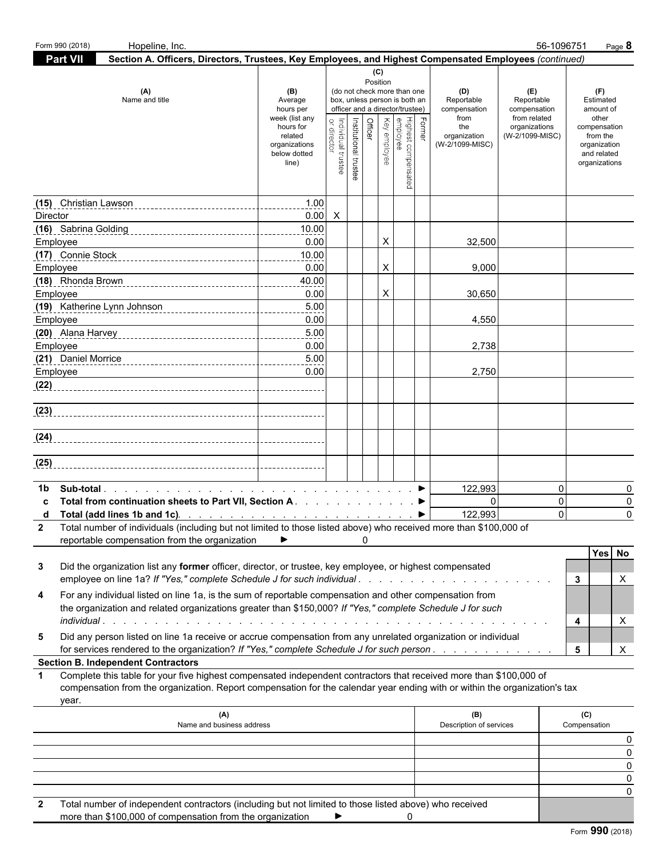| Form 990 (2018) | Hopeline, Inc.                                                                                                                                                                                                                                            |                                                                                                                 |                                   |                                              |     |                                                                                                                                                      |        |                                                                                     |                                                                                       | 56-1096751<br>Page 8                                                                                               |
|-----------------|-----------------------------------------------------------------------------------------------------------------------------------------------------------------------------------------------------------------------------------------------------------|-----------------------------------------------------------------------------------------------------------------|-----------------------------------|----------------------------------------------|-----|------------------------------------------------------------------------------------------------------------------------------------------------------|--------|-------------------------------------------------------------------------------------|---------------------------------------------------------------------------------------|--------------------------------------------------------------------------------------------------------------------|
| <b>Part VII</b> | Section A. Officers, Directors, Trustees, Key Employees, and Highest Compensated Employees (continued)                                                                                                                                                    |                                                                                                                 |                                   |                                              |     |                                                                                                                                                      |        |                                                                                     |                                                                                       |                                                                                                                    |
|                 | (A)<br>Name and title                                                                                                                                                                                                                                     | (B)<br>Average<br>hours per<br>week (list any<br>hours for<br>related<br>organizations<br>below dotted<br>line) | Individual trustee<br>or director | Position<br>Officer<br>Institutional trustee | (C) | (do not check more than one<br>box, unless person is both an<br>officer and a director/trustee)<br>Highest compensated<br>employee<br>  Key employee | Former | (D)<br>Reportable<br>compensation<br>from<br>the<br>organization<br>(W-2/1099-MISC) | (E)<br>Reportable<br>compensation<br>from related<br>organizations<br>(W-2/1099-MISC) | (F)<br>Estimated<br>amount of<br>other<br>compensation<br>from the<br>organization<br>and related<br>organizations |
|                 |                                                                                                                                                                                                                                                           | 1.00                                                                                                            |                                   |                                              |     |                                                                                                                                                      |        |                                                                                     |                                                                                       |                                                                                                                    |
| Director        |                                                                                                                                                                                                                                                           | $0.00\quad$ X                                                                                                   |                                   |                                              |     |                                                                                                                                                      |        |                                                                                     |                                                                                       |                                                                                                                    |
|                 |                                                                                                                                                                                                                                                           | 10.00                                                                                                           |                                   |                                              |     |                                                                                                                                                      |        |                                                                                     |                                                                                       |                                                                                                                    |
| Employee        |                                                                                                                                                                                                                                                           | 0.00                                                                                                            |                                   |                                              | X   |                                                                                                                                                      |        | 32,500                                                                              |                                                                                       |                                                                                                                    |
|                 |                                                                                                                                                                                                                                                           | 10.00                                                                                                           |                                   |                                              |     |                                                                                                                                                      |        |                                                                                     |                                                                                       |                                                                                                                    |
| Employee        |                                                                                                                                                                                                                                                           | 0.00                                                                                                            |                                   |                                              | X   |                                                                                                                                                      |        | 9,000                                                                               |                                                                                       |                                                                                                                    |
|                 |                                                                                                                                                                                                                                                           | 40.00                                                                                                           |                                   |                                              |     |                                                                                                                                                      |        |                                                                                     |                                                                                       |                                                                                                                    |
| Employee        |                                                                                                                                                                                                                                                           | 0.00<br>5.00                                                                                                    |                                   |                                              | X   |                                                                                                                                                      |        | 30,650                                                                              |                                                                                       |                                                                                                                    |
| Employee        | (19) Katherine Lynn Johnson (19) Mathematical Mathematical Mathematical Mathematical Mathematical Mathematical Mathematical Mathematical Mathematical Mathematical Mathematical Mathematical Mathematical Mathematical Mathema                            | 0.00                                                                                                            |                                   |                                              |     |                                                                                                                                                      |        | 4,550                                                                               |                                                                                       |                                                                                                                    |
|                 |                                                                                                                                                                                                                                                           | 5.00                                                                                                            |                                   |                                              |     |                                                                                                                                                      |        |                                                                                     |                                                                                       |                                                                                                                    |
| Employee        |                                                                                                                                                                                                                                                           | 0.00                                                                                                            |                                   |                                              |     |                                                                                                                                                      |        | 2,738                                                                               |                                                                                       |                                                                                                                    |
|                 |                                                                                                                                                                                                                                                           | 5.00                                                                                                            |                                   |                                              |     |                                                                                                                                                      |        |                                                                                     |                                                                                       |                                                                                                                    |
| Employee        |                                                                                                                                                                                                                                                           | 0.00                                                                                                            |                                   |                                              |     |                                                                                                                                                      |        | 2,750                                                                               |                                                                                       |                                                                                                                    |
| (22)            |                                                                                                                                                                                                                                                           |                                                                                                                 |                                   |                                              |     |                                                                                                                                                      |        |                                                                                     |                                                                                       |                                                                                                                    |
| (23)            |                                                                                                                                                                                                                                                           |                                                                                                                 |                                   |                                              |     |                                                                                                                                                      |        |                                                                                     |                                                                                       |                                                                                                                    |
|                 |                                                                                                                                                                                                                                                           |                                                                                                                 |                                   |                                              |     |                                                                                                                                                      |        |                                                                                     |                                                                                       |                                                                                                                    |
| (24)            |                                                                                                                                                                                                                                                           |                                                                                                                 |                                   |                                              |     |                                                                                                                                                      |        |                                                                                     |                                                                                       |                                                                                                                    |
| (25)            |                                                                                                                                                                                                                                                           |                                                                                                                 |                                   |                                              |     |                                                                                                                                                      |        |                                                                                     |                                                                                       |                                                                                                                    |
|                 |                                                                                                                                                                                                                                                           |                                                                                                                 |                                   |                                              |     |                                                                                                                                                      |        |                                                                                     |                                                                                       |                                                                                                                    |
| 1b              |                                                                                                                                                                                                                                                           |                                                                                                                 |                                   |                                              |     |                                                                                                                                                      |        | 122,993                                                                             |                                                                                       | $\mathbf 0$                                                                                                        |
|                 | Total from continuation sheets to Part VII, Section A. ▶                                                                                                                                                                                                  |                                                                                                                 |                                   |                                              |     |                                                                                                                                                      |        | $\Omega$                                                                            |                                                                                       | $\mathbf 0$                                                                                                        |
|                 |                                                                                                                                                                                                                                                           |                                                                                                                 |                                   |                                              |     |                                                                                                                                                      |        | 122,993                                                                             |                                                                                       | $\Omega$                                                                                                           |
|                 | 2 Total number of individuals (including but not limited to those listed above) who received more than \$100,000 of                                                                                                                                       |                                                                                                                 |                                   |                                              |     |                                                                                                                                                      |        |                                                                                     |                                                                                       |                                                                                                                    |
|                 | reportable compensation from the organization                                                                                                                                                                                                             | ▶                                                                                                               |                                   | 0                                            |     |                                                                                                                                                      |        |                                                                                     |                                                                                       | Yes No                                                                                                             |
| 3               | Did the organization list any former officer, director, or trustee, key employee, or highest compensated<br>employee on line 1a? If "Yes," complete Schedule J for such individual                                                                        |                                                                                                                 |                                   |                                              |     |                                                                                                                                                      |        |                                                                                     |                                                                                       | 3<br>Х                                                                                                             |
| 4               | For any individual listed on line 1a, is the sum of reportable compensation and other compensation from<br>the organization and related organizations greater than \$150,000? If "Yes," complete Schedule J for such                                      |                                                                                                                 |                                   |                                              |     |                                                                                                                                                      |        |                                                                                     |                                                                                       | X<br>4                                                                                                             |
| 5               | Did any person listed on line 1a receive or accrue compensation from any unrelated organization or individual                                                                                                                                             |                                                                                                                 |                                   |                                              |     |                                                                                                                                                      |        |                                                                                     |                                                                                       |                                                                                                                    |
|                 | for services rendered to the organization? If "Yes," complete Schedule J for such person.                                                                                                                                                                 |                                                                                                                 |                                   |                                              |     |                                                                                                                                                      |        |                                                                                     |                                                                                       | X<br>5                                                                                                             |
|                 | <b>Section B. Independent Contractors</b>                                                                                                                                                                                                                 |                                                                                                                 |                                   |                                              |     |                                                                                                                                                      |        |                                                                                     |                                                                                       |                                                                                                                    |
| 1               | Complete this table for your five highest compensated independent contractors that received more than \$100,000 of<br>compensation from the organization. Report compensation for the calendar year ending with or within the organization's tax<br>year. |                                                                                                                 |                                   |                                              |     |                                                                                                                                                      |        |                                                                                     |                                                                                       |                                                                                                                    |
|                 | (A)                                                                                                                                                                                                                                                       |                                                                                                                 |                                   |                                              |     |                                                                                                                                                      |        | (B)                                                                                 |                                                                                       | (C)                                                                                                                |
|                 | Name and business address                                                                                                                                                                                                                                 |                                                                                                                 |                                   |                                              |     |                                                                                                                                                      |        | Description of services                                                             |                                                                                       | Compensation                                                                                                       |
|                 |                                                                                                                                                                                                                                                           |                                                                                                                 |                                   |                                              |     |                                                                                                                                                      |        |                                                                                     |                                                                                       |                                                                                                                    |
|                 |                                                                                                                                                                                                                                                           |                                                                                                                 |                                   |                                              |     |                                                                                                                                                      |        |                                                                                     |                                                                                       |                                                                                                                    |
|                 |                                                                                                                                                                                                                                                           |                                                                                                                 |                                   |                                              |     |                                                                                                                                                      |        |                                                                                     |                                                                                       |                                                                                                                    |
|                 |                                                                                                                                                                                                                                                           |                                                                                                                 |                                   |                                              |     |                                                                                                                                                      |        |                                                                                     |                                                                                       |                                                                                                                    |
|                 | Total number of independent contractors (including but not limited to those listed above) who received                                                                                                                                                    |                                                                                                                 |                                   |                                              |     |                                                                                                                                                      |        |                                                                                     |                                                                                       |                                                                                                                    |
| $\mathbf{2}$    |                                                                                                                                                                                                                                                           |                                                                                                                 |                                   |                                              |     |                                                                                                                                                      |        |                                                                                     |                                                                                       |                                                                                                                    |

| more than \$100,000 of compensation from the organization |  |  |  |
|-----------------------------------------------------------|--|--|--|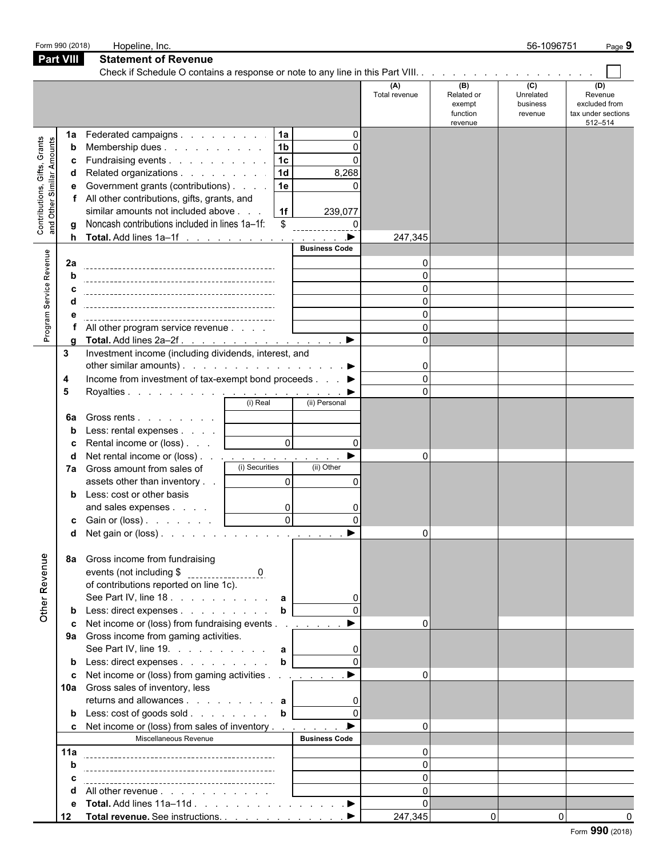|                                                           | Form 990 (2018)               | Hopeline, Inc.                                                                                                                                                                                                                                                                                                                                                                                                                                                                                                       |                                                                  |                                                                         |                                                                           |                                                    | 56-1096751                              | Page 9                                                           |
|-----------------------------------------------------------|-------------------------------|----------------------------------------------------------------------------------------------------------------------------------------------------------------------------------------------------------------------------------------------------------------------------------------------------------------------------------------------------------------------------------------------------------------------------------------------------------------------------------------------------------------------|------------------------------------------------------------------|-------------------------------------------------------------------------|---------------------------------------------------------------------------|----------------------------------------------------|-----------------------------------------|------------------------------------------------------------------|
|                                                           | <b>Part VIII</b>              | <b>Statement of Revenue</b>                                                                                                                                                                                                                                                                                                                                                                                                                                                                                          |                                                                  |                                                                         |                                                                           |                                                    |                                         |                                                                  |
|                                                           |                               |                                                                                                                                                                                                                                                                                                                                                                                                                                                                                                                      |                                                                  |                                                                         |                                                                           |                                                    |                                         |                                                                  |
|                                                           |                               |                                                                                                                                                                                                                                                                                                                                                                                                                                                                                                                      |                                                                  |                                                                         | (A)<br>Total revenue                                                      | (B)<br>Related or<br>exempt<br>function<br>revenue | (C)<br>Unrelated<br>business<br>revenue | (D)<br>Revenue<br>excluded from<br>tax under sections<br>512-514 |
| Contributions, Gifts, Grants<br>and Other Similar Amounts | 1a<br>b<br>c<br>d<br>е        | Federated campaigns<br>Membership dues<br>Fundraising events<br>Related organizations<br>Government grants (contributions)<br>All other contributions, gifts, grants, and<br>similar amounts not included above<br>Noncash contributions included in lines 1a-1f:<br>Total. Add lines 1a-1f ▶                                                                                                                                                                                                                        | 1a<br> 1 <sub>b</sub><br>$\sqrt{1c}$<br>1d<br>1e<br>  1f  <br>\$ | $\Omega$<br>$\Omega$<br>$\Omega$<br>8,268<br>239,077<br>$\Omega$        | 247,345                                                                   |                                                    |                                         |                                                                  |
| Program Service Revenue                                   | 2a<br>h<br>a                  | All other program service revenue<br>Total. Add lines 2a-2f.                                                                                                                                                                                                                                                                                                                                                                                                                                                         |                                                                  | <b>Business Code</b><br>$\blacktriangleright$                           | O<br>$\Omega$<br>$\Omega$<br>$\Omega$<br>$\Omega$<br>$\Omega$<br>$\Omega$ |                                                    |                                         |                                                                  |
|                                                           | 3<br>4<br>5<br>6a             | Investment income (including dividends, interest, and<br>other similar amounts). $\ldots$ $\ldots$ $\ldots$ $\ldots$ $\ldots$ $\ldots$<br>Income from investment of tax-exempt bond proceeds ▶<br>Gross rents                                                                                                                                                                                                                                                                                                        | (i) Real                                                         | (ii) Personal                                                           | $\mathbf{0}$<br>$\Omega$                                                  |                                                    |                                         |                                                                  |
|                                                           | b<br>c<br>d                   | Less: rental expenses<br>Rental income or (loss)<br>Net rental income or (loss) <u>.</u><br>7a Gross amount from sales of<br>assets other than inventory<br><b>b</b> Less: cost or other basis<br>and sales expenses<br><b>c</b> Gain or (loss) $\ldots$ $\ldots$<br>d Net gain or (loss).                                                                                                                                                                                                                           | $\mathsf{O}$<br>(i) Securities<br>$\Omega$<br>0<br>$\Omega$      | $\Omega$<br>$\blacktriangleright$<br>(ii) Other<br>$\Omega$<br>$\Omega$ | $\Omega$<br>$\Omega$                                                      |                                                    |                                         |                                                                  |
| Other Revenue                                             | 8а<br>b<br>c<br>10a<br>b      | Gross income from fundraising<br>of contributions reported on line 1c).<br>See Part IV, line 18. $\ldots$ $\ldots$ $\ldots$ $\ldots$ a<br>Less: direct expenses<br>Net income or (loss) from fundraising events<br>9a Gross income from gaming activities.<br>See Part IV, line 19. $\ldots$ $\ldots$ $\ldots$ <b>a</b><br>Less: direct expenses b [<br>Net income or (loss) from gaming activities <u>.</u> ▶<br>Gross sales of inventory, less<br>returns and allowances <b>a</b><br>Less: $\cosh$ of goods sold b | $\mathbf b$                                                      |                                                                         |                                                                           |                                                    |                                         |                                                                  |
|                                                           | c<br>11a<br>b<br>с<br>е<br>12 | Net income or (loss) from sales of inventory<br>Miscellaneous Revenue<br>All other revenue<br>Total. Add lines 11a–11d ▶<br>Total revenue. See instructions. ▶                                                                                                                                                                                                                                                                                                                                                       |                                                                  | <b>Business Code</b>                                                    | $\Omega$<br>247,345                                                       | $\overline{0}$                                     | $\overline{0}$                          |                                                                  |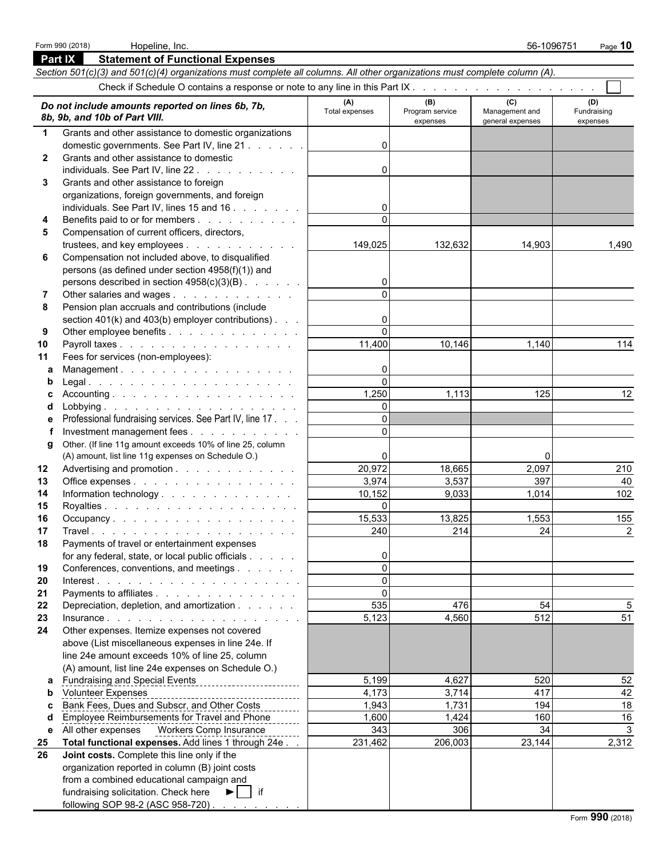|              | <b>Part IX</b><br><b>Statement of Functional Expenses</b>                                                                  |                       |                                    |                                           |                                |
|--------------|----------------------------------------------------------------------------------------------------------------------------|-----------------------|------------------------------------|-------------------------------------------|--------------------------------|
|              | Section 501(c)(3) and 501(c)(4) organizations must complete all columns. All other organizations must complete column (A). |                       |                                    |                                           |                                |
|              |                                                                                                                            |                       |                                    |                                           |                                |
|              | Do not include amounts reported on lines 6b, 7b,<br>8b, 9b, and 10b of Part VIII.                                          | (A)<br>Total expenses | (B)<br>Program service<br>expenses | (C)<br>Management and<br>general expenses | (D)<br>Fundraising<br>expenses |
| $\mathbf 1$  | Grants and other assistance to domestic organizations                                                                      |                       |                                    |                                           |                                |
|              | domestic governments. See Part IV, line 21                                                                                 | $\Omega$              |                                    |                                           |                                |
| $\mathbf{2}$ | Grants and other assistance to domestic                                                                                    |                       |                                    |                                           |                                |
|              | individuals. See Part IV, line 22.                                                                                         | $\Omega$              |                                    |                                           |                                |
| 3            | Grants and other assistance to foreign                                                                                     |                       |                                    |                                           |                                |
|              | organizations, foreign governments, and foreign                                                                            |                       |                                    |                                           |                                |
|              | individuals. See Part IV, lines 15 and 16                                                                                  | 0                     |                                    |                                           |                                |
| 4            | Benefits paid to or for members                                                                                            | $\Omega$              |                                    |                                           |                                |
| 5            | Compensation of current officers, directors,                                                                               |                       |                                    |                                           |                                |
|              | trustees, and key employees                                                                                                | 149,025               | 132,632                            | 14,903                                    | 1,490                          |
| 6            | Compensation not included above, to disqualified                                                                           |                       |                                    |                                           |                                |
|              | persons (as defined under section 4958(f)(1)) and                                                                          |                       |                                    |                                           |                                |
|              | persons described in section 4958(c)(3)(B)                                                                                 | $\overline{0}$        |                                    |                                           |                                |
| 7            | Other salaries and wages                                                                                                   | $\Omega$              |                                    |                                           |                                |
| 8            | Pension plan accruals and contributions (include                                                                           |                       |                                    |                                           |                                |
|              | section $401(k)$ and $403(b)$ employer contributions).                                                                     | 0                     |                                    |                                           |                                |
| 9            | Other employee benefits                                                                                                    | $\Omega$              |                                    |                                           |                                |
| 10           | Payroll taxes                                                                                                              | 11,400                | 10,146                             | 1,140                                     | 114                            |
| 11           | Fees for services (non-employees):                                                                                         |                       |                                    |                                           |                                |
| a            | Management.                                                                                                                | $\mathbf{0}$          |                                    |                                           |                                |
| b            |                                                                                                                            | $\Omega$              |                                    |                                           |                                |
|              |                                                                                                                            | 1,250                 | 1,113                              | 125                                       | 12                             |
|              |                                                                                                                            | $\Omega$<br>$\Omega$  |                                    |                                           |                                |
| е            | Professional fundraising services. See Part IV, line 17.                                                                   | $\Omega$              |                                    |                                           |                                |
|              | Investment management fees<br>Other. (If line 11g amount exceeds 10% of line 25, column                                    |                       |                                    |                                           |                                |
| g            | (A) amount, list line 11g expenses on Schedule O.)                                                                         | $\Omega$              |                                    | 0                                         |                                |
| 12           | Advertising and promotion                                                                                                  | 20,972                | 18,665                             | 2,097                                     | 210                            |
| 13           | Office expenses                                                                                                            | 3,974                 | 3,537                              | 397                                       | 40                             |
| 14           | Information technology.                                                                                                    | 10,152                | 9,033                              | 1,014                                     | 102                            |
| 15           |                                                                                                                            | $\Omega$              |                                    |                                           |                                |
| 16           | Occupancy.                                                                                                                 | 15,533                | 13,825                             | 1,553                                     | 155                            |
| 17           |                                                                                                                            | 240                   | 214                                | 24                                        | 2                              |
| 18           | Payments of travel or entertainment expenses                                                                               |                       |                                    |                                           |                                |
|              | for any federal, state, or local public officials                                                                          | 0                     |                                    |                                           |                                |
| 19           | Conferences, conventions, and meetings                                                                                     | $\Omega$              |                                    |                                           |                                |
| 20           |                                                                                                                            | $\Omega$              |                                    |                                           |                                |
| 21           | Payments to affiliates                                                                                                     | $\Omega$              |                                    |                                           |                                |
| 22           | Depreciation, depletion, and amortization                                                                                  | 535                   | 476                                | 54                                        |                                |
| 23           | Insurance.                                                                                                                 | 5,123                 | 4,560                              | 512                                       | 51                             |
| 24           | Other expenses. Itemize expenses not covered                                                                               |                       |                                    |                                           |                                |
|              | above (List miscellaneous expenses in line 24e. If                                                                         |                       |                                    |                                           |                                |
|              | line 24e amount exceeds 10% of line 25, column                                                                             |                       |                                    |                                           |                                |
|              | (A) amount, list line 24e expenses on Schedule O.)<br>a Fundraising and Special Events                                     | 5,199                 | 4,627                              | 520                                       | 52                             |
| b            | <u> 1986 - Jacques Alexandria de A</u>                                                                                     | 4,173                 | 3,714                              | 417                                       | 42                             |
| c.           | ------<br>Volunteer Expenses<br>Bank Fees, Dues and Subscr, and Other Costs                                                | 1,943                 | 1,731                              | 194                                       | 18                             |
|              | Employee Reimbursements for Travel and Phone                                                                               | 1,600                 | 1,424                              | 160                                       | 16                             |
| е            | All other expenses    Vorkers Comp Insurance                                                                               | 343                   | 306                                | 34                                        |                                |
| 25           | Total functional expenses. Add lines 1 through 24e.                                                                        | 231,462               | 206,003                            | 23,144                                    | 2,312                          |
| 26           | Joint costs. Complete this line only if the                                                                                |                       |                                    |                                           |                                |
|              | organization reported in column (B) joint costs                                                                            |                       |                                    |                                           |                                |
|              | from a combined educational campaign and                                                                                   |                       |                                    |                                           |                                |
|              | fundraising solicitation. Check here $\blacktriangleright$   if                                                            |                       |                                    |                                           |                                |
|              | following SOP 98-2 (ASC 958-720)                                                                                           |                       |                                    |                                           |                                |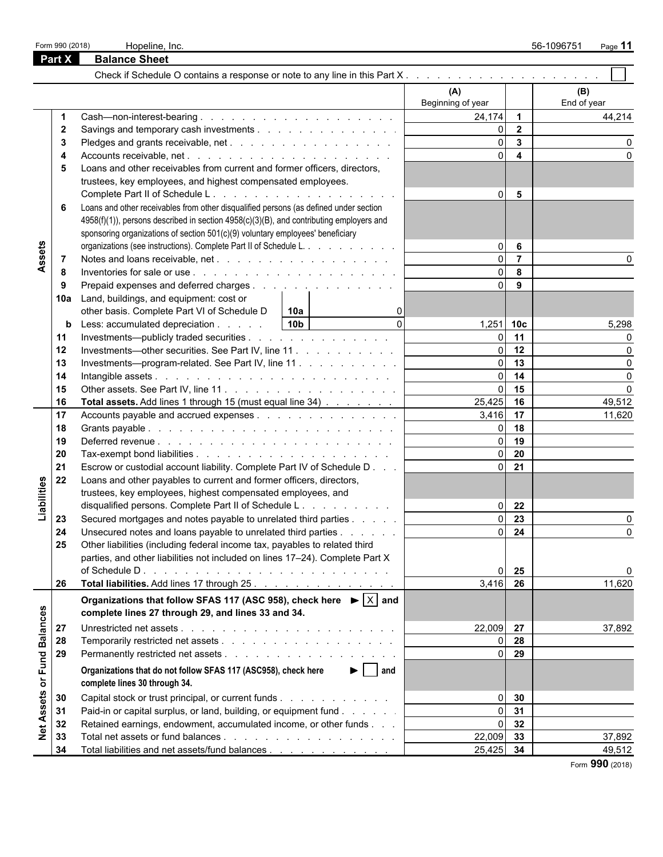|                 |              |                                                                                                   |                   |                         | 56-1096751<br>Page 11 |
|-----------------|--------------|---------------------------------------------------------------------------------------------------|-------------------|-------------------------|-----------------------|
|                 | Part X       | <b>Balance Sheet</b>                                                                              |                   |                         |                       |
|                 |              |                                                                                                   |                   |                         |                       |
|                 |              |                                                                                                   | (A)               |                         | (B)                   |
|                 |              |                                                                                                   | Beginning of year |                         | End of year           |
|                 | -1           |                                                                                                   | $24,174$ 1        |                         | 44,214                |
|                 | $\mathbf{2}$ | Savings and temporary cash investments                                                            | ΩI                | $\overline{2}$          |                       |
|                 | 3            |                                                                                                   | $\Omega$          | $\overline{\mathbf{3}}$ |                       |
|                 |              |                                                                                                   | $\Omega$          | $\overline{4}$          |                       |
|                 | 5            | Loans and other receivables from current and former officers, directors,                          |                   |                         |                       |
|                 |              | trustees, key employees, and highest compensated employees.                                       |                   |                         |                       |
|                 |              |                                                                                                   | $\overline{0}$    | 5                       |                       |
|                 | 6            | Loans and other receivables from other disqualified persons (as defined under section             |                   |                         |                       |
|                 |              | 4958(f)(1)), persons described in section 4958(c)(3)(B), and contributing employers and           |                   |                         |                       |
|                 |              | sponsoring organizations of section 501(c)(9) voluntary employees' beneficiary                    |                   |                         |                       |
|                 |              | organizations (see instructions). Complete Part II of Schedule L.                                 | $\Omega$          | 6                       |                       |
| Assets          | -7           |                                                                                                   | $\Omega$          | $\overline{7}$          |                       |
|                 | -8           |                                                                                                   | ΩI                | 8                       |                       |
|                 | -9           | Prepaid expenses and deferred charges                                                             | ΩI                | 9                       |                       |
|                 | 10a          | Land, buildings, and equipment: cost or                                                           |                   |                         |                       |
|                 |              | other basis. Complete Part VI of Schedule D<br>10a                                                |                   |                         |                       |
|                 | b            | $\Omega$<br>10 <sub>b</sub><br>Less: accumulated depreciation                                     | 1,251 10c         |                         | 5,298                 |
|                 | 11           | Investments—publicly traded securities                                                            | ΩI                | 11                      |                       |
|                 | 12           | Investments-other securities. See Part IV, line 11.                                               | $\Omega$          | 12                      |                       |
|                 | 13           | Investments—program-related. See Part IV, line 11                                                 | ΩL                | 13                      | O                     |
|                 | 14           |                                                                                                   | $\Omega$          | 14                      | $\Omega$              |
|                 | 15           |                                                                                                   | ΩL                | 15                      | $\Omega$              |
|                 | 16           | Total assets. Add lines 1 through 15 (must equal line 34)                                         | 25,425            | 16                      | 49,512                |
|                 | 17           |                                                                                                   | 3,416 17          |                         | 11,620                |
|                 | 18           |                                                                                                   | ΩI                | 18                      |                       |
|                 | 19           |                                                                                                   | $\Omega$          | 19                      |                       |
|                 | 20           |                                                                                                   | $\Omega$          | 20                      |                       |
|                 | 21           | Escrow or custodial account liability. Complete Part IV of Schedule D                             | $\Omega$          | 21                      |                       |
|                 | 22           | Loans and other payables to current and former officers, directors,                               |                   |                         |                       |
| Liabilities     |              | trustees, key employees, highest compensated employees, and                                       |                   |                         |                       |
|                 |              | disqualified persons. Complete Part II of Schedule L.                                             | $\overline{0}$    | 22                      |                       |
|                 | 23           | Secured mortgages and notes payable to unrelated third parties                                    | $\Omega$          | $\overline{23}$         |                       |
|                 | 24           | Unsecured notes and loans payable to unrelated third parties                                      |                   | $0 \quad 24$            | 0                     |
|                 | 25           | Other liabilities (including federal income tax, payables to related third                        |                   |                         |                       |
|                 |              | parties, and other liabilities not included on lines 17-24). Complete Part X                      |                   |                         |                       |
|                 |              |                                                                                                   | $\Omega$          | 25                      |                       |
|                 | 26           | Total liabilities. Add lines 17 through 25.                                                       | 3,416             | 26                      | 11,620                |
|                 |              | Organizations that follow SFAS 117 (ASC 958), check here $\blacktriangleright  \overline{X} $ and |                   |                         |                       |
|                 |              | complete lines 27 through 29, and lines 33 and 34.                                                |                   |                         |                       |
|                 |              |                                                                                                   | 22,009 27         |                         |                       |
| <b>Balances</b> | 27           |                                                                                                   |                   |                         | 37,892                |
|                 | 28           |                                                                                                   | $\overline{0}$    | $0\quad$ 28             |                       |
| or Fund         | 29           |                                                                                                   |                   | 29                      |                       |
|                 |              | $\blacktriangleright$   and<br>Organizations that do not follow SFAS 117 (ASC958), check here     |                   |                         |                       |
|                 |              | complete lines 30 through 34.                                                                     |                   |                         |                       |
| Assets          | 30           | Capital stock or trust principal, or current funds                                                | $\overline{0}$    | 30                      |                       |
|                 | 31           | Paid-in or capital surplus, or land, building, or equipment fund                                  | $\Omega$          | 31                      |                       |
|                 | 32           | Retained earnings, endowment, accumulated income, or other funds                                  | $\overline{0}$    | 32                      |                       |
| $\frac{1}{2}$   | 33           |                                                                                                   | 22,009            | 33                      | 37,892                |
|                 | 34           | Total liabilities and net assets/fund balances                                                    | 25,425            | 34                      | 49,512                |

Form **990** (2018)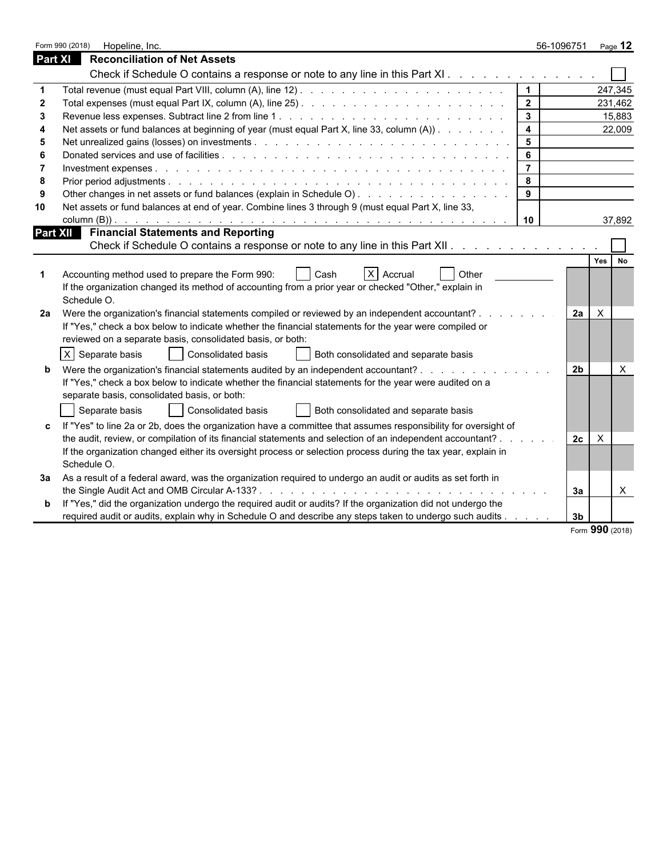|    | Form 990 (2018)<br>Hopeline, Inc.                                                                              |                         | 56-1096751     | Page 12          |
|----|----------------------------------------------------------------------------------------------------------------|-------------------------|----------------|------------------|
|    | <b>Part XI</b><br><b>Reconciliation of Net Assets</b>                                                          |                         |                |                  |
|    | Check if Schedule O contains a response or note to any line in this Part XI.                                   |                         |                |                  |
|    |                                                                                                                | $\vert$ 1               |                | 247,345          |
|    |                                                                                                                | $\frac{2}{2}$           |                | 231,462          |
|    |                                                                                                                | $\mathbf{3}$            |                | 15,883           |
|    | Net assets or fund balances at beginning of year (must equal Part X, line 33, column (A))                      | $\overline{\mathbf{4}}$ |                | 22,009           |
|    |                                                                                                                | $5\phantom{.0}$         |                |                  |
|    |                                                                                                                | 6                       |                |                  |
|    |                                                                                                                | $\overline{7}$          |                |                  |
|    |                                                                                                                | 8                       |                |                  |
| 9  | Other changes in net assets or fund balances (explain in Schedule O).                                          | 9                       |                |                  |
| 10 | Net assets or fund balances at end of year. Combine lines 3 through 9 (must equal Part X, line 33,             |                         |                |                  |
|    |                                                                                                                | 10                      |                | 37,892           |
|    | <b>Financial Statements and Reporting</b><br><b>Part XII</b>                                                   |                         |                |                  |
|    | Check if Schedule O contains a response or note to any line in this Part XII.                                  |                         |                |                  |
|    |                                                                                                                |                         |                | Yes<br><b>No</b> |
|    | X Accrual<br>Accounting method used to prepare the Form 990:<br>Other<br>Cash                                  |                         |                |                  |
|    | If the organization changed its method of accounting from a prior year or checked "Other," explain in          |                         |                |                  |
|    | Schedule O.                                                                                                    |                         |                |                  |
| 2a | Were the organization's financial statements compiled or reviewed by an independent accountant?.               |                         | <b>2a</b>      | $\times$         |
|    | If "Yes," check a box below to indicate whether the financial statements for the year were compiled or         |                         |                |                  |
|    | reviewed on a separate basis, consolidated basis, or both:                                                     |                         |                |                  |
|    | $X$ Separate basis<br>Consolidated basis<br>Both consolidated and separate basis                               |                         |                |                  |
|    | Were the organization's financial statements audited by an independent accountant?                             |                         | 2 <sub>b</sub> | X                |
|    | If "Yes," check a box below to indicate whether the financial statements for the year were audited on a        |                         |                |                  |
|    | separate basis, consolidated basis, or both:                                                                   |                         |                |                  |
|    |                                                                                                                |                         |                |                  |
|    | Consolidated basis<br>Both consolidated and separate basis<br>Separate basis                                   |                         |                |                  |
| C  | If "Yes" to line 2a or 2b, does the organization have a committee that assumes responsibility for oversight of |                         |                |                  |
|    | the audit, review, or compilation of its financial statements and selection of an independent accountant? .    |                         | 2c             | $\times$         |
|    | If the organization changed either its oversight process or selection process during the tax year, explain in  |                         |                |                  |
|    | Schedule O.                                                                                                    |                         |                |                  |
| За | As a result of a federal award, was the organization required to undergo an audit or audits as set forth in    |                         |                |                  |
|    | the Single Audit Act and OMB Circular A-133?                                                                   |                         | За             | $\times$         |
| b  | If "Yes," did the organization undergo the required audit or audits? If the organization did not undergo the   |                         |                |                  |
|    | required audit or audits, explain why in Schedule O and describe any steps taken to undergo such audits        |                         | 3 <sub>b</sub> |                  |

| Form 990 (2018) |  |  |
|-----------------|--|--|
|-----------------|--|--|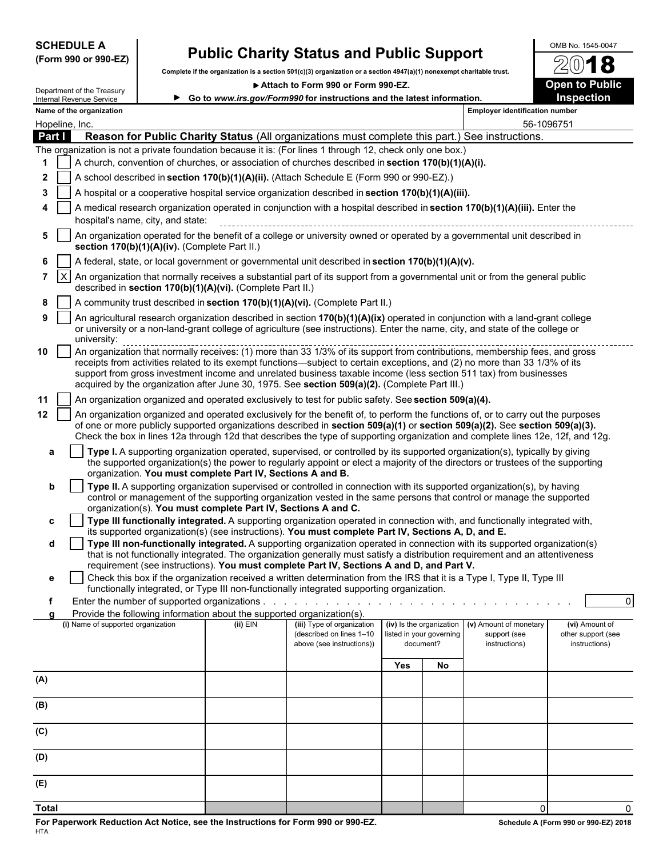| <b>SCHEDULE A</b> |  |                      |
|-------------------|--|----------------------|
|                   |  | (Form 990 or 990-EZ) |

Department of the Treasury

## **Public Charity Status and Public Support**<br>**SCHEDULE A Public Support Public Support Constant of a section 501(c)(3) organization** or a section 4947/a)(1) nonexempt charitable trust  $\mathbb{Z}(0)$  **18**

**Complete if the organization is a section 501(c)(3) organization or a section 4947(a)(1) nonexempt charitable trust.**

**Attach to Form 990 or Form 990-EZ. Open to Public**



|              |              | Department of the Treasury<br>Internal Revenue Service                                                                                                                                                          |                                               |                                                                        | ► Go to www.irs.gov/Form990 for instructions and the latest information.                                                                                                                                                                                                                                                                                                                                                                                                                      |     |                                                                   |                                        | <b>Inspection</b>                    |
|--------------|--------------|-----------------------------------------------------------------------------------------------------------------------------------------------------------------------------------------------------------------|-----------------------------------------------|------------------------------------------------------------------------|-----------------------------------------------------------------------------------------------------------------------------------------------------------------------------------------------------------------------------------------------------------------------------------------------------------------------------------------------------------------------------------------------------------------------------------------------------------------------------------------------|-----|-------------------------------------------------------------------|----------------------------------------|--------------------------------------|
|              |              | Name of the organization                                                                                                                                                                                        |                                               |                                                                        |                                                                                                                                                                                                                                                                                                                                                                                                                                                                                               |     |                                                                   | <b>Employer identification number</b>  |                                      |
|              |              | Hopeline, Inc.                                                                                                                                                                                                  |                                               |                                                                        |                                                                                                                                                                                                                                                                                                                                                                                                                                                                                               |     |                                                                   | 56-1096751                             |                                      |
|              | Part I       |                                                                                                                                                                                                                 |                                               |                                                                        | Reason for Public Charity Status (All organizations must complete this part.) See instructions.                                                                                                                                                                                                                                                                                                                                                                                               |     |                                                                   |                                        |                                      |
|              |              | The organization is not a private foundation because it is: (For lines 1 through 12, check only one box.)<br>A church, convention of churches, or association of churches described in section 170(b)(1)(A)(i). |                                               |                                                                        |                                                                                                                                                                                                                                                                                                                                                                                                                                                                                               |     |                                                                   |                                        |                                      |
|              |              |                                                                                                                                                                                                                 |                                               |                                                                        |                                                                                                                                                                                                                                                                                                                                                                                                                                                                                               |     |                                                                   |                                        |                                      |
| 2            |              |                                                                                                                                                                                                                 |                                               |                                                                        | A school described in section 170(b)(1)(A)(ii). (Attach Schedule E (Form 990 or 990-EZ).)                                                                                                                                                                                                                                                                                                                                                                                                     |     |                                                                   |                                        |                                      |
| 3            |              |                                                                                                                                                                                                                 |                                               |                                                                        | A hospital or a cooperative hospital service organization described in section 170(b)(1)(A)(iii).                                                                                                                                                                                                                                                                                                                                                                                             |     |                                                                   |                                        |                                      |
|              |              |                                                                                                                                                                                                                 |                                               |                                                                        | A medical research organization operated in conjunction with a hospital described in section 170(b)(1)(A)(iii). Enter the                                                                                                                                                                                                                                                                                                                                                                     |     |                                                                   |                                        |                                      |
| 5            |              | hospital's name, city, and state:<br>An organization operated for the benefit of a college or university owned or operated by a governmental unit described in                                                  |                                               |                                                                        |                                                                                                                                                                                                                                                                                                                                                                                                                                                                                               |     |                                                                   |                                        |                                      |
|              |              |                                                                                                                                                                                                                 | section 170(b)(1)(A)(iv). (Complete Part II.) |                                                                        |                                                                                                                                                                                                                                                                                                                                                                                                                                                                                               |     |                                                                   |                                        |                                      |
| 6            |              |                                                                                                                                                                                                                 |                                               |                                                                        | A federal, state, or local government or governmental unit described in section 170(b)(1)(A)(v).                                                                                                                                                                                                                                                                                                                                                                                              |     |                                                                   |                                        |                                      |
| $7^{\circ}$  | $\mathsf{X}$ |                                                                                                                                                                                                                 |                                               |                                                                        | An organization that normally receives a substantial part of its support from a governmental unit or from the general public                                                                                                                                                                                                                                                                                                                                                                  |     |                                                                   |                                        |                                      |
| 8            |              |                                                                                                                                                                                                                 |                                               | described in section 170(b)(1)(A)(vi). (Complete Part II.)             | A community trust described in section 170(b)(1)(A)(vi). (Complete Part II.)                                                                                                                                                                                                                                                                                                                                                                                                                  |     |                                                                   |                                        |                                      |
| 9            |              |                                                                                                                                                                                                                 |                                               |                                                                        | An agricultural research organization described in section 170(b)(1)(A)(ix) operated in conjunction with a land-grant college                                                                                                                                                                                                                                                                                                                                                                 |     |                                                                   |                                        |                                      |
|              |              | university:                                                                                                                                                                                                     |                                               |                                                                        | or university or a non-land-grant college of agriculture (see instructions). Enter the name, city, and state of the college or                                                                                                                                                                                                                                                                                                                                                                |     |                                                                   |                                        |                                      |
| 10           |              |                                                                                                                                                                                                                 |                                               |                                                                        | опистыму.<br>Аn organization that normally receives: (1) more than 33 1/3% of its support from contributions, membership fees, and gross<br>receipts from activities related to its exempt functions—subject to certain exceptions, and (2) no more than 33 1/3% of its<br>support from gross investment income and unrelated business taxable income (less section 511 tax) from businesses<br>acquired by the organization after June 30, 1975. See section 509(a)(2). (Complete Part III.) |     |                                                                   |                                        |                                      |
| 11           |              |                                                                                                                                                                                                                 |                                               |                                                                        | An organization organized and operated exclusively to test for public safety. See section 509(a)(4).                                                                                                                                                                                                                                                                                                                                                                                          |     |                                                                   |                                        |                                      |
| 12           |              |                                                                                                                                                                                                                 |                                               |                                                                        | An organization organized and operated exclusively for the benefit of, to perform the functions of, or to carry out the purposes                                                                                                                                                                                                                                                                                                                                                              |     |                                                                   |                                        |                                      |
|              |              |                                                                                                                                                                                                                 |                                               |                                                                        | of one or more publicly supported organizations described in section 509(a)(1) or section 509(a)(2). See section 509(a)(3).<br>Check the box in lines 12a through 12d that describes the type of supporting organization and complete lines 12e, 12f, and 12g.                                                                                                                                                                                                                                |     |                                                                   |                                        |                                      |
|              | а            |                                                                                                                                                                                                                 |                                               | organization. You must complete Part IV, Sections A and B.             | Type I. A supporting organization operated, supervised, or controlled by its supported organization(s), typically by giving<br>the supported organization(s) the power to regularly appoint or elect a majority of the directors or trustees of the supporting                                                                                                                                                                                                                                |     |                                                                   |                                        |                                      |
|              | b            |                                                                                                                                                                                                                 |                                               |                                                                        | Type II. A supporting organization supervised or controlled in connection with its supported organization(s), by having                                                                                                                                                                                                                                                                                                                                                                       |     |                                                                   |                                        |                                      |
|              |              |                                                                                                                                                                                                                 |                                               | organization(s). You must complete Part IV, Sections A and C.          | control or management of the supporting organization vested in the same persons that control or manage the supported                                                                                                                                                                                                                                                                                                                                                                          |     |                                                                   |                                        |                                      |
|              | c            |                                                                                                                                                                                                                 |                                               |                                                                        | Type III functionally integrated. A supporting organization operated in connection with, and functionally integrated with,                                                                                                                                                                                                                                                                                                                                                                    |     |                                                                   |                                        |                                      |
|              |              |                                                                                                                                                                                                                 |                                               |                                                                        | its supported organization(s) (see instructions). You must complete Part IV, Sections A, D, and E.                                                                                                                                                                                                                                                                                                                                                                                            |     |                                                                   |                                        |                                      |
|              | d            |                                                                                                                                                                                                                 |                                               |                                                                        | Type III non-functionally integrated. A supporting organization operated in connection with its supported organization(s)<br>that is not functionally integrated. The organization generally must satisfy a distribution requirement and an attentiveness                                                                                                                                                                                                                                     |     |                                                                   |                                        |                                      |
|              |              |                                                                                                                                                                                                                 |                                               |                                                                        | requirement (see instructions). You must complete Part IV, Sections A and D, and Part V.                                                                                                                                                                                                                                                                                                                                                                                                      |     |                                                                   |                                        |                                      |
|              |              |                                                                                                                                                                                                                 |                                               |                                                                        | Check this box if the organization received a written determination from the IRS that it is a Type I, Type II, Type III                                                                                                                                                                                                                                                                                                                                                                       |     |                                                                   |                                        |                                      |
| f            |              |                                                                                                                                                                                                                 |                                               |                                                                        | functionally integrated, or Type III non-functionally integrated supporting organization.                                                                                                                                                                                                                                                                                                                                                                                                     |     |                                                                   |                                        | $\Omega$                             |
|              | a            |                                                                                                                                                                                                                 |                                               | Provide the following information about the supported organization(s). |                                                                                                                                                                                                                                                                                                                                                                                                                                                                                               |     |                                                                   |                                        |                                      |
|              |              | (i) Name of supported organization                                                                                                                                                                              |                                               | $(ii)$ EIN                                                             | (iii) Type of organization<br>(described on lines 1-10                                                                                                                                                                                                                                                                                                                                                                                                                                        |     | (iv) Is the organization<br>listed in your governing<br>document? | (v) Amount of monetary<br>support (see | (vi) Amount of<br>other support (see |
|              |              |                                                                                                                                                                                                                 |                                               |                                                                        | above (see instructions))                                                                                                                                                                                                                                                                                                                                                                                                                                                                     |     |                                                                   | instructions)                          | instructions)                        |
|              |              |                                                                                                                                                                                                                 |                                               |                                                                        |                                                                                                                                                                                                                                                                                                                                                                                                                                                                                               | Yes | No                                                                |                                        |                                      |
| (A)          |              |                                                                                                                                                                                                                 |                                               |                                                                        |                                                                                                                                                                                                                                                                                                                                                                                                                                                                                               |     |                                                                   |                                        |                                      |
| (B)          |              |                                                                                                                                                                                                                 |                                               |                                                                        |                                                                                                                                                                                                                                                                                                                                                                                                                                                                                               |     |                                                                   |                                        |                                      |
|              |              |                                                                                                                                                                                                                 |                                               |                                                                        |                                                                                                                                                                                                                                                                                                                                                                                                                                                                                               |     |                                                                   |                                        |                                      |
| (C)          |              |                                                                                                                                                                                                                 |                                               |                                                                        |                                                                                                                                                                                                                                                                                                                                                                                                                                                                                               |     |                                                                   |                                        |                                      |
| (D)          |              |                                                                                                                                                                                                                 |                                               |                                                                        |                                                                                                                                                                                                                                                                                                                                                                                                                                                                                               |     |                                                                   |                                        |                                      |
| (E)          |              |                                                                                                                                                                                                                 |                                               |                                                                        |                                                                                                                                                                                                                                                                                                                                                                                                                                                                                               |     |                                                                   |                                        |                                      |
| <b>Total</b> |              |                                                                                                                                                                                                                 |                                               |                                                                        |                                                                                                                                                                                                                                                                                                                                                                                                                                                                                               |     |                                                                   | $\mathbf 0$                            | $\Omega$                             |
|              |              |                                                                                                                                                                                                                 |                                               |                                                                        |                                                                                                                                                                                                                                                                                                                                                                                                                                                                                               |     |                                                                   |                                        |                                      |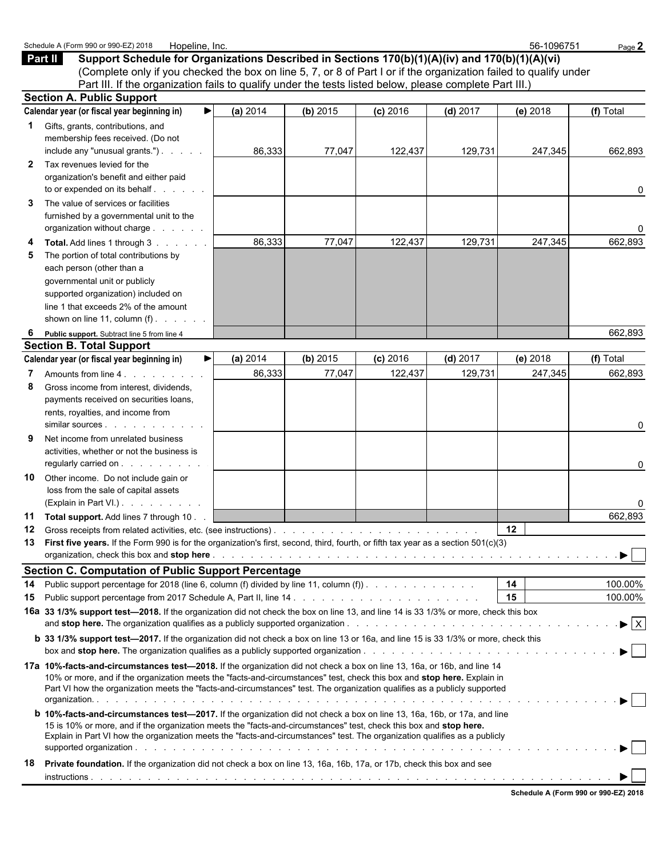|          | Schedule A (Form 990 or 990-EZ) 2018<br>Hopeline, Inc.                                                                                                                                                                                                                                                                                                                             |          |          |            |            | 56-1096751 | Page 2                         |
|----------|------------------------------------------------------------------------------------------------------------------------------------------------------------------------------------------------------------------------------------------------------------------------------------------------------------------------------------------------------------------------------------|----------|----------|------------|------------|------------|--------------------------------|
| Part II  | Support Schedule for Organizations Described in Sections 170(b)(1)(A)(iv) and 170(b)(1)(A)(vi)                                                                                                                                                                                                                                                                                     |          |          |            |            |            |                                |
|          | (Complete only if you checked the box on line 5, 7, or 8 of Part I or if the organization failed to qualify under<br>Part III. If the organization fails to qualify under the tests listed below, please complete Part III.)                                                                                                                                                       |          |          |            |            |            |                                |
|          | <b>Section A. Public Support</b>                                                                                                                                                                                                                                                                                                                                                   |          |          |            |            |            |                                |
|          | Calendar year (or fiscal year beginning in)                                                                                                                                                                                                                                                                                                                                        | (a) 2014 | (b) 2015 | $(c)$ 2016 | $(d)$ 2017 | (e) 2018   | (f) Total                      |
|          |                                                                                                                                                                                                                                                                                                                                                                                    |          |          |            |            |            |                                |
| 1.       | Gifts, grants, contributions, and<br>membership fees received. (Do not<br>include any "unusual grants.")                                                                                                                                                                                                                                                                           | 86,333   | 77,047   | 122,437    | 129,731    | 247,345    | 662,893                        |
| 2        | Tax revenues levied for the<br>organization's benefit and either paid<br>to or expended on its behalf                                                                                                                                                                                                                                                                              |          |          |            |            |            | 0                              |
| 3        | The value of services or facilities<br>furnished by a governmental unit to the<br>organization without charge                                                                                                                                                                                                                                                                      |          |          |            |            |            | 0                              |
|          | Total. Add lines 1 through 3                                                                                                                                                                                                                                                                                                                                                       | 86,333   | 77,047   | 122,437    | 129,731    | 247,345    | 662,893                        |
| 5        | The portion of total contributions by<br>each person (other than a<br>governmental unit or publicly<br>supported organization) included on<br>line 1 that exceeds 2% of the amount<br>shown on line 11, column $(f)$ . $\ldots$ .                                                                                                                                                  |          |          |            |            |            |                                |
| 6        | Public support. Subtract line 5 from line 4                                                                                                                                                                                                                                                                                                                                        |          |          |            |            |            | 662,893                        |
|          | <b>Section B. Total Support</b>                                                                                                                                                                                                                                                                                                                                                    |          |          |            |            |            |                                |
|          | Calendar year (or fiscal year beginning in)<br>▶                                                                                                                                                                                                                                                                                                                                   | (a) 2014 | (b) 2015 | $(c)$ 2016 | $(d)$ 2017 | (e) 2018   | (f) Total                      |
|          | Amounts from line 4.                                                                                                                                                                                                                                                                                                                                                               | 86,333   | 77,047   | 122,437    | 129,731    | 247,345    | 662,893                        |
| 8        | Gross income from interest, dividends,<br>payments received on securities loans,<br>rents, royalties, and income from                                                                                                                                                                                                                                                              |          |          |            |            |            | 0                              |
|          | Net income from unrelated business<br>activities, whether or not the business is<br>regularly carried on                                                                                                                                                                                                                                                                           |          |          |            |            |            | 0                              |
| 10       | Other income. Do not include gain or<br>loss from the sale of capital assets<br>(Explain in Part VI.)                                                                                                                                                                                                                                                                              |          |          |            |            |            | 0                              |
|          | 11 Total support. Add lines 7 through 10                                                                                                                                                                                                                                                                                                                                           |          |          |            |            |            | 662,893                        |
| 12<br>13 | First five years. If the Form 990 is for the organization's first, second, third, fourth, or fifth tax year as a section 501(c)(3)                                                                                                                                                                                                                                                 |          |          |            |            | 12         |                                |
|          | <b>Section C. Computation of Public Support Percentage</b>                                                                                                                                                                                                                                                                                                                         |          |          |            |            |            |                                |
| 14       | Public support percentage for 2018 (line 6, column (f) divided by line 11, column (f)).                                                                                                                                                                                                                                                                                            |          |          |            |            | 14         | 100.00%                        |
| 15       |                                                                                                                                                                                                                                                                                                                                                                                    |          |          |            |            | 15         | 100.00%                        |
|          | 16a 33 1/3% support test-2018. If the organization did not check the box on line 13, and line 14 is 33 1/3% or more, check this box                                                                                                                                                                                                                                                |          |          |            |            |            | $\blacktriangleright$ $\mid$ X |
|          | <b>b</b> 33 1/3% support test—2017. If the organization did not check a box on line 13 or 16a, and line 15 is 33 1/3% or more, check this                                                                                                                                                                                                                                          |          |          |            |            |            |                                |
|          | 17a 10%-facts-and-circumstances test-2018. If the organization did not check a box on line 13, 16a, or 16b, and line 14<br>10% or more, and if the organization meets the "facts-and-circumstances" test, check this box and stop here. Explain in<br>Part VI how the organization meets the "facts-and-circumstances" test. The organization qualifies as a publicly supported    |          |          |            |            |            |                                |
|          | <b>b 10%-facts-and-circumstances test-2017.</b> If the organization did not check a box on line 13, 16a, 16b, or 17a, and line<br>15 is 10% or more, and if the organization meets the "facts-and-circumstances" test, check this box and stop here.<br>Explain in Part VI how the organization meets the "facts-and-circumstances" test. The organization qualifies as a publicly |          |          |            |            |            |                                |
| 18       | Private foundation. If the organization did not check a box on line 13, 16a, 16b, 17a, or 17b, check this box and see                                                                                                                                                                                                                                                              |          |          |            |            |            |                                |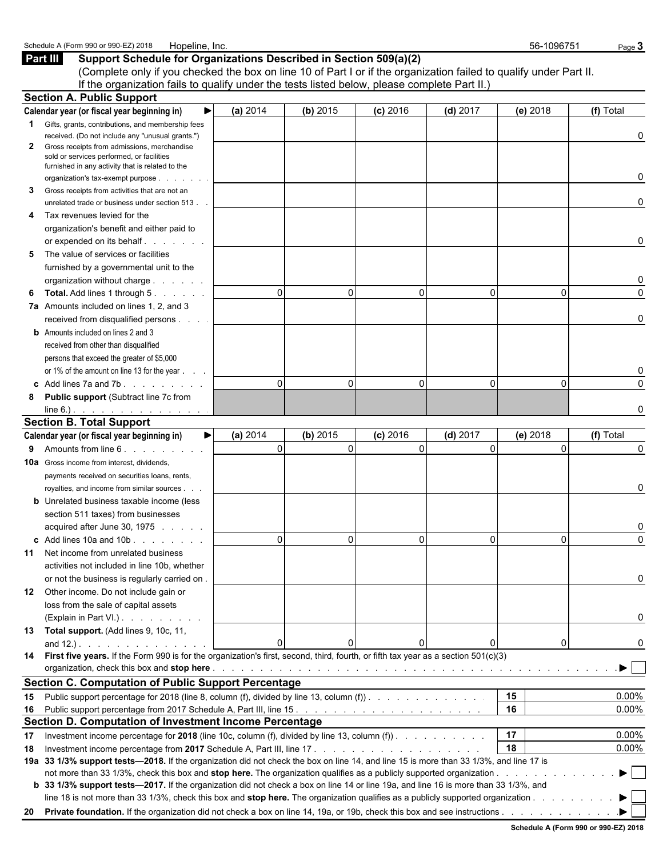| Schedule A (Form 990 or 990-EZ) 2018<br>Hopeline, Inc.                                                                                                                                                                              |          |          |              |              | 56-1096751 | Page 3    |
|-------------------------------------------------------------------------------------------------------------------------------------------------------------------------------------------------------------------------------------|----------|----------|--------------|--------------|------------|-----------|
| Part III<br>Support Schedule for Organizations Described in Section 509(a)(2)                                                                                                                                                       |          |          |              |              |            |           |
| (Complete only if you checked the box on line 10 of Part I or if the organization failed to qualify under Part II.                                                                                                                  |          |          |              |              |            |           |
| If the organization fails to qualify under the tests listed below, please complete Part II.)                                                                                                                                        |          |          |              |              |            |           |
| <b>Section A. Public Support</b>                                                                                                                                                                                                    |          |          |              |              |            |           |
| Calendar year (or fiscal year beginning in)                                                                                                                                                                                         | (a) 2014 | (b) 2015 | $(c)$ 2016   | $(d)$ 2017   | $(e)$ 2018 | (f) Total |
| Gifts, grants, contributions, and membership fees                                                                                                                                                                                   |          |          |              |              |            |           |
| received. (Do not include any "unusual grants.")                                                                                                                                                                                    |          |          |              |              |            |           |
| Gross receipts from admissions, merchandise<br>$\mathbf{2}$<br>sold or services performed, or facilities                                                                                                                            |          |          |              |              |            |           |
| furnished in any activity that is related to the                                                                                                                                                                                    |          |          |              |              |            |           |
| organization's tax-exempt purpose.                                                                                                                                                                                                  |          |          |              |              |            |           |
| Gross receipts from activities that are not an<br>3                                                                                                                                                                                 |          |          |              |              |            |           |
| unrelated trade or business under section 513.                                                                                                                                                                                      |          |          |              |              |            |           |
| Tax revenues levied for the                                                                                                                                                                                                         |          |          |              |              |            |           |
| organization's benefit and either paid to                                                                                                                                                                                           |          |          |              |              |            |           |
|                                                                                                                                                                                                                                     |          |          |              |              |            |           |
| The value of services or facilities<br>5                                                                                                                                                                                            |          |          |              |              |            |           |
| furnished by a governmental unit to the                                                                                                                                                                                             |          |          |              |              |            |           |
| organization without charge                                                                                                                                                                                                         |          |          |              |              |            |           |
| <b>Total.</b> Add lines 1 through 5.<br>6                                                                                                                                                                                           | $\Omega$ | 0        | $\Omega$     | 0            | 0          |           |
| 7a Amounts included on lines 1, 2, and 3                                                                                                                                                                                            |          |          |              |              |            |           |
| received from disqualified persons                                                                                                                                                                                                  |          |          |              |              |            |           |
| <b>b</b> Amounts included on lines 2 and 3                                                                                                                                                                                          |          |          |              |              |            |           |
| received from other than disqualified                                                                                                                                                                                               |          |          |              |              |            |           |
| persons that exceed the greater of \$5,000                                                                                                                                                                                          |          |          |              |              |            |           |
| or 1% of the amount on line 13 for the year                                                                                                                                                                                         |          |          |              |              |            |           |
|                                                                                                                                                                                                                                     | $\Omega$ | $\Omega$ | $\mathbf{0}$ | 0            | 0          |           |
| <b>Public support (Subtract line 7c from</b><br>8                                                                                                                                                                                   |          |          |              |              |            |           |
|                                                                                                                                                                                                                                     |          |          |              |              |            |           |
| <b>Section B. Total Support</b>                                                                                                                                                                                                     |          |          |              |              |            |           |
| Calendar year (or fiscal year beginning in)<br>▶                                                                                                                                                                                    | (a) 2014 | (b) 2015 | $(c)$ 2016   | $(d)$ 2017   | (e) 2018   | (f) Total |
| 9 Amounts from line 6.                                                                                                                                                                                                              | $\Omega$ | $\Omega$ | $\Omega$     | $\mathbf{0}$ | 0          |           |
| <b>10a</b> Gross income from interest, dividends,                                                                                                                                                                                   |          |          |              |              |            |           |
| payments received on securities loans, rents,                                                                                                                                                                                       |          |          |              |              |            |           |
| royalties, and income from similar sources.                                                                                                                                                                                         |          |          |              |              |            |           |
| <b>b</b> Unrelated business taxable income (less                                                                                                                                                                                    |          |          |              |              |            |           |
| section 511 taxes) from businesses                                                                                                                                                                                                  |          |          |              |              |            |           |
| acquired after June 30, 1975                                                                                                                                                                                                        |          |          |              |              |            |           |
| $\text{c}$ Add lines 10a and 10b $\ldots$ $\ldots$                                                                                                                                                                                  |          | 0        | 0            | 0            | 0          |           |
| 11 Net income from unrelated business                                                                                                                                                                                               |          |          |              |              |            |           |
| activities not included in line 10b, whether                                                                                                                                                                                        |          |          |              |              |            |           |
| or not the business is regularly carried on.                                                                                                                                                                                        |          |          |              |              |            |           |
| 12 Other income. Do not include gain or                                                                                                                                                                                             |          |          |              |              |            |           |
| loss from the sale of capital assets                                                                                                                                                                                                |          |          |              |              |            |           |
| (Explain in Part VI.).                                                                                                                                                                                                              |          |          |              |              |            |           |
| 13 Total support. (Add lines 9, 10c, 11,                                                                                                                                                                                            |          |          |              |              |            |           |
|                                                                                                                                                                                                                                     | $\Omega$ | $\Omega$ |              | 0            | 0          |           |
| 14 First five years. If the Form 990 is for the organization's first, second, third, fourth, or fifth tax year as a section 501(c)(3)                                                                                               |          |          |              |              |            |           |
| organization, check this box and stop here <b>expansion of the controller of the controller</b> of the controller of the controller of the controller of the controller of the controller of the controller of the controller of th |          |          |              |              |            |           |
| <b>Section C. Computation of Public Support Percentage</b>                                                                                                                                                                          |          |          |              |              |            |           |
| Public support percentage for 2018 (line 8, column (f), divided by line 13, column (f)).<br>15                                                                                                                                      |          |          |              |              | 15         | 0.00%     |
| 16                                                                                                                                                                                                                                  |          |          |              |              | 16         | 0.00%     |
| Section D. Computation of Investment Income Percentage                                                                                                                                                                              |          |          |              |              |            |           |
| Investment income percentage for 2018 (line 10c, column (f), divided by line 13, column (f)).<br>17                                                                                                                                 |          |          |              |              | 17         | $0.00\%$  |
| 18                                                                                                                                                                                                                                  |          |          |              |              | 18         | $0.00\%$  |
| 19a 33 1/3% support tests-2018. If the organization did not check the box on line 14, and line 15 is more than 33 1/3%, and line 17 is                                                                                              |          |          |              |              |            |           |
|                                                                                                                                                                                                                                     |          |          |              |              |            |           |
| b 33 1/3% support tests—2017. If the organization did not check a box on line 14 or line 19a, and line 16 is more than 33 1/3%, and                                                                                                 |          |          |              |              |            |           |
| line 18 is not more than 33 1/3%, check this box and stop here. The organization qualifies as a publicly supported organization                                                                                                     |          |          |              |              |            |           |
|                                                                                                                                                                                                                                     |          |          |              |              |            |           |
|                                                                                                                                                                                                                                     |          |          |              |              |            |           |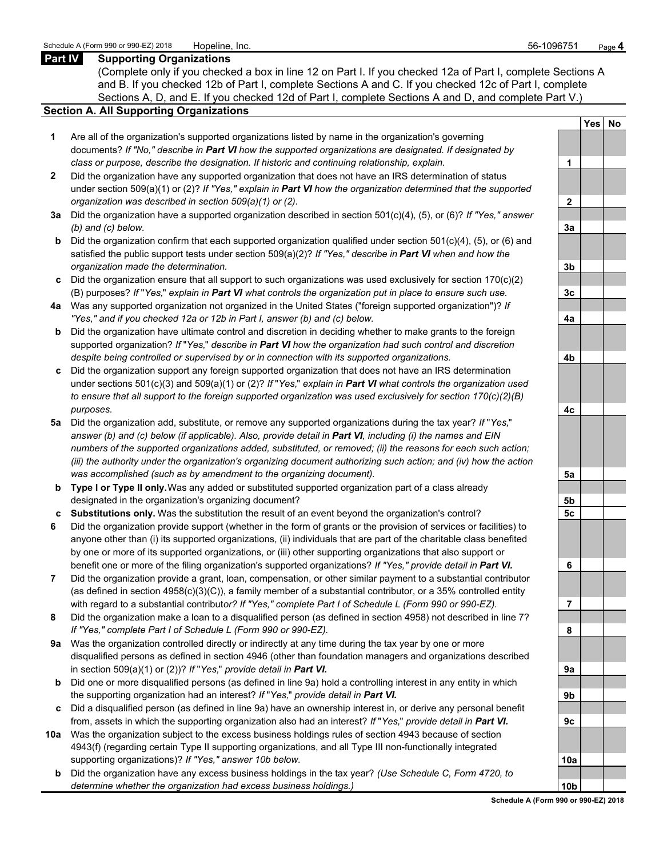## **Part IV Supporting Organizations**

(Complete only if you checked a box in line 12 on Part I. If you checked 12a of Part I, complete Sections A and B. If you checked 12b of Part I, complete Sections A and C. If you checked 12c of Part I, complete Sections A, D, and E. If you checked 12d of Part I, complete Sections A and D, and complete Part V.)

## **Section A. All Supporting Organizations**

- **1** Are all of the organization's supported organizations listed by name in the organization's governing documents? *If "No," describe in Part VI how the supported organizations are designated. If designated by class or purpose, describe the designation. If historic and continuing relationship, explain.* **1**
- **2** Did the organization have any supported organization that does not have an IRS determination of status under section 509(a)(1) or (2)? *If "Yes," explain in Part VI how the organization determined that the supported organization was described in section 509(a)(1) or (2).*
- **3a** Did the organization have a supported organization described in section 501(c)(4), (5), or (6)? *If "Yes," answer (b) and (c) below.* **3a**
- **b** Did the organization confirm that each supported organization qualified under section 501(c)(4), (5), or (6) and satisfied the public support tests under section 509(a)(2)? *If "Yes," describe in Part VI when and how the organization made the determination.* **3b**
- **c** Did the organization ensure that all support to such organizations was used exclusively for section 170(c)(2) (B) purposes? *If* "*Yes,*" *explain in Part VI what controls the organization put in place to ensure such use.* **3c**
- **4a** Was any supported organization not organized in the United States ("foreign supported organization")? *If "Yes," and if you checked 12a or 12b in Part I, answer (b) and (c) below.* **4a**
- **b** Did the organization have ultimate control and discretion in deciding whether to make grants to the foreign supported organization? *If* "*Yes,*" *describe in Part VI how the organization had such control and discretion despite being controlled or supervised by or in connection with its supported organizations.* **4b**
- **c** Did the organization support any foreign supported organization that does not have an IRS determination under sections 501(c)(3) and 509(a)(1) or (2)? *If* "*Yes,*" *explain in Part VI what controls the organization used to ensure that all support to the foreign supported organization was used exclusively for section 170(c)(2)(B) purposes.* **4c**
- **5a** Did the organization add, substitute, or remove any supported organizations during the tax year? *If* "*Yes,*" *answer (b) and (c) below (if applicable). Also, provide detail in Part VI, including (i) the names and EIN numbers of the supported organizations added, substituted, or removed; (ii) the reasons for each such action; (iii) the authority under the organization's organizing document authorizing such action; and (iv) how the action was accomplished (such as by amendment to the organizing document).* **5a**
- **b Type I or Type II only.** Was any added or substituted supported organization part of a class already designated in the organization's organizing document? **5b**
- **c Substitutions only.** Was the substitution the result of an event beyond the organization's control? **5c**
- **6** Did the organization provide support (whether in the form of grants or the provision of services or facilities) to anyone other than (i) its supported organizations, (ii) individuals that are part of the charitable class benefited by one or more of its supported organizations, or (iii) other supporting organizations that also support or benefit one or more of the filing organization's supported organizations? *If "Yes," provide detail in Part VI.* **6**
- **7** Did the organization provide a grant, loan, compensation, or other similar payment to a substantial contributor (as defined in section 4958(c)(3)(C)), a family member of a substantial contributor, or a 35% controlled entity with regard to a substantial contribut*or? If "Yes," complete Part I of Schedule L (Form 990 or 990-EZ).* **7**
- **8** Did the organization make a loan to a disqualified person (as defined in section 4958) not described in line 7? *If "Yes," complete Part I of Schedule L (Form 990 or 990-EZ).* **8**
- **9a** Was the organization controlled directly or indirectly at any time during the tax year by one or more disqualified persons as defined in section 4946 (other than foundation managers and organizations described in section 509(a)(1) or (2))? *If* "*Yes*," *provide detail in Part VI.*
- **b** Did one or more disqualified persons (as defined in line 9a) hold a controlling interest in any entity in which the supporting organization had an interest? *If* "*Yes,*" *provide detail in Part VI.* **9b**
- **c** Did a disqualified person (as defined in line 9a) have an ownership interest in, or derive any personal benefit from, assets in which the supporting organization also had an interest? *If* "*Yes,*" *provide detail in Part VI.* **9c**
- **10a** Was the organization subject to the excess business holdings rules of section 4943 because of section 4943(f) (regarding certain Type II supporting organizations, and all Type III non-functionally integrated supporting organizations)? If "Yes," answer 10b below.
	- **b** Did the organization have any excess business holdings in the tax year? *(Use Schedule C, Form 4720, to determine whether the organization had excess business holdings.)* **10b**

|                | <b>Yes</b><br>l | $No$ |
|----------------|-----------------|------|
|                |                 |      |
| 1              |                 |      |
|                |                 |      |
| $\overline{2}$ |                 |      |
|                |                 |      |
| <u>3a</u>      |                 |      |
|                |                 |      |
| <u>3b</u>      |                 |      |
|                |                 |      |
| $\frac{3c}{2}$ |                 |      |
|                |                 |      |
| 4a             |                 |      |
|                |                 |      |
| <u>4b</u>      |                 |      |
|                |                 |      |
| 4c             |                 |      |
|                |                 |      |
| <u>5a</u>      |                 |      |
|                |                 |      |
| <u>5b</u>      |                 |      |
| <u>5c</u>      |                 |      |
|                |                 |      |
| 6              |                 |      |
|                |                 |      |
| 7              |                 |      |
| 8              |                 |      |
|                |                 |      |
| ).             |                 |      |
|                |                 |      |
| I<br>b         |                 |      |
|                |                 |      |
| κ              |                 |      |
|                |                 |      |
| 0<br>k         |                 |      |
| 0 <sub>k</sub> |                 |      |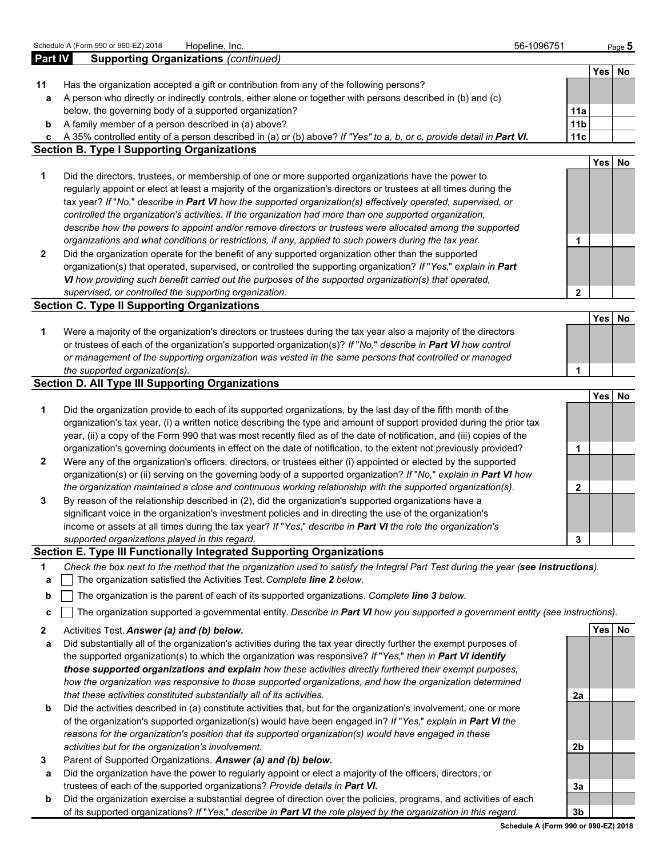|                | Schedule A (Form 990 or 990-EZ) 2018<br>Hopeline, Inc.                                                                                                                 | 56-1096751             |            | Page 5 |
|----------------|------------------------------------------------------------------------------------------------------------------------------------------------------------------------|------------------------|------------|--------|
| <b>Part IV</b> | <b>Supporting Organizations (continued)</b>                                                                                                                            |                        |            |        |
|                |                                                                                                                                                                        |                        |            | Yes No |
| 11             | Has the organization accepted a gift or contribution from any of the following persons?                                                                                |                        |            |        |
| а              | A person who directly or indirectly controls, either alone or together with persons described in (b) and (c)<br>below, the governing body of a supported organization? |                        |            |        |
|                | A family member of a person described in (a) above?                                                                                                                    | 11a<br>11 <sub>b</sub> |            |        |
| b<br>c         | A 35% controlled entity of a person described in (a) or (b) above? If "Yes" to a, b, or c, provide detail in Part VI.                                                  | 11c                    |            |        |
|                | <b>Section B. Type I Supporting Organizations</b>                                                                                                                      |                        |            |        |
|                |                                                                                                                                                                        |                        | Yes        | No     |
| 1              | Did the directors, trustees, or membership of one or more supported organizations have the power to                                                                    |                        |            |        |
|                | regularly appoint or elect at least a majority of the organization's directors or trustees at all times during the                                                     |                        |            |        |
|                | tax year? If "No," describe in Part VI how the supported organization(s) effectively operated, supervised, or                                                          |                        |            |        |
|                | controlled the organization's activities. If the organization had more than one supported organization,                                                                |                        |            |        |
|                | describe how the powers to appoint and/or remove directors or trustees were allocated among the supported                                                              |                        |            |        |
|                | organizations and what conditions or restrictions, if any, applied to such powers during the tax year.                                                                 | 1                      |            |        |
| 2              | Did the organization operate for the benefit of any supported organization other than the supported                                                                    |                        |            |        |
|                | organization(s) that operated, supervised, or controlled the supporting organization? If "Yes," explain in Part                                                        |                        |            |        |
|                | VI how providing such benefit carried out the purposes of the supported organization(s) that operated,                                                                 |                        |            |        |
|                | supervised, or controlled the supporting organization.                                                                                                                 | $\mathbf{2}$           |            |        |
|                | <b>Section C. Type II Supporting Organizations</b>                                                                                                                     |                        |            |        |
|                |                                                                                                                                                                        |                        | <b>Yes</b> | No     |
| 1              | Were a majority of the organization's directors or trustees during the tax year also a majority of the directors                                                       |                        |            |        |
|                | or trustees of each of the organization's supported organization(s)? If "No," describe in Part VI how control                                                          |                        |            |        |
|                | or management of the supporting organization was vested in the same persons that controlled or managed                                                                 |                        |            |        |
|                | the supported organization(s).                                                                                                                                         | 1                      |            |        |
|                | <b>Section D. All Type III Supporting Organizations</b>                                                                                                                |                        | <b>Yes</b> | No     |
| 1              | Did the organization provide to each of its supported organizations, by the last day of the fifth month of the                                                         |                        |            |        |
|                | organization's tax year, (i) a written notice describing the type and amount of support provided during the prior tax                                                  |                        |            |        |
|                | year, (ii) a copy of the Form 990 that was most recently filed as of the date of notification, and (iii) copies of the                                                 |                        |            |        |
|                | organization's governing documents in effect on the date of notification, to the extent not previously provided?                                                       | 1                      |            |        |
| 2              | Were any of the organization's officers, directors, or trustees either (i) appointed or elected by the supported                                                       |                        |            |        |
|                | organization(s) or (ii) serving on the governing body of a supported organization? If "No," explain in Part VI how                                                     |                        |            |        |
|                | the organization maintained a close and continuous working relationship with the supported organization(s).                                                            | $\mathbf{2}$           |            |        |
| 3              | By reason of the relationship described in (2), did the organization's supported organizations have a                                                                  |                        |            |        |
|                | significant voice in the organization's investment policies and in directing the use of the organization's                                                             |                        |            |        |
|                | income or assets at all times during the tax year? If "Yes," describe in Part VI the role the organization's                                                           |                        |            |        |
|                | supported organizations played in this regard.                                                                                                                         | 3                      |            |        |
|                | Section E. Type III Functionally Integrated Supporting Organizations                                                                                                   |                        |            |        |
| 1              | Check the box next to the method that the organization used to satisfy the Integral Part Test during the year (see instructions).                                      |                        |            |        |
| a              | The organization satisfied the Activities Test. Complete line 2 below.                                                                                                 |                        |            |        |
| b              | The organization is the parent of each of its supported organizations. Complete line 3 below.                                                                          |                        |            |        |
| c              | The organization supported a governmental entity. Describe in Part VI how you supported a government entity (see instructions).                                        |                        |            |        |
|                |                                                                                                                                                                        |                        |            | Yes No |
| 2              | Activities Test. Answer (a) and (b) below.<br>Did substantially all of the organization's activities during the tax year directly further the exempt purposes of       |                        |            |        |
| а              | the supported organization(s) to which the organization was responsive? If "Yes," then in Part VI identify                                                             |                        |            |        |
|                | those supported organizations and explain how these activities directly furthered their exempt purposes,                                                               |                        |            |        |
|                | how the organization was responsive to those supported organizations, and how the organization determined                                                              |                        |            |        |
|                | that these activities constituted substantially all of its activities.                                                                                                 | 2a                     |            |        |
| b              | Did the activities described in (a) constitute activities that, but for the organization's involvement, one or more                                                    |                        |            |        |
|                | of the organization's supported organization(s) would have been engaged in? If "Yes," explain in Part VI the                                                           |                        |            |        |
|                | reasons for the organization's position that its supported organization(s) would have engaged in these                                                                 |                        |            |        |
|                | activities but for the organization's involvement.                                                                                                                     | 2b                     |            |        |
| 3              | Parent of Supported Organizations. Answer (a) and (b) below.                                                                                                           |                        |            |        |
| а              | Did the organization have the power to regularly appoint or elect a majority of the officers, directors, or                                                            |                        |            |        |
|                | trustees of each of the supported organizations? Provide details in Part VI.                                                                                           | 3a                     |            |        |
| b              | Did the organization exercise a substantial degree of direction over the policies, programs, and activities of each                                                    |                        |            |        |
|                | of its supported organizations? If "Yes," describe in Part VI the role played by the organization in this regard.                                                      | 3b                     |            |        |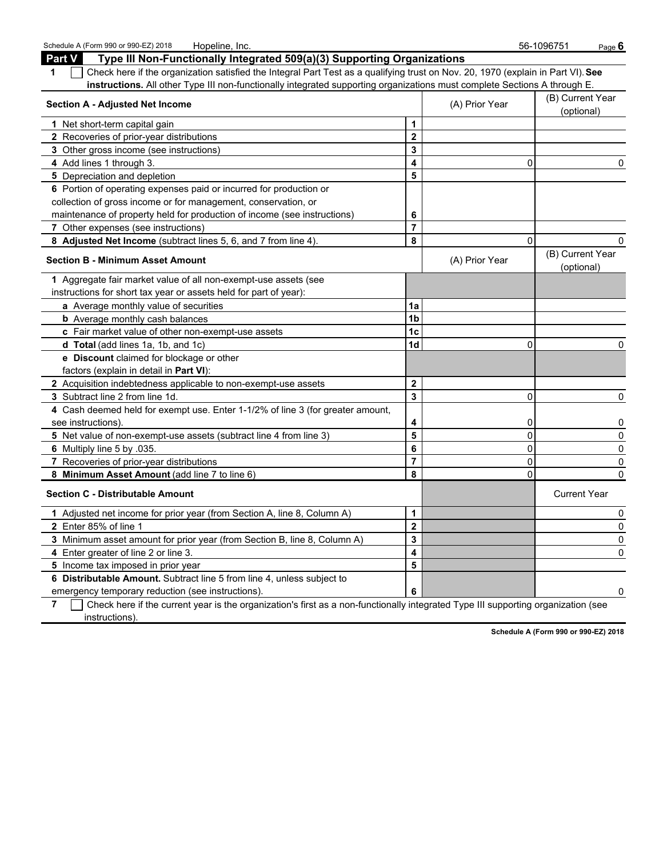| Schedule A (Form 990 or 990-EZ) 2018<br>Hopeline, Inc.                                                                                |                         |                | 56-1096751<br>Page $\bm{6}$    |
|---------------------------------------------------------------------------------------------------------------------------------------|-------------------------|----------------|--------------------------------|
| Type III Non-Functionally Integrated 509(a)(3) Supporting Organizations<br>Part V                                                     |                         |                |                                |
| Check here if the organization satisfied the Integral Part Test as a qualifying trust on Nov. 20, 1970 (explain in Part VI). See<br>1 |                         |                |                                |
| instructions. All other Type III non-functionally integrated supporting organizations must complete Sections A through E.             |                         |                |                                |
| <b>Section A - Adjusted Net Income</b>                                                                                                |                         | (A) Prior Year | (B) Current Year<br>(optional) |
| 1 Net short-term capital gain                                                                                                         | 1                       |                |                                |
| 2 Recoveries of prior-year distributions                                                                                              | $\overline{\mathbf{2}}$ |                |                                |
| 3 Other gross income (see instructions)                                                                                               | 3                       |                |                                |
| 4 Add lines 1 through 3.                                                                                                              | $\overline{\mathbf{4}}$ | $\mathbf 0$    | 0                              |
| 5 Depreciation and depletion                                                                                                          | 5                       |                |                                |
| 6 Portion of operating expenses paid or incurred for production or                                                                    |                         |                |                                |
| collection of gross income or for management, conservation, or                                                                        |                         |                |                                |
| maintenance of property held for production of income (see instructions)                                                              | 6                       |                |                                |
| 7 Other expenses (see instructions)                                                                                                   | $\overline{7}$          |                |                                |
| 8 Adjusted Net Income (subtract lines 5, 6, and 7 from line 4).                                                                       | 8                       | $\Omega$       | 0                              |
| <b>Section B - Minimum Asset Amount</b>                                                                                               |                         | (A) Prior Year | (B) Current Year<br>(optional) |
| 1 Aggregate fair market value of all non-exempt-use assets (see                                                                       |                         |                |                                |
| instructions for short tax year or assets held for part of year):                                                                     |                         |                |                                |
| a Average monthly value of securities                                                                                                 | 1a                      |                |                                |
| <b>b</b> Average monthly cash balances                                                                                                | 1 <sub>b</sub>          |                |                                |
| c Fair market value of other non-exempt-use assets                                                                                    | 1 <sub>c</sub>          |                |                                |
| d Total (add lines 1a, 1b, and 1c)                                                                                                    | 1d                      | $\mathbf{0}$   | 0                              |
| e Discount claimed for blockage or other                                                                                              |                         |                |                                |
| factors (explain in detail in Part VI):                                                                                               |                         |                |                                |
| 2 Acquisition indebtedness applicable to non-exempt-use assets                                                                        | $\mathbf{2}$            |                |                                |
| 3 Subtract line 2 from line 1d.                                                                                                       | $\overline{\mathbf{3}}$ | $\mathbf 0$    | $\mathsf 0$                    |
| 4 Cash deemed held for exempt use. Enter 1-1/2% of line 3 (for greater amount,                                                        |                         |                |                                |
| see instructions).                                                                                                                    | 4                       | 0              | 0                              |
| 5 Net value of non-exempt-use assets (subtract line 4 from line 3)                                                                    | 5                       | $\mathbf 0$    | $\mathsf 0$                    |
| 6 Multiply line 5 by 035.                                                                                                             | 6                       | $\mathbf 0$    | $\mathsf 0$                    |
| 7 Recoveries of prior-year distributions                                                                                              | $\overline{7}$          | $\mathbf{0}$   | 0                              |
| 8 Minimum Asset Amount (add line 7 to line 6)                                                                                         | 8                       | $\Omega$       | 0                              |
| <b>Section C - Distributable Amount</b>                                                                                               |                         |                | <b>Current Year</b>            |
| 1 Adjusted net income for prior year (from Section A, line 8, Column A)                                                               | 1                       |                | 0                              |
| 2 Enter 85% of line 1                                                                                                                 | $\overline{2}$          |                | $\mathsf 0$                    |
| 3 Minimum asset amount for prior year (from Section B, line 8, Column A)                                                              | 3                       |                | $\mathsf 0$                    |
| 4 Enter greater of line 2 or line 3.                                                                                                  | 4                       |                | 0                              |
| 5 Income tax imposed in prior year                                                                                                    | 5                       |                |                                |
| 6 Distributable Amount. Subtract line 5 from line 4, unless subject to                                                                |                         |                |                                |
| emergency temporary reduction (see instructions).                                                                                     | 6                       |                | 0                              |

**7** Check here if the current year is the organization's first as a non-functionally integrated Type III supporting organization (see instructions).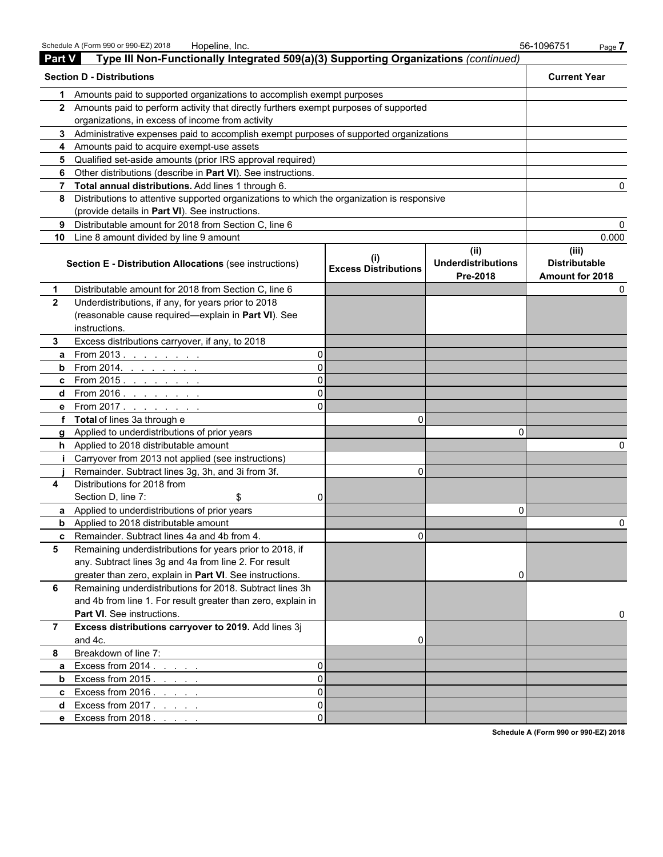|               | Schedule A (Form 990 or 990-EZ) 2018<br>Hopeline, Inc.                                     |                                             |                                               | 56-1096751<br>Page 7                                    |
|---------------|--------------------------------------------------------------------------------------------|---------------------------------------------|-----------------------------------------------|---------------------------------------------------------|
| <b>Part V</b> | Type III Non-Functionally Integrated 509(a)(3) Supporting Organizations (continued)        |                                             |                                               |                                                         |
|               | <b>Section D - Distributions</b>                                                           |                                             |                                               | <b>Current Year</b>                                     |
|               | Amounts paid to supported organizations to accomplish exempt purposes                      |                                             |                                               |                                                         |
|               | 2 Amounts paid to perform activity that directly furthers exempt purposes of supported     |                                             |                                               |                                                         |
|               | organizations, in excess of income from activity                                           |                                             |                                               |                                                         |
|               | 3 Administrative expenses paid to accomplish exempt purposes of supported organizations    |                                             |                                               |                                                         |
|               | 4 Amounts paid to acquire exempt-use assets                                                |                                             |                                               |                                                         |
| 5             | Qualified set-aside amounts (prior IRS approval required)                                  |                                             |                                               |                                                         |
| 6             | Other distributions (describe in Part VI). See instructions.                               |                                             |                                               |                                                         |
| 7             | Total annual distributions. Add lines 1 through 6.                                         |                                             |                                               | 0                                                       |
| 8             | Distributions to attentive supported organizations to which the organization is responsive |                                             |                                               |                                                         |
|               | (provide details in Part VI). See instructions.                                            |                                             |                                               |                                                         |
| 9             | Distributable amount for 2018 from Section C, line 6                                       |                                             |                                               | 0                                                       |
| 10            | Line 8 amount divided by line 9 amount                                                     |                                             |                                               | 0.000                                                   |
|               | Section E - Distribution Allocations (see instructions)                                    | $\mathbf{I}$<br><b>Excess Distributions</b> | (ii)<br><b>Underdistributions</b><br>Pre-2018 | (iii)<br><b>Distributable</b><br><b>Amount for 2018</b> |
| 1             | Distributable amount for 2018 from Section C, line 6                                       |                                             |                                               | 0                                                       |
| $\mathbf{2}$  | Underdistributions, if any, for years prior to 2018                                        |                                             |                                               |                                                         |
|               | (reasonable cause required-explain in Part VI). See                                        |                                             |                                               |                                                         |
|               | instructions.                                                                              |                                             |                                               |                                                         |
| 3             | Excess distributions carryover, if any, to 2018                                            |                                             |                                               |                                                         |
| a             | From 2013.<br>O<br>and a series of the                                                     |                                             |                                               |                                                         |
| b             | From 2014. <u>.</u><br>O                                                                   |                                             |                                               |                                                         |
| c             | From $2015.$                                                                               |                                             |                                               |                                                         |
| d             | From 2016 <u>.</u>                                                                         |                                             |                                               |                                                         |
|               | e From 2017.                                                                               |                                             |                                               |                                                         |
| f             | <b>Total</b> of lines 3a through e                                                         | 0                                           |                                               |                                                         |
| a             | Applied to underdistributions of prior years                                               |                                             | 0                                             |                                                         |
|               | h Applied to 2018 distributable amount                                                     |                                             |                                               |                                                         |
|               | Carryover from 2013 not applied (see instructions)                                         |                                             |                                               |                                                         |
|               | Remainder. Subtract lines 3g, 3h, and 3i from 3f.                                          | $\Omega$                                    |                                               |                                                         |
| 4             | Distributions for 2018 from                                                                |                                             |                                               |                                                         |
|               | Section D, line 7:<br>\$<br>0                                                              |                                             |                                               |                                                         |
|               | a Applied to underdistributions of prior years                                             |                                             | 0                                             |                                                         |
| b             | Applied to 2018 distributable amount                                                       |                                             |                                               |                                                         |
| c.            | Remainder. Subtract lines 4a and 4b from 4.                                                | $\Omega$                                    |                                               |                                                         |
| 5             | Remaining underdistributions for years prior to 2018, if                                   |                                             |                                               |                                                         |
|               | any. Subtract lines 3g and 4a from line 2. For result                                      |                                             |                                               |                                                         |
|               | greater than zero, explain in Part VI. See instructions.                                   |                                             |                                               |                                                         |
| 6             | Remaining underdistributions for 2018. Subtract lines 3h                                   |                                             |                                               |                                                         |
|               | and 4b from line 1. For result greater than zero, explain in                               |                                             |                                               |                                                         |
|               | Part VI. See instructions.                                                                 |                                             |                                               | 0                                                       |
| 7             | Excess distributions carryover to 2019. Add lines 3j                                       |                                             |                                               |                                                         |
|               | and 4c.                                                                                    | 0                                           |                                               |                                                         |
| 8             | Breakdown of line 7:                                                                       |                                             |                                               |                                                         |
| a             | Excess from $2014.$ $\ldots$ $\ldots$<br>O                                                 |                                             |                                               |                                                         |
| b             | Excess from 2015.<br>0                                                                     |                                             |                                               |                                                         |
| c             | Excess from $2016.$<br>O                                                                   |                                             |                                               |                                                         |
| d             | Excess from $2017.$ $\ldots$ $\ldots$<br>0                                                 |                                             |                                               |                                                         |
|               | e Excess from 2018.<br>0                                                                   |                                             |                                               |                                                         |
|               |                                                                                            |                                             |                                               |                                                         |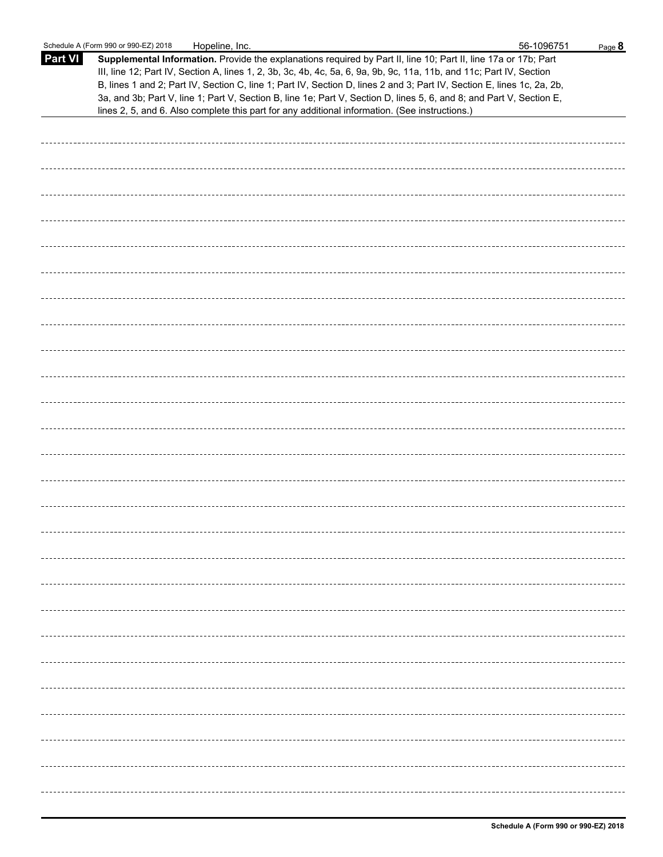|                | Schedule A (Form 990 or 990-EZ) 2018<br>Hopeline, Inc.                                                                                                                                                                                                                                                                                                                                                                                                                                                                                                                                      | 56-1096751 | Page 8 |
|----------------|---------------------------------------------------------------------------------------------------------------------------------------------------------------------------------------------------------------------------------------------------------------------------------------------------------------------------------------------------------------------------------------------------------------------------------------------------------------------------------------------------------------------------------------------------------------------------------------------|------------|--------|
| <b>Part VI</b> | Supplemental Information. Provide the explanations required by Part II, line 10; Part II, line 17a or 17b; Part<br>III, line 12; Part IV, Section A, lines 1, 2, 3b, 3c, 4b, 4c, 5a, 6, 9a, 9b, 9c, 11a, 11b, and 11c; Part IV, Section<br>B, lines 1 and 2; Part IV, Section C, line 1; Part IV, Section D, lines 2 and 3; Part IV, Section E, lines 1c, 2a, 2b,<br>3a, and 3b; Part V, line 1; Part V, Section B, line 1e; Part V, Section D, lines 5, 6, and 8; and Part V, Section E,<br>lines 2, 5, and 6. Also complete this part for any additional information. (See instructions.) |            |        |
|                |                                                                                                                                                                                                                                                                                                                                                                                                                                                                                                                                                                                             |            |        |
|                |                                                                                                                                                                                                                                                                                                                                                                                                                                                                                                                                                                                             |            |        |
|                |                                                                                                                                                                                                                                                                                                                                                                                                                                                                                                                                                                                             |            |        |
|                |                                                                                                                                                                                                                                                                                                                                                                                                                                                                                                                                                                                             |            |        |
|                |                                                                                                                                                                                                                                                                                                                                                                                                                                                                                                                                                                                             |            |        |
|                |                                                                                                                                                                                                                                                                                                                                                                                                                                                                                                                                                                                             |            |        |
|                |                                                                                                                                                                                                                                                                                                                                                                                                                                                                                                                                                                                             |            |        |
|                |                                                                                                                                                                                                                                                                                                                                                                                                                                                                                                                                                                                             |            |        |
|                |                                                                                                                                                                                                                                                                                                                                                                                                                                                                                                                                                                                             |            |        |
|                |                                                                                                                                                                                                                                                                                                                                                                                                                                                                                                                                                                                             |            |        |
|                |                                                                                                                                                                                                                                                                                                                                                                                                                                                                                                                                                                                             |            |        |
|                |                                                                                                                                                                                                                                                                                                                                                                                                                                                                                                                                                                                             |            |        |
|                |                                                                                                                                                                                                                                                                                                                                                                                                                                                                                                                                                                                             |            |        |
|                |                                                                                                                                                                                                                                                                                                                                                                                                                                                                                                                                                                                             |            |        |
|                |                                                                                                                                                                                                                                                                                                                                                                                                                                                                                                                                                                                             |            |        |
|                |                                                                                                                                                                                                                                                                                                                                                                                                                                                                                                                                                                                             |            |        |
|                |                                                                                                                                                                                                                                                                                                                                                                                                                                                                                                                                                                                             |            |        |
|                |                                                                                                                                                                                                                                                                                                                                                                                                                                                                                                                                                                                             |            |        |
|                |                                                                                                                                                                                                                                                                                                                                                                                                                                                                                                                                                                                             |            |        |
|                |                                                                                                                                                                                                                                                                                                                                                                                                                                                                                                                                                                                             |            |        |
|                |                                                                                                                                                                                                                                                                                                                                                                                                                                                                                                                                                                                             |            |        |
|                |                                                                                                                                                                                                                                                                                                                                                                                                                                                                                                                                                                                             |            |        |
|                |                                                                                                                                                                                                                                                                                                                                                                                                                                                                                                                                                                                             |            |        |
|                |                                                                                                                                                                                                                                                                                                                                                                                                                                                                                                                                                                                             |            |        |
|                |                                                                                                                                                                                                                                                                                                                                                                                                                                                                                                                                                                                             |            |        |
|                |                                                                                                                                                                                                                                                                                                                                                                                                                                                                                                                                                                                             |            |        |
|                |                                                                                                                                                                                                                                                                                                                                                                                                                                                                                                                                                                                             |            |        |
|                |                                                                                                                                                                                                                                                                                                                                                                                                                                                                                                                                                                                             |            |        |
|                |                                                                                                                                                                                                                                                                                                                                                                                                                                                                                                                                                                                             |            |        |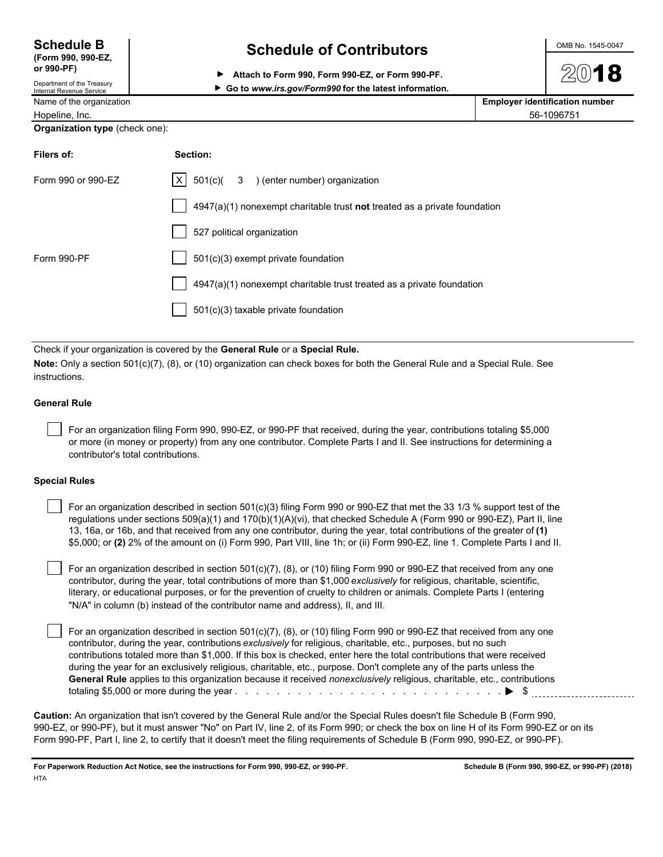| <b>Schedule B</b>  |
|--------------------|
| (Form 990, 990-EZ, |
| or 990-PF)         |

Department of the Treasury<br>Internal Revenue Service

## **Schedule of Contributors**  $\frac{\text{OMB No. 1545-0047}}{}$

**Attach to Form 990, Form 990-EZ, or Form 990-PF.**

▶ Go to www.irs.gov/Form990 for the latest information.

|  | Name of the organization | <b>Employer identification number</b> |
|--|--------------------------|---------------------------------------|
|--|--------------------------|---------------------------------------|

Hopeline, Inc. 56-1096751

#### **Organization type** (check one):

| Filers of:         | Section:                                                                  |
|--------------------|---------------------------------------------------------------------------|
| Form 990 or 990-EZ | $ X $ 501(c)( 3 ) (enter number) organization                             |
|                    | 4947(a)(1) nonexempt charitable trust not treated as a private foundation |
|                    | 527 political organization                                                |
| Form 990-PF        | 501(c)(3) exempt private foundation                                       |
|                    | 4947(a)(1) nonexempt charitable trust treated as a private foundation     |
|                    | 501(c)(3) taxable private foundation                                      |

Check if your organization is covered by the **General Rule** or a **Special Rule.**

**Note:** Only a section 501(c)(7), (8), or (10) organization can check boxes for both the General Rule and a Special Rule. See instructions.

### **General Rule**

 For an organization filing Form 990, 990-EZ, or 990-PF that received, during the year, contributions totaling \$5,000 or more (in money or property) from any one contributor. Complete Parts I and II. See instructions for determining a contributor's total contributions.

### **Special Rules**

 For an organization described in section 501(c)(3) filing Form 990 or 990-EZ that met the 33 1/3 % support test of the regulations under sections 509(a)(1) and 170(b)(1)(A)(vi), that checked Schedule A (Form 990 or 990-EZ), Part II, line 13, 16a, or 16b, and that received from any one contributor, during the year, total contributions of the greater of **(1)** \$5,000; or **(2)** 2% of the amount on (i) Form 990, Part VIII, line 1h; or (ii) Form 990-EZ, line 1. Complete Parts I and II.

 For an organization described in section 501(c)(7), (8), or (10) filing Form 990 or 990-EZ that received from any one contributor, during the year, total contributions of more than \$1,000 *exclusively* for religious, charitable, scientific, literary, or educational purposes, or for the prevention of cruelty to children or animals. Complete Parts I (entering "N/A" in column (b) instead of the contributor name and address), II, and III.

 For an organization described in section 501(c)(7), (8), or (10) filing Form 990 or 990-EZ that received from any one contributor, during the year, contributions *exclusively* for religious, charitable, etc., purposes, but no such contributions totaled more than \$1,000. If this box is checked, enter here the total contributions that were received during the year for an exclusively religious, charitable, etc., purpose. Don't complete any of the parts unless the **General Rule** applies to this organization because it received *nonexclusively* religious, charitable, etc., contributions totaling \$5,000 or more during the year . . . . . . . . . . . . . . . . . . . . . . . . . . . . . . . . . . . . . . . . . . . . . . . . . . . \$

**Caution:** An organization that isn't covered by the General Rule and/or the Special Rules doesn't file Schedule B (Form 990, 990-EZ, or 990-PF), but it must answer "No" on Part IV, line 2, of its Form 990; or check the box on line H of its Form 990-EZ or on its Form 990-PF, Part I, line 2, to certify that it doesn't meet the filing requirements of Schedule B (Form 990, 990-EZ, or 990-PF).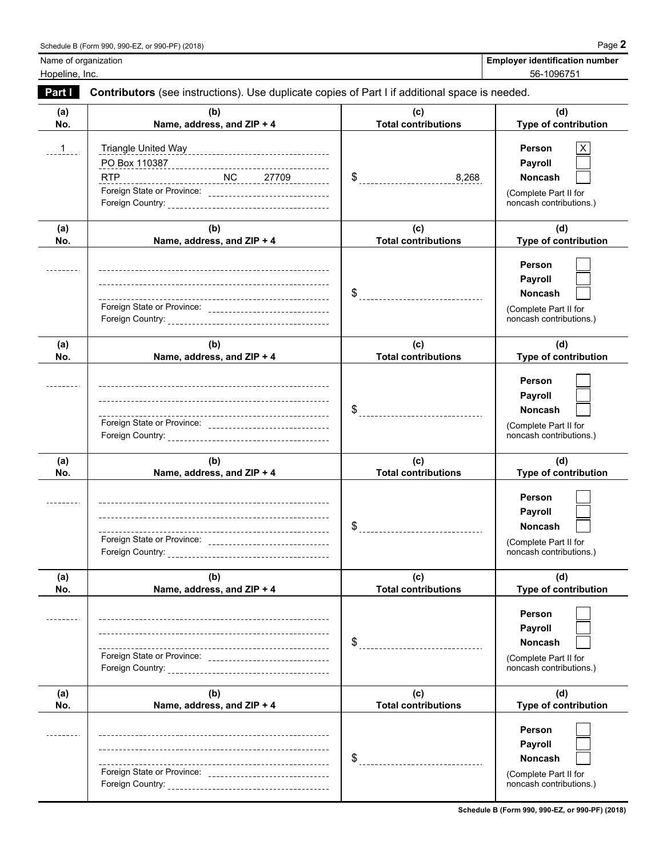| <b>Employer identification number</b> |  |
|---------------------------------------|--|
| $F^{\wedge}$ Annotation               |  |

**Name of organization** 

Hopeline, Inc. 56-1096751

| Part I        | Contributors (see instructions). Use duplicate copies of Part I if additional space is needed. |                                   |                                                                                                       |
|---------------|------------------------------------------------------------------------------------------------|-----------------------------------|-------------------------------------------------------------------------------------------------------|
| (a)<br>No.    | (b)<br>Name, address, and ZIP + 4                                                              | (c)<br><b>Total contributions</b> | (d)<br>Type of contribution                                                                           |
| $\frac{1}{1}$ | <b>RTP</b><br>Foreign State or Province: _________________________________                     | \$<br>----------------------8,268 | <b>Person</b><br><b>Payroll</b><br><b>Noncash</b><br>(Complete Part II for<br>noncash contributions.) |
| (a)<br>No.    | (b)<br>Name, address, and ZIP + 4                                                              | (c)<br><b>Total contributions</b> | (d)<br>Type of contribution                                                                           |
|               | Foreign State or Province: __________________________________                                  | $\$\quad$                         | <b>Person</b><br>Payroll<br><b>Noncash</b><br>(Complete Part II for<br>noncash contributions.)        |
| (a)<br>No.    | (b)<br>Name, address, and ZIP + 4                                                              | (c)<br><b>Total contributions</b> | (d)<br>Type of contribution                                                                           |
|               | Foreign State or Province: _________________________________                                   | $\$\$                             | <b>Person</b><br>Payroll<br><b>Noncash</b><br>(Complete Part II for<br>noncash contributions.)        |
| (a)<br>No.    | (b)<br>Name, address, and ZIP + 4                                                              | (c)<br><b>Total contributions</b> | (d)<br>Type of contribution                                                                           |
|               | Foreign State or Province: _______________________________                                     |                                   | Person<br>Payroll<br>Noncash<br>(Complete Part II for<br>noncash contributions.)                      |
| (a)<br>No.    | (b)<br>Name, address, and ZIP + 4                                                              | (c)<br><b>Total contributions</b> | (d)<br>Type of contribution                                                                           |
|               | ---------------------------------                                                              | \$                                | Person<br>Payroll<br><b>Noncash</b><br>(Complete Part II for<br>noncash contributions.)               |
| (a)<br>No.    | (b)<br>Name, address, and ZIP + 4                                                              | (c)<br><b>Total contributions</b> | (d)<br>Type of contribution                                                                           |
|               |                                                                                                | \$                                | <b>Person</b><br>Payroll<br><b>Noncash</b><br>(Complete Part II for<br>noncash contributions.)        |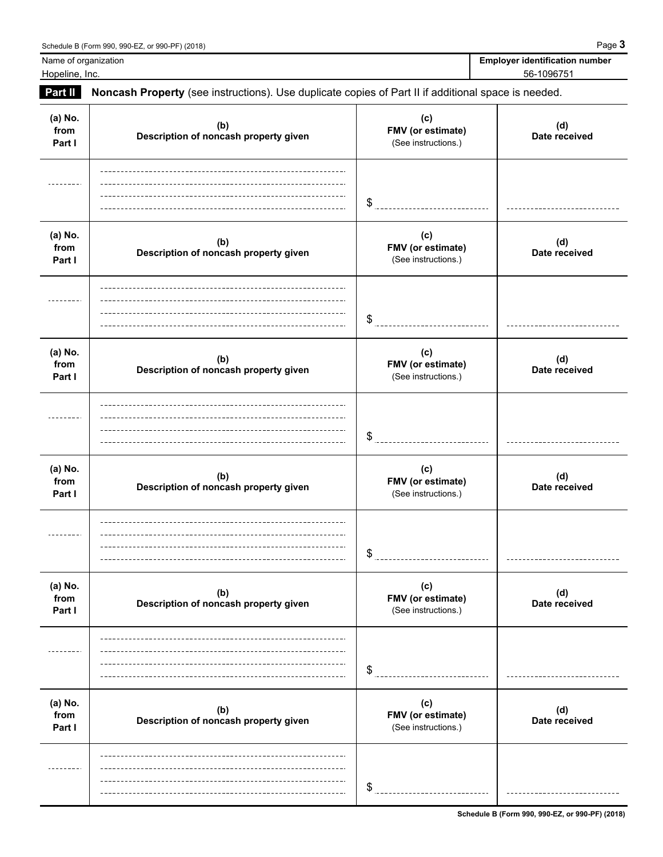| $\frac{1}{2}$ outcome b (1 orm 550, 550-LL, 6) 550-T T (2010)                                                       | - 99                                  |
|---------------------------------------------------------------------------------------------------------------------|---------------------------------------|
| Name of organization                                                                                                | <b>Employer identification number</b> |
| Hopeline, Inc.                                                                                                      | 56-1096751                            |
| <b>Part II</b><br>Noncash Property (see instructions) Use duplicate copies of Part II if additional space is peeded |                                       |

|                           | <b>Part II Noncash Property</b> (see instructions). Ose duplicate copies of Part II ii additional space is needed. |                                                 |                      |
|---------------------------|--------------------------------------------------------------------------------------------------------------------|-------------------------------------------------|----------------------|
| (a) No.<br>from<br>Part I | (b)<br>Description of noncash property given                                                                       | (c)<br>FMV (or estimate)<br>(See instructions.) | (d)<br>Date received |
|                           |                                                                                                                    | \$                                              |                      |
| (a) No.<br>from<br>Part I | (b)<br>Description of noncash property given                                                                       | (c)<br>FMV (or estimate)<br>(See instructions.) | (d)<br>Date received |
|                           |                                                                                                                    | \$                                              |                      |
| (a) No.<br>from<br>Part I | (b)<br>Description of noncash property given                                                                       | (c)<br>FMV (or estimate)<br>(See instructions.) | (d)<br>Date received |
|                           |                                                                                                                    | \$                                              |                      |
| (a) No.<br>from<br>Part I | (b)<br>Description of noncash property given                                                                       | (c)<br>FMV (or estimate)<br>(See instructions.) | (d)<br>Date received |
|                           |                                                                                                                    | \$                                              |                      |
| (a) No.<br>from<br>Part I | (b)<br>Description of noncash property given                                                                       | (c)<br>FMV (or estimate)<br>(See instructions.) | (d)<br>Date received |
|                           |                                                                                                                    | \$                                              |                      |
| (a) No.<br>from<br>Part I | (b)<br>Description of noncash property given                                                                       | (c)<br>FMV (or estimate)<br>(See instructions.) | (d)<br>Date received |
|                           |                                                                                                                    | \$                                              |                      |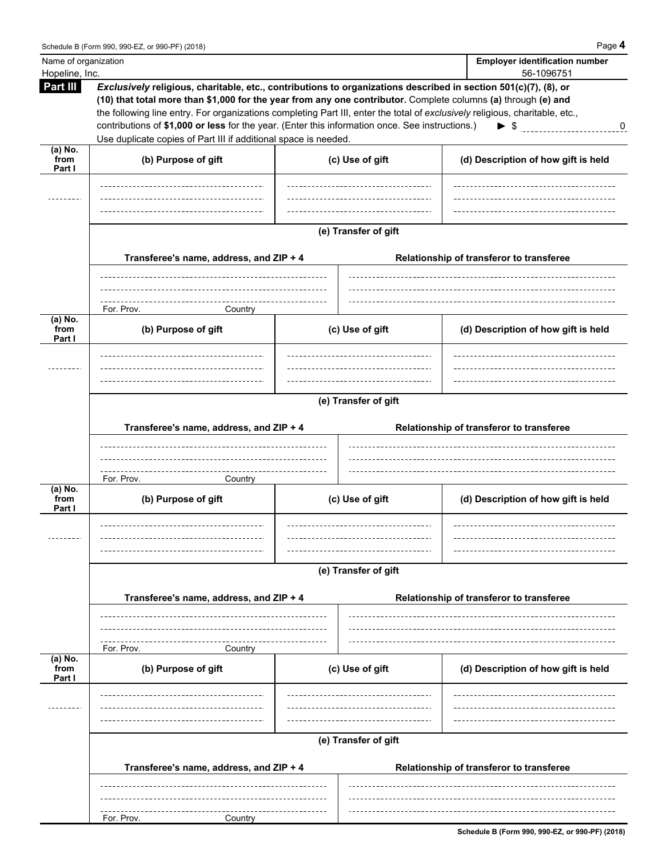| Name of organization<br>Hopeline, Inc. |                                                                                                                                                                                                                                                                                                                                                                                                                                                                                                                                        |                      | <b>Employer identification number</b><br>56-1096751 |  |  |  |  |
|----------------------------------------|----------------------------------------------------------------------------------------------------------------------------------------------------------------------------------------------------------------------------------------------------------------------------------------------------------------------------------------------------------------------------------------------------------------------------------------------------------------------------------------------------------------------------------------|----------------------|-----------------------------------------------------|--|--|--|--|
| Part III                               | Exclusively religious, charitable, etc., contributions to organizations described in section 501(c)(7), (8), or<br>(10) that total more than \$1,000 for the year from any one contributor. Complete columns (a) through (e) and<br>the following line entry. For organizations completing Part III, enter the total of exclusively religious, charitable, etc.,<br>contributions of \$1,000 or less for the year. (Enter this information once. See instructions.)<br>Use duplicate copies of Part III if additional space is needed. |                      | $\blacktriangleright$ \$ 0                          |  |  |  |  |
| (a) No.<br>from<br>Part I              | (b) Purpose of gift                                                                                                                                                                                                                                                                                                                                                                                                                                                                                                                    | (c) Use of gift      | (d) Description of how gift is held                 |  |  |  |  |
|                                        |                                                                                                                                                                                                                                                                                                                                                                                                                                                                                                                                        |                      |                                                     |  |  |  |  |
|                                        |                                                                                                                                                                                                                                                                                                                                                                                                                                                                                                                                        |                      |                                                     |  |  |  |  |
|                                        | Transferee's name, address, and ZIP + 4                                                                                                                                                                                                                                                                                                                                                                                                                                                                                                | (e) Transfer of gift | Relationship of transferor to transferee            |  |  |  |  |
|                                        | For. Prov.<br>Country                                                                                                                                                                                                                                                                                                                                                                                                                                                                                                                  |                      |                                                     |  |  |  |  |
| $(a)$ No.<br>from<br>Part I            | (b) Purpose of gift                                                                                                                                                                                                                                                                                                                                                                                                                                                                                                                    | (c) Use of gift      | (d) Description of how gift is held                 |  |  |  |  |
|                                        | (e) Transfer of gift<br>Transferee's name, address, and ZIP + 4<br>Relationship of transferor to transferee                                                                                                                                                                                                                                                                                                                                                                                                                            |                      |                                                     |  |  |  |  |
|                                        |                                                                                                                                                                                                                                                                                                                                                                                                                                                                                                                                        |                      |                                                     |  |  |  |  |
| (a) No.<br>from<br>Part I              | For. Prov.<br>Country<br>(b) Purpose of gift                                                                                                                                                                                                                                                                                                                                                                                                                                                                                           | (c) Use of gift      | (d) Description of how gift is held                 |  |  |  |  |
|                                        |                                                                                                                                                                                                                                                                                                                                                                                                                                                                                                                                        | (e) Transfer of gift |                                                     |  |  |  |  |
|                                        | Transferee's name, address, and ZIP + 4                                                                                                                                                                                                                                                                                                                                                                                                                                                                                                |                      | Relationship of transferor to transferee            |  |  |  |  |
|                                        | For. Prov.<br>Country                                                                                                                                                                                                                                                                                                                                                                                                                                                                                                                  |                      |                                                     |  |  |  |  |
| $(a)$ No.<br>from<br>Part I            | (b) Purpose of gift                                                                                                                                                                                                                                                                                                                                                                                                                                                                                                                    | (c) Use of gift      | (d) Description of how gift is held                 |  |  |  |  |
|                                        |                                                                                                                                                                                                                                                                                                                                                                                                                                                                                                                                        |                      |                                                     |  |  |  |  |
|                                        | Transferee's name, address, and ZIP + 4                                                                                                                                                                                                                                                                                                                                                                                                                                                                                                | (e) Transfer of gift | Relationship of transferor to transferee            |  |  |  |  |
|                                        |                                                                                                                                                                                                                                                                                                                                                                                                                                                                                                                                        |                      |                                                     |  |  |  |  |
|                                        | For. Prov.<br>Country                                                                                                                                                                                                                                                                                                                                                                                                                                                                                                                  |                      |                                                     |  |  |  |  |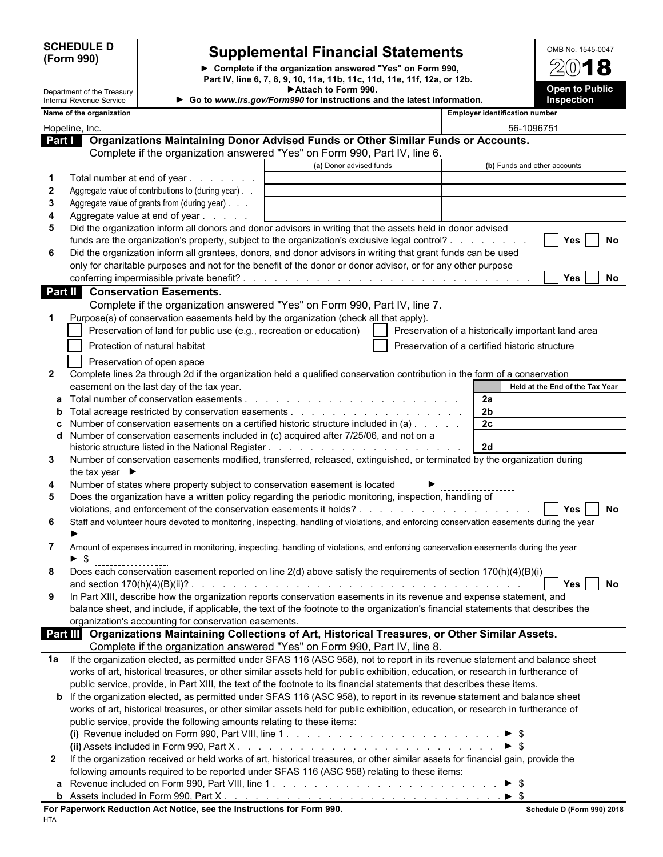**(Form 990)**

 $\overline{\phantom{a}}$ 

 $\overline{\phantom{a}}$ 

I

## **SCHEDULE D Supplemental Financial Statements**

**Complete if the organization answered "Yes" on Form 990, Part IV, line 6, 7, 8, 9, 10, 11a, 11b, 11c, 11d, 11e, 11f, 12a, or 12b. Attach to Form 990.**

| OMB No. 1545-0047     |
|-----------------------|
| $20$ 18               |
|                       |
| <b>Open to Public</b> |
| <b>Inspection</b>     |

|                | Department of the Treasury         |                                                                                                                                                                | Attach to Form 990.                                                    |                                                    |                |                                       | <b>Open to Public</b>           |
|----------------|------------------------------------|----------------------------------------------------------------------------------------------------------------------------------------------------------------|------------------------------------------------------------------------|----------------------------------------------------|----------------|---------------------------------------|---------------------------------|
|                | Internal Revenue Service           |                                                                                                                                                                | Go to www.irs.gov/Form990 for instructions and the latest information. |                                                    |                |                                       | Inspection                      |
|                | Name of the organization           |                                                                                                                                                                |                                                                        |                                                    |                | <b>Employer identification number</b> |                                 |
| Hopeline, Inc. |                                    |                                                                                                                                                                |                                                                        |                                                    |                | 56-1096751                            |                                 |
| <b>Part I</b>  |                                    | Organizations Maintaining Donor Advised Funds or Other Similar Funds or Accounts.<br>Complete if the organization answered "Yes" on Form 990, Part IV, line 6. |                                                                        |                                                    |                |                                       |                                 |
|                |                                    |                                                                                                                                                                | (a) Donor advised funds                                                |                                                    |                |                                       | (b) Funds and other accounts    |
| -1             |                                    | Total number at end of year                                                                                                                                    |                                                                        |                                                    |                |                                       |                                 |
| 2              |                                    | Aggregate value of contributions to (during year)                                                                                                              |                                                                        |                                                    |                |                                       |                                 |
| 3              |                                    | Aggregate value of grants from (during year)                                                                                                                   |                                                                        |                                                    |                |                                       |                                 |
| 4              |                                    | Aggregate value at end of year                                                                                                                                 |                                                                        |                                                    |                |                                       |                                 |
| 5              |                                    | Did the organization inform all donors and donor advisors in writing that the assets held in donor advised                                                     |                                                                        |                                                    |                |                                       |                                 |
|                |                                    | funds are the organization's property, subject to the organization's exclusive legal control?                                                                  |                                                                        |                                                    |                |                                       | <b>Yes</b><br>No                |
| 6              |                                    | Did the organization inform all grantees, donors, and donor advisors in writing that grant funds can be used                                                   |                                                                        |                                                    |                |                                       |                                 |
|                |                                    | only for charitable purposes and not for the benefit of the donor or donor advisor, or for any other purpose                                                   |                                                                        |                                                    |                |                                       |                                 |
|                |                                    |                                                                                                                                                                |                                                                        |                                                    |                |                                       | Yes<br>No.                      |
|                |                                    | <b>Part II</b> Conservation Easements.                                                                                                                         |                                                                        |                                                    |                |                                       |                                 |
|                |                                    | Complete if the organization answered "Yes" on Form 990, Part IV, line 7.                                                                                      |                                                                        |                                                    |                |                                       |                                 |
|                |                                    | Purpose(s) of conservation easements held by the organization (check all that apply).                                                                          |                                                                        |                                                    |                |                                       |                                 |
|                |                                    | Preservation of land for public use (e.g., recreation or education)                                                                                            |                                                                        | Preservation of a historically important land area |                |                                       |                                 |
|                |                                    | Protection of natural habitat                                                                                                                                  |                                                                        | Preservation of a certified historic structure     |                |                                       |                                 |
|                |                                    | Preservation of open space                                                                                                                                     |                                                                        |                                                    |                |                                       |                                 |
| $\mathbf{2}$   |                                    | Complete lines 2a through 2d if the organization held a qualified conservation contribution in the form of a conservation                                      |                                                                        |                                                    |                |                                       |                                 |
|                |                                    | easement on the last day of the tax year.                                                                                                                      |                                                                        |                                                    |                |                                       | Held at the End of the Tax Year |
|                |                                    |                                                                                                                                                                |                                                                        |                                                    | 2a             |                                       |                                 |
| $\mathbf{b}$   |                                    |                                                                                                                                                                |                                                                        |                                                    | 2 <sub>b</sub> |                                       |                                 |
|                |                                    | Number of conservation easements on a certified historic structure included in (a)                                                                             |                                                                        |                                                    | 2c             |                                       |                                 |
| d              |                                    | Number of conservation easements included in (c) acquired after 7/25/06, and not on a                                                                          |                                                                        |                                                    |                |                                       |                                 |
|                |                                    |                                                                                                                                                                |                                                                        |                                                    | <b>2d</b>      |                                       |                                 |
| 3              |                                    | Number of conservation easements modified, transferred, released, extinguished, or terminated by the organization during                                       |                                                                        |                                                    |                |                                       |                                 |
|                | the tax year $\blacktriangleright$ |                                                                                                                                                                |                                                                        |                                                    |                |                                       |                                 |
| 4              |                                    | Number of states where property subject to conservation easement is located                                                                                    |                                                                        |                                                    |                |                                       |                                 |
| 5              |                                    | Does the organization have a written policy regarding the periodic monitoring, inspection, handling of                                                         |                                                                        |                                                    |                |                                       |                                 |
|                |                                    |                                                                                                                                                                |                                                                        |                                                    |                |                                       | Yes I<br><b>No</b>              |
| 6              |                                    | Staff and volunteer hours devoted to monitoring, inspecting, handling of violations, and enforcing conservation easements during the year                      |                                                                        |                                                    |                |                                       |                                 |
| 7              |                                    | Amount of expenses incurred in monitoring, inspecting, handling of violations, and enforcing conservation easements during the year                            |                                                                        |                                                    |                |                                       |                                 |
|                | \$                                 |                                                                                                                                                                |                                                                        |                                                    |                |                                       |                                 |
|                |                                    | Does each conservation easement reported on line 2(d) above satisfy the requirements of section 170(h)(4)(B)(i)                                                |                                                                        |                                                    |                |                                       |                                 |
|                |                                    |                                                                                                                                                                |                                                                        |                                                    |                |                                       | Yes  <br>No                     |
| 9              |                                    | In Part XIII, describe how the organization reports conservation easements in its revenue and expense statement, and                                           |                                                                        |                                                    |                |                                       |                                 |
|                |                                    | balance sheet, and include, if applicable, the text of the footnote to the organization's financial statements that describes the                              |                                                                        |                                                    |                |                                       |                                 |
|                |                                    | organization's accounting for conservation easements.                                                                                                          |                                                                        |                                                    |                |                                       |                                 |
|                |                                    | Part III Organizations Maintaining Collections of Art, Historical Treasures, or Other Similar Assets.                                                          |                                                                        |                                                    |                |                                       |                                 |
|                |                                    | Complete if the organization answered "Yes" on Form 990, Part IV, line 8.                                                                                      |                                                                        |                                                    |                |                                       |                                 |
| 1a             |                                    | If the organization elected, as permitted under SFAS 116 (ASC 958), not to report in its revenue statement and balance sheet                                   |                                                                        |                                                    |                |                                       |                                 |
|                |                                    | works of art, historical treasures, or other similar assets held for public exhibition, education, or research in furtherance of                               |                                                                        |                                                    |                |                                       |                                 |
|                |                                    | public service, provide, in Part XIII, the text of the footnote to its financial statements that describes these items.                                        |                                                                        |                                                    |                |                                       |                                 |
|                |                                    | <b>b</b> If the organization elected, as permitted under SFAS 116 (ASC 958), to report in its revenue statement and balance sheet                              |                                                                        |                                                    |                |                                       |                                 |
|                |                                    | works of art, historical treasures, or other similar assets held for public exhibition, education, or research in furtherance of                               |                                                                        |                                                    |                |                                       |                                 |
|                |                                    | public service, provide the following amounts relating to these items:                                                                                         |                                                                        |                                                    |                |                                       |                                 |
|                |                                    |                                                                                                                                                                |                                                                        |                                                    |                |                                       |                                 |
|                |                                    |                                                                                                                                                                |                                                                        |                                                    |                | $\triangleright$ \$                   |                                 |
| 2              |                                    | If the organization received or held works of art, historical treasures, or other similar assets for financial gain, provide the                               |                                                                        |                                                    |                |                                       |                                 |
|                |                                    | following amounts required to be reported under SFAS 116 (ASC 958) relating to these items:                                                                    |                                                                        |                                                    |                |                                       |                                 |
|                |                                    |                                                                                                                                                                |                                                                        |                                                    |                |                                       |                                 |
|                |                                    |                                                                                                                                                                |                                                                        |                                                    |                |                                       |                                 |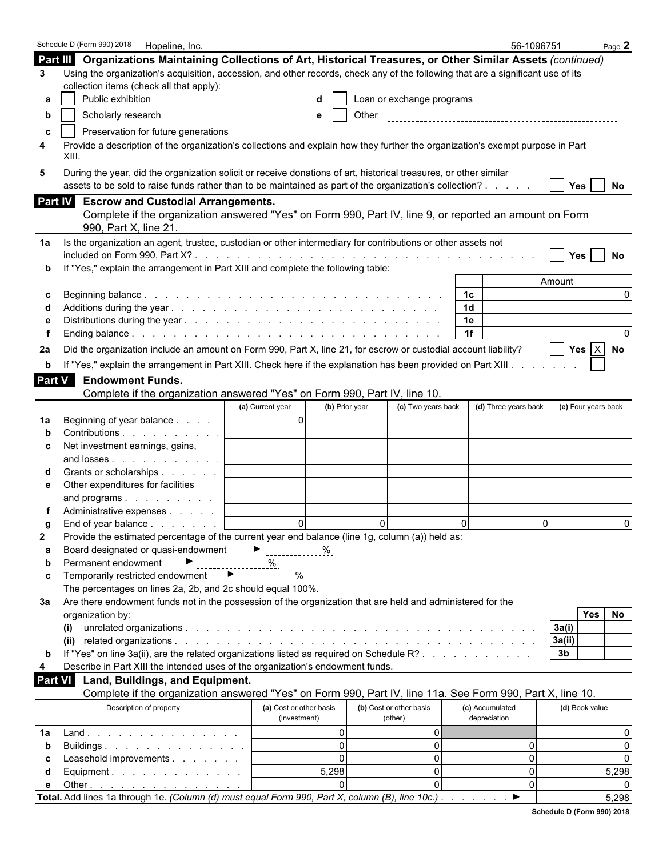|                     | Schedule D (Form 990) 2018   Hopeline, Inc.                                                                                                                                                                                  |                                         |                                    |                           |                                 | 56-1096751           |                     | Page $2$ |
|---------------------|------------------------------------------------------------------------------------------------------------------------------------------------------------------------------------------------------------------------------|-----------------------------------------|------------------------------------|---------------------------|---------------------------------|----------------------|---------------------|----------|
|                     | Part III Organizations Maintaining Collections of Art, Historical Treasures, or Other Similar Assets (continued)                                                                                                             |                                         |                                    |                           |                                 |                      |                     |          |
| 3                   | Using the organization's acquisition, accession, and other records, check any of the following that are a significant use of its                                                                                             |                                         |                                    |                           |                                 |                      |                     |          |
|                     | collection items (check all that apply):                                                                                                                                                                                     |                                         |                                    |                           |                                 |                      |                     |          |
|                     | Public exhibition                                                                                                                                                                                                            |                                         |                                    | Loan or exchange programs |                                 |                      |                     |          |
| b                   | Scholarly research                                                                                                                                                                                                           |                                         | Other                              |                           |                                 |                      |                     |          |
|                     |                                                                                                                                                                                                                              |                                         |                                    |                           |                                 |                      |                     |          |
|                     | Preservation for future generations<br>Provide a description of the organization's collections and explain how they further the organization's exempt purpose in Part                                                        |                                         |                                    |                           |                                 |                      |                     |          |
| 4                   | XIII.                                                                                                                                                                                                                        |                                         |                                    |                           |                                 |                      |                     |          |
| 5                   | During the year, did the organization solicit or receive donations of art, historical treasures, or other similar<br>assets to be sold to raise funds rather than to be maintained as part of the organization's collection? |                                         |                                    |                           |                                 |                      | Yes                 | No       |
|                     | Part IV Escrow and Custodial Arrangements.                                                                                                                                                                                   |                                         |                                    |                           |                                 |                      |                     |          |
|                     | Complete if the organization answered "Yes" on Form 990, Part IV, line 9, or reported an amount on Form                                                                                                                      |                                         |                                    |                           |                                 |                      |                     |          |
|                     | 990, Part X, line 21.                                                                                                                                                                                                        |                                         |                                    |                           |                                 |                      |                     |          |
| 1a                  | Is the organization an agent, trustee, custodian or other intermediary for contributions or other assets not                                                                                                                 |                                         |                                    |                           |                                 |                      |                     |          |
|                     |                                                                                                                                                                                                                              |                                         |                                    |                           |                                 |                      | <b>Yes</b>          | No       |
|                     | If "Yes," explain the arrangement in Part XIII and complete the following table:                                                                                                                                             |                                         |                                    |                           |                                 |                      |                     |          |
|                     |                                                                                                                                                                                                                              |                                         |                                    |                           |                                 |                      | Amount              | 0        |
| C                   |                                                                                                                                                                                                                              |                                         |                                    |                           | 1c<br>1 <sub>d</sub>            |                      |                     |          |
|                     |                                                                                                                                                                                                                              |                                         |                                    |                           | 1e                              |                      |                     |          |
|                     |                                                                                                                                                                                                                              |                                         |                                    |                           | 1f                              |                      |                     |          |
|                     | Did the organization include an amount on Form 990, Part X, line 21, for escrow or custodial account liability?                                                                                                              |                                         |                                    |                           |                                 |                      | Yes $X$             |          |
| 2a                  |                                                                                                                                                                                                                              |                                         |                                    |                           |                                 |                      |                     | No       |
| b                   | If "Yes," explain the arrangement in Part XIII. Check here if the explanation has been provided on Part XIII.                                                                                                                |                                         |                                    |                           |                                 |                      |                     |          |
| Part $\overline{V}$ | <b>Endowment Funds.</b>                                                                                                                                                                                                      |                                         |                                    |                           |                                 |                      |                     |          |
|                     | Complete if the organization answered "Yes" on Form 990, Part IV, line 10.                                                                                                                                                   |                                         |                                    |                           |                                 |                      |                     |          |
|                     |                                                                                                                                                                                                                              | (a) Current year                        | (b) Prior year                     | (c) Two years back        |                                 | (d) Three years back | (e) Four years back |          |
| 1а                  | Beginning of year balance                                                                                                                                                                                                    | $\overline{0}$                          |                                    |                           |                                 |                      |                     |          |
|                     | Contributions                                                                                                                                                                                                                |                                         |                                    |                           |                                 |                      |                     |          |
| c                   | Net investment earnings, gains,<br>and losses                                                                                                                                                                                |                                         |                                    |                           |                                 |                      |                     |          |
|                     | Grants or scholarships                                                                                                                                                                                                       |                                         |                                    |                           |                                 |                      |                     |          |
| е                   | Other expenditures for facilities                                                                                                                                                                                            |                                         |                                    |                           |                                 |                      |                     |          |
|                     | and programs                                                                                                                                                                                                                 |                                         |                                    |                           |                                 |                      |                     |          |
|                     | Administrative expenses                                                                                                                                                                                                      |                                         |                                    |                           |                                 |                      |                     |          |
|                     | End of year balance                                                                                                                                                                                                          | $\Omega$                                | $\Omega$                           |                           | $\Omega$                        | $\Omega$             |                     | $\Omega$ |
| 2                   | Provide the estimated percentage of the current year end balance (line 1g, column (a)) held as:                                                                                                                              |                                         |                                    |                           |                                 |                      |                     |          |
| а                   | Board designated or quasi-endowment                                                                                                                                                                                          | ▶<br>$\frac{\%}{\%}$                    |                                    |                           |                                 |                      |                     |          |
| b                   | Permanent endowment                                                                                                                                                                                                          | %                                       |                                    |                           |                                 |                      |                     |          |
| c                   | Temporarily restricted endowment<br>$\rightarrow$                                                                                                                                                                            | $\%$                                    |                                    |                           |                                 |                      |                     |          |
|                     | The percentages on lines 2a, 2b, and 2c should equal 100%.                                                                                                                                                                   |                                         |                                    |                           |                                 |                      |                     |          |
| За                  | Are there endowment funds not in the possession of the organization that are held and administered for the                                                                                                                   |                                         |                                    |                           |                                 |                      |                     |          |
|                     | organization by:                                                                                                                                                                                                             |                                         |                                    |                           |                                 |                      | Yes                 | No       |
|                     |                                                                                                                                                                                                                              |                                         |                                    |                           |                                 |                      | 3a(i)               |          |
|                     |                                                                                                                                                                                                                              |                                         |                                    |                           |                                 |                      | 3a(ii)              |          |
| b                   | If "Yes" on line 3a(ii), are the related organizations listed as required on Schedule R?                                                                                                                                     |                                         |                                    |                           |                                 |                      | 3 <sub>b</sub>      |          |
| 4                   | Describe in Part XIII the intended uses of the organization's endowment funds.                                                                                                                                               |                                         |                                    |                           |                                 |                      |                     |          |
| <b>Part VI</b>      | Land, Buildings, and Equipment.                                                                                                                                                                                              |                                         |                                    |                           |                                 |                      |                     |          |
|                     | Complete if the organization answered "Yes" on Form 990, Part IV, line 11a. See Form 990, Part X, line 10.                                                                                                                   |                                         |                                    |                           |                                 |                      |                     |          |
|                     | Description of property                                                                                                                                                                                                      | (a) Cost or other basis<br>(investment) | (b) Cost or other basis<br>(other) |                           | (c) Accumulated<br>depreciation |                      | (d) Book value      |          |
| 1a                  | Land                                                                                                                                                                                                                         |                                         | $\Omega$                           | $\overline{0}$            |                                 |                      |                     | 0        |
| $\mathbf b$         | Buildings                                                                                                                                                                                                                    |                                         | $\Omega$                           | $\overline{0}$            |                                 | 0                    |                     | $\Omega$ |
| c                   | Leasehold improvements                                                                                                                                                                                                       |                                         | $\Omega$                           | $\overline{0}$            |                                 | 0                    |                     | $\Omega$ |
| d                   | Equipment.                                                                                                                                                                                                                   | 5,298                                   |                                    | $\overline{0}$            |                                 | $\overline{0}$       |                     | 5,298    |
| е                   | Other $\ldots$ $\ldots$ $\ldots$ $\ldots$ $\ldots$ $\ldots$                                                                                                                                                                  |                                         |                                    | $\Omega$                  |                                 | $\Omega$             |                     |          |
|                     | Total. Add lines 1a through 1e. (Column (d) must equal Form 990, Part X, column (B), line 10c.).                                                                                                                             |                                         |                                    |                           |                                 | ▶                    |                     | 5,298    |

| Schedule D (Form 990) 2018 |  |
|----------------------------|--|
|                            |  |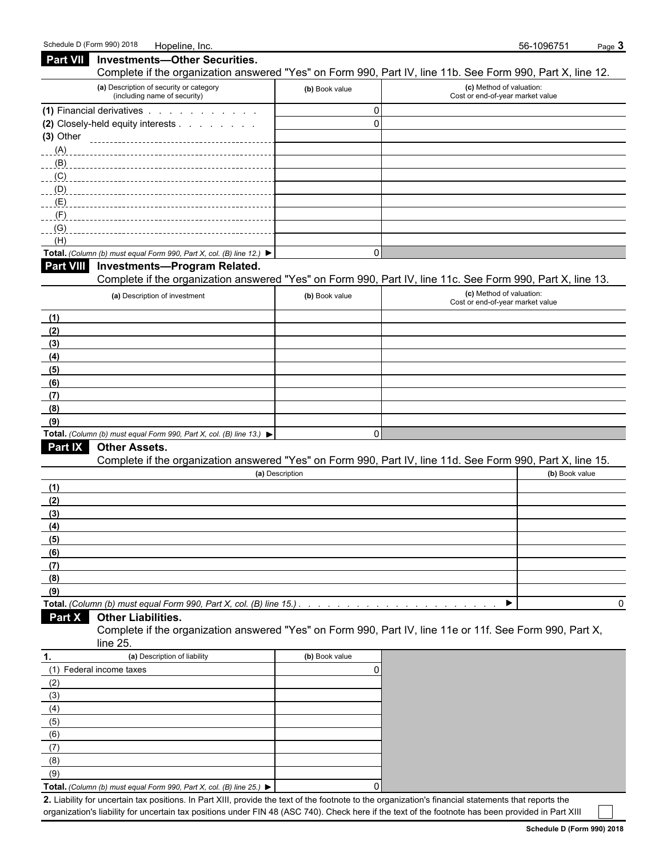| <b>Part VII</b> | <b>Investments-Other Securities.</b><br>Complete if the organization answered "Yes" on Form 990, Part IV, line 11b. See Form 990, Part X, line 12. |                     |                                                              |                |
|-----------------|----------------------------------------------------------------------------------------------------------------------------------------------------|---------------------|--------------------------------------------------------------|----------------|
|                 | (a) Description of security or category<br>(including name of security)                                                                            | (b) Book value      | (c) Method of valuation:<br>Cost or end-of-year market value |                |
|                 | (1) Financial derivatives                                                                                                                          | 0                   |                                                              |                |
|                 | (2) Closely-held equity interests                                                                                                                  | $\Omega$            |                                                              |                |
| $(3)$ Other     |                                                                                                                                                    |                     |                                                              |                |
| (A)             |                                                                                                                                                    |                     |                                                              |                |
| (B)             |                                                                                                                                                    |                     |                                                              |                |
| (C)             |                                                                                                                                                    |                     |                                                              |                |
| (D)             |                                                                                                                                                    |                     |                                                              |                |
| (E)             |                                                                                                                                                    |                     |                                                              |                |
| (F)             |                                                                                                                                                    |                     |                                                              |                |
| (G)             |                                                                                                                                                    |                     |                                                              |                |
| (H)             | Total. (Column (b) must equal Form 990, Part X, col. (B) line 12.)                                                                                 | 0                   |                                                              |                |
| Part VIII       | <b>Investments-Program Related.</b>                                                                                                                |                     |                                                              |                |
|                 | Complete if the organization answered "Yes" on Form 990, Part IV, line 11c. See Form 990, Part X, line 13.                                         |                     |                                                              |                |
|                 | (a) Description of investment                                                                                                                      | (b) Book value      | (c) Method of valuation:<br>Cost or end-of-year market value |                |
| (1)             |                                                                                                                                                    |                     |                                                              |                |
| (2)             |                                                                                                                                                    |                     |                                                              |                |
| (3)             |                                                                                                                                                    |                     |                                                              |                |
| (4)             |                                                                                                                                                    |                     |                                                              |                |
| (5)             |                                                                                                                                                    |                     |                                                              |                |
| (6)             |                                                                                                                                                    |                     |                                                              |                |
| (7)             |                                                                                                                                                    |                     |                                                              |                |
| (8)             |                                                                                                                                                    |                     |                                                              |                |
| (9)             |                                                                                                                                                    | 0                   |                                                              |                |
| Part IX         | Total. (Column (b) must equal Form 990, Part X, col. (B) line 13.) $\blacktriangleright$<br><b>Other Assets.</b>                                   |                     |                                                              |                |
|                 | Complete if the organization answered "Yes" on Form 990, Part IV, line 11d. See Form 990, Part X, line 15.                                         |                     |                                                              |                |
|                 |                                                                                                                                                    | (a) Description     |                                                              | (b) Book value |
| (1)             |                                                                                                                                                    |                     |                                                              |                |
| (2)             |                                                                                                                                                    |                     |                                                              |                |
| (3)             |                                                                                                                                                    |                     |                                                              |                |
| (4)             |                                                                                                                                                    |                     |                                                              |                |
| (5)             |                                                                                                                                                    |                     |                                                              |                |
| (6)             |                                                                                                                                                    |                     |                                                              |                |
| (7)             |                                                                                                                                                    |                     |                                                              |                |
| (8)             |                                                                                                                                                    |                     |                                                              |                |
| (9)             |                                                                                                                                                    |                     |                                                              |                |
|                 | Total. (Column (b) must equal Form 990, Part X, col. (B) line 15.)                                                                                 |                     | ▶                                                            | 0              |
| Part X          | <b>Other Liabilities.</b><br>Complete if the organization answered "Yes" on Form 990, Part IV, line 11e or 11f. See Form 990, Part X,              |                     |                                                              |                |
|                 | line 25.<br>(a) Description of liability                                                                                                           |                     |                                                              |                |
| 1.              | (1) Federal income taxes                                                                                                                           | (b) Book value<br>0 |                                                              |                |
| (2)             |                                                                                                                                                    |                     |                                                              |                |
| (3)             |                                                                                                                                                    |                     |                                                              |                |
| (4)             |                                                                                                                                                    |                     |                                                              |                |
| (5)             |                                                                                                                                                    |                     |                                                              |                |
| (6)             |                                                                                                                                                    |                     |                                                              |                |

(9) **Total.** *(Column (b) must equal Form 990, Part X, col.* (*B) line 25.)* ▶ | (0)

(7) (8)

**2.** Liability for uncertain tax positions. In Part XIII, provide the text of the footnote to the organization's financial statements that reports the organization's liability for uncertain tax positions under FIN 48 (ASC 740). Check here if the text of the footnote has been provided in Part XIII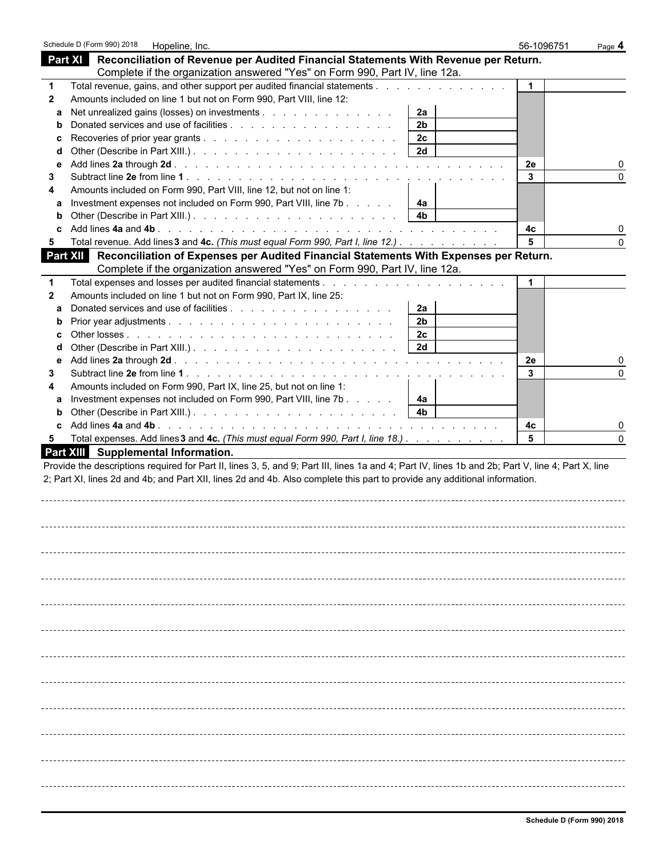|   | Schedule D (Form 990) 2018 | Hopeline, Inc.                      |                                                                                                                                                                                                                                                                                  |                | 56-1096751           | Page 4   |
|---|----------------------------|-------------------------------------|----------------------------------------------------------------------------------------------------------------------------------------------------------------------------------------------------------------------------------------------------------------------------------|----------------|----------------------|----------|
|   |                            |                                     | Part XI Reconciliation of Revenue per Audited Financial Statements With Revenue per Return.                                                                                                                                                                                      |                |                      |          |
|   |                            |                                     | Complete if the organization answered "Yes" on Form 990, Part IV, line 12a.                                                                                                                                                                                                      |                |                      |          |
|   |                            |                                     | Total revenue, gains, and other support per audited financial statements                                                                                                                                                                                                         |                | $\blacktriangleleft$ |          |
| 2 |                            |                                     | Amounts included on line 1 but not on Form 990, Part VIII, line 12:                                                                                                                                                                                                              |                |                      |          |
|   |                            |                                     | Net unrealized gains (losses) on investments                                                                                                                                                                                                                                     | 2a             |                      |          |
|   |                            |                                     |                                                                                                                                                                                                                                                                                  | 2 <sub>b</sub> |                      |          |
|   |                            |                                     |                                                                                                                                                                                                                                                                                  | 2 <sub>c</sub> |                      |          |
|   |                            |                                     |                                                                                                                                                                                                                                                                                  | 2d             |                      |          |
|   |                            |                                     |                                                                                                                                                                                                                                                                                  |                | 2e                   |          |
| 3 |                            |                                     |                                                                                                                                                                                                                                                                                  |                | 3                    |          |
|   |                            |                                     | Amounts included on Form 990, Part VIII, line 12, but not on line 1:                                                                                                                                                                                                             |                |                      |          |
|   |                            |                                     | Investment expenses not included on Form 990, Part VIII, line 7b                                                                                                                                                                                                                 | 4a             |                      |          |
| b |                            |                                     |                                                                                                                                                                                                                                                                                  | 4b             |                      |          |
|   |                            |                                     |                                                                                                                                                                                                                                                                                  |                | 4с                   |          |
| 5 |                            |                                     | Total revenue. Add lines 3 and 4c. (This must equal Form 990, Part I, line 12.)                                                                                                                                                                                                  |                | 5                    | $\Omega$ |
|   |                            |                                     | Part XII Reconciliation of Expenses per Audited Financial Statements With Expenses per Return.                                                                                                                                                                                   |                |                      |          |
|   |                            |                                     | Complete if the organization answered "Yes" on Form 990, Part IV, line 12a.                                                                                                                                                                                                      |                |                      |          |
|   |                            |                                     |                                                                                                                                                                                                                                                                                  |                | $\mathbf 1$          |          |
| 2 |                            |                                     | Amounts included on line 1 but not on Form 990, Part IX, line 25:                                                                                                                                                                                                                |                |                      |          |
| a |                            |                                     |                                                                                                                                                                                                                                                                                  | 2a             |                      |          |
|   |                            |                                     |                                                                                                                                                                                                                                                                                  | 2 <sub>b</sub> |                      |          |
|   |                            |                                     |                                                                                                                                                                                                                                                                                  | 2 <sub>c</sub> |                      |          |
|   |                            |                                     |                                                                                                                                                                                                                                                                                  | 2d             |                      |          |
| е |                            |                                     |                                                                                                                                                                                                                                                                                  |                | 2e                   |          |
| З |                            |                                     |                                                                                                                                                                                                                                                                                  |                | 3                    |          |
|   |                            |                                     | Amounts included on Form 990, Part IX, line 25, but not on line 1:                                                                                                                                                                                                               |                |                      |          |
|   |                            |                                     |                                                                                                                                                                                                                                                                                  |                |                      |          |
| a |                            |                                     | Investment expenses not included on Form 990, Part VIII, line 7b                                                                                                                                                                                                                 | 4a             |                      |          |
| b |                            |                                     |                                                                                                                                                                                                                                                                                  |                |                      |          |
|   |                            |                                     |                                                                                                                                                                                                                                                                                  |                | 4с<br>5              |          |
| 5 |                            | Part XIII Supplemental Information. | Total expenses. Add lines 3 and 4c. (This must equal Form 990, Part I, line 18.)                                                                                                                                                                                                 |                |                      |          |
|   |                            |                                     | Provide the descriptions required for Part II, lines 3, 5, and 9; Part III, lines 1a and 4; Part IV, lines 1b and 2b; Part V, line 4; Part X, line<br>2; Part XI, lines 2d and 4b; and Part XII, lines 2d and 4b. Also complete this part to provide any additional information. |                |                      |          |
|   |                            |                                     |                                                                                                                                                                                                                                                                                  |                |                      |          |
|   |                            |                                     |                                                                                                                                                                                                                                                                                  |                |                      |          |
|   |                            |                                     |                                                                                                                                                                                                                                                                                  |                |                      |          |
|   |                            |                                     |                                                                                                                                                                                                                                                                                  |                |                      |          |
|   |                            |                                     |                                                                                                                                                                                                                                                                                  |                |                      |          |
|   |                            |                                     |                                                                                                                                                                                                                                                                                  |                |                      |          |
|   |                            |                                     |                                                                                                                                                                                                                                                                                  |                |                      |          |
|   |                            |                                     |                                                                                                                                                                                                                                                                                  |                |                      |          |
|   |                            |                                     |                                                                                                                                                                                                                                                                                  |                |                      |          |
|   |                            |                                     |                                                                                                                                                                                                                                                                                  |                |                      |          |
|   |                            |                                     |                                                                                                                                                                                                                                                                                  |                |                      |          |
|   |                            |                                     |                                                                                                                                                                                                                                                                                  |                |                      |          |
|   |                            |                                     |                                                                                                                                                                                                                                                                                  |                |                      |          |
|   |                            |                                     |                                                                                                                                                                                                                                                                                  |                |                      |          |
|   |                            |                                     |                                                                                                                                                                                                                                                                                  |                |                      |          |
|   |                            |                                     |                                                                                                                                                                                                                                                                                  |                |                      |          |
|   |                            |                                     |                                                                                                                                                                                                                                                                                  |                |                      |          |
|   |                            |                                     |                                                                                                                                                                                                                                                                                  |                |                      |          |
|   |                            |                                     |                                                                                                                                                                                                                                                                                  |                |                      |          |
|   |                            |                                     |                                                                                                                                                                                                                                                                                  |                |                      |          |
|   |                            |                                     |                                                                                                                                                                                                                                                                                  |                |                      |          |
|   |                            |                                     |                                                                                                                                                                                                                                                                                  |                |                      |          |
|   |                            |                                     |                                                                                                                                                                                                                                                                                  |                |                      |          |
|   |                            |                                     |                                                                                                                                                                                                                                                                                  |                |                      |          |
|   |                            |                                     |                                                                                                                                                                                                                                                                                  |                |                      |          |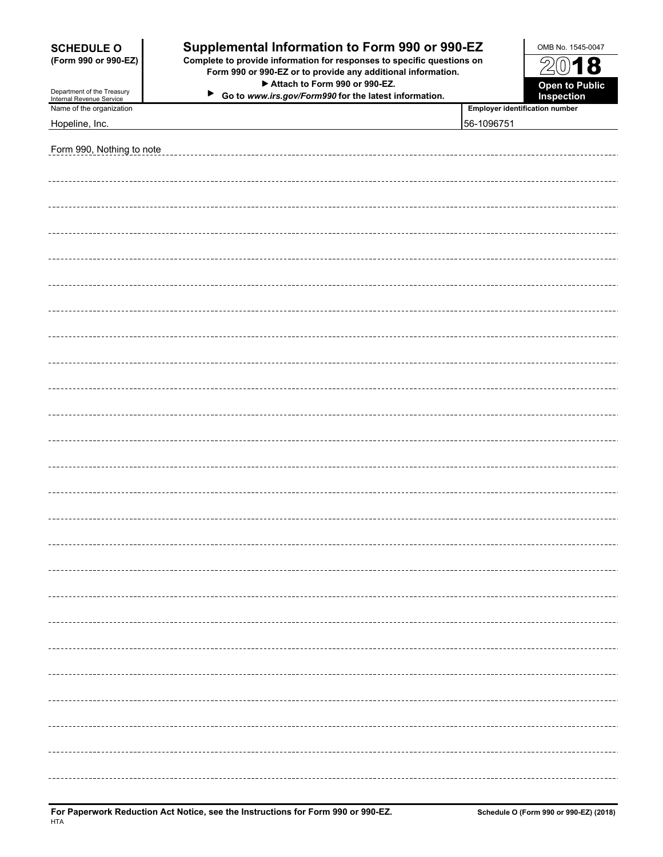| <b>SCHEDULE O</b>                                      | Supplemental Information to Form 990 or 990-EZ                                                                                         |            | OMB No. 1545-0047                     |  |
|--------------------------------------------------------|----------------------------------------------------------------------------------------------------------------------------------------|------------|---------------------------------------|--|
| (Form 990 or 990-EZ)                                   | Complete to provide information for responses to specific questions on<br>Form 990 or 990-EZ or to provide any additional information. |            |                                       |  |
| Department of the Treasury<br>Internal Revenue Service | Attach to Form 990 or 990-EZ.<br>$\blacktriangleright$<br>Go to www.irs.gov/Form990 for the latest information.                        |            | <b>Open to Public</b><br>Inspection   |  |
| Name of the organization                               |                                                                                                                                        |            | <b>Employer identification number</b> |  |
| Hopeline, Inc.                                         |                                                                                                                                        | 56-1096751 |                                       |  |
| Form 990, Nothing to note                              |                                                                                                                                        |            |                                       |  |
|                                                        |                                                                                                                                        |            |                                       |  |
|                                                        |                                                                                                                                        |            |                                       |  |
|                                                        |                                                                                                                                        |            |                                       |  |
|                                                        |                                                                                                                                        |            |                                       |  |
|                                                        |                                                                                                                                        |            |                                       |  |
|                                                        |                                                                                                                                        |            |                                       |  |
|                                                        |                                                                                                                                        |            |                                       |  |
|                                                        |                                                                                                                                        |            |                                       |  |
|                                                        |                                                                                                                                        |            |                                       |  |
|                                                        |                                                                                                                                        |            |                                       |  |
|                                                        |                                                                                                                                        |            |                                       |  |
|                                                        |                                                                                                                                        |            |                                       |  |
|                                                        |                                                                                                                                        |            |                                       |  |
|                                                        |                                                                                                                                        |            |                                       |  |
|                                                        |                                                                                                                                        |            |                                       |  |
|                                                        |                                                                                                                                        |            |                                       |  |
|                                                        |                                                                                                                                        |            |                                       |  |
|                                                        |                                                                                                                                        |            |                                       |  |
|                                                        |                                                                                                                                        |            |                                       |  |
|                                                        |                                                                                                                                        |            |                                       |  |
|                                                        |                                                                                                                                        |            |                                       |  |
|                                                        |                                                                                                                                        |            |                                       |  |